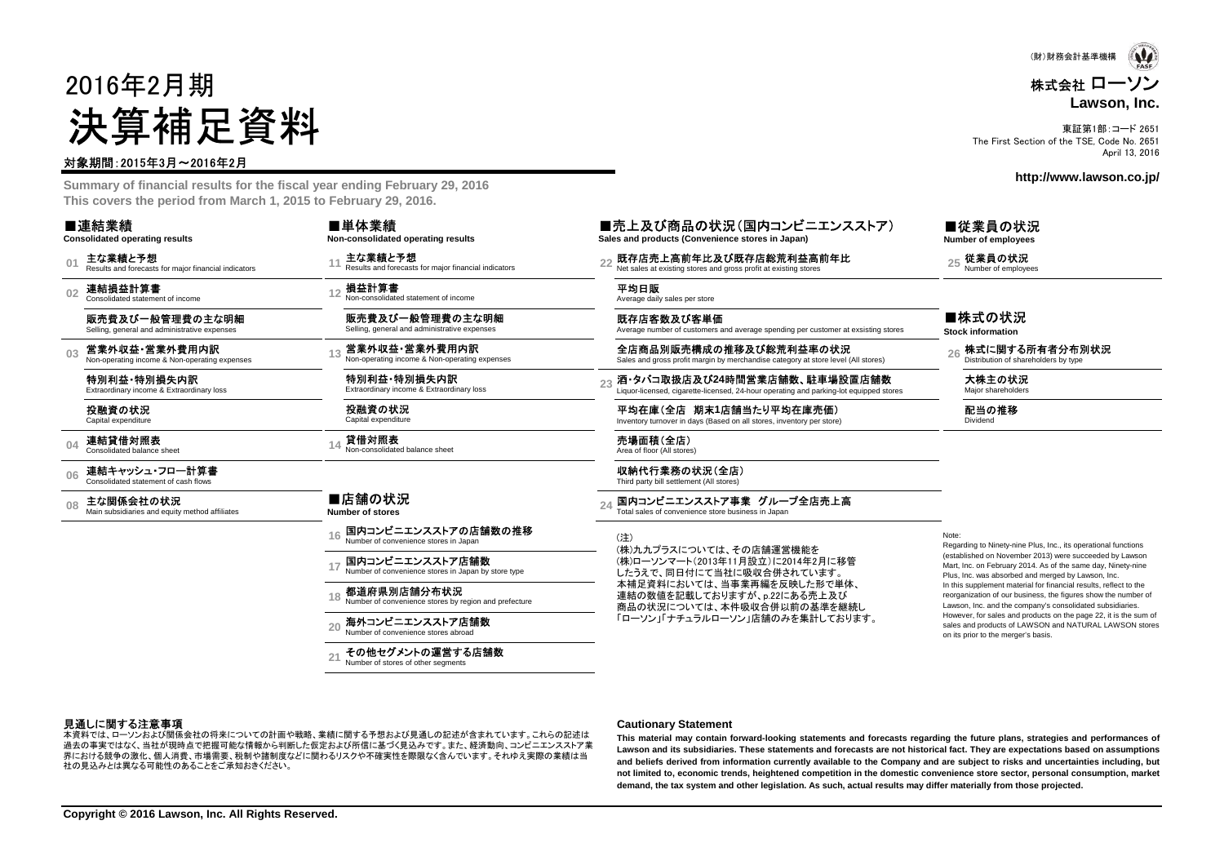# 2016年2月期決算補足資料

#### 対象期間:2015年3月~2016年2月

 **Summary of financial results for the fiscal year ending February 29, 2016This covers the period from March 1, 2015 to February 29, 2016.**

| ■連結業績 |  |
|-------|--|
|       |  |

**Consolidated operating results**

**01**主な業績と予想<br>Results and forecasts for major financial indicators

**02**連結損益計算書 Consolidated statement of income

販売費及び一般管理費の主な明細Selling, general and administrative expenses

**03**営業外収益・営業外費用内訳<br>Non-operating income & Non-operating expenses

特別利益・特別損失内訳Extraordinary income & Extraordinary loss

投融資の状況Capital expenditure

**04**連結貸借対照表<br>Consolidated balance sheet

**06**連結キャッシュ・フロー計算書 Consolidated statement of cash flows

**08**主な関係会社の状況<br>Main subsidiaries and equity method affiliates

■店舗の状況 **Number of stores**

損益計算書

■単体業績

Non-consolidated statement of income販売費及び一般管理費の主な明細Selling, general and administrative expenses 営業外収益・営業外費用内訳Non-operating income & Non-operating expenses

Results and forecasts for major financial indicators

**Non-consolidated operating results**主な業績と予想

> 特別利益・特別損失内訳Extraordinary income & Extraordinary loss

投融資の状況Capital expenditure貸借対照表Non-consolidated balance sheet

**16**国内コンビニエンスストアの店舗数の推移Number of convenience stores in Japan

**17**国内コンビニエンスストア店舗数Number of convenience stores in Japan by store type

**18**都道府県別店舗分布状況Number of convenience stores by region and prefecture

**20**海外コンビニエンスストア店舗数

Number of convenience stores abroad

**21**その他セグメントの運営する店舗数Number of stores of other segments

■売上及び商品の状況(国内コンビニエンスストア) **Sales and products (Convenience stores in Japan)**

**<sup>11</sup> <sup>22</sup>** 既存店売上高前年比及び既存店総荒利益高前年比 Net sales at existing stores and gross profit at existing stores **<sup>25</sup>** 従業員の状況 Number of employees

#### **<sup>12</sup>** 平均日販 Average daily sales per store

既存店客数及び客単価Average number of customers and average spending per customer at exsisting stores

全店商品別販売構成の推移及び総荒利益率の状況<br>Sales and gross profit margin by merchandise category at store level (All stores) **26** Distribution of shareholders by type

**酒・タバコ取扱店及び24時間営業店舗数、駐車場設置店舗数**<br>Liquor-licensed, cigarette-licensed, 24-hour operating and parking-lot equipped stores

平均在庫(全店 期末**1**店舗当たり平均在庫売価)Inventory turnover in days (Based on all stores, inventory per store)

14 **貸借対照表**<br>14 Non-consolidated balance sheet Area of floor (All stores)

収納代行業務の状況(全店)<br>Third party bill settlement (All stores)

24 国内コンビニエンスストア事業 グループ全店売上高<br>Total sales of convenience store business in Japan

(注) (株)九九プラスについては、その店舗運営機能を(株)ローソンマート(2013年11月設立)に2014年2月に移管

したうえで、同日付にて当社に吸収合併されています。 本補足資料においては、当事業再編を反映した形で単体、連結の数値を記載しておりますが、p.22にある売上及び 商品の状況については、本件吸収合併以前の基準を継続し「ローソン」「ナチュラルローソン」店舗のみを集計しております。 Note:

 Regarding to Ninety-nine Plus, Inc., its operational functions (established on November 2013) were succeeded by Lawson Mart, Inc. on February 2014. As of the same day, Ninety-ninePlus, Inc. was absorbed and merged by Lawson, Inc. In this supplement material for financial results, reflect to the reorganization of our business, the figures show the number ofLawson, Inc. and the company's consolidated subsidiaries. However, for sales and products on the page 22, it is the sum of sales and products of LAWSON and NATURAL LAWSON storeson its prior to the merger's basis.

#### 見通しに関する注意事項

 過去の事実ではなく、当社が現時点で把握可能な情報から判断した仮定および所信に基づく見込みです。また、経済動向、コンビニエンスストア業本資料では、ローソンおよび関係会社の将来についての計画や戦略、業績に関する予想および見通しの記述が含まれています。これらの記述は 界における競争の激化、個人消費、市場需要、税制や諸制度などに関わるリスクや不確実性を際限なく含んでいます。それゆえ実際の業績は当社の見込みとは異なる可能性のあることをご承知おきください。

#### **Cautionary Statement**

This material may contain forward-looking statements and forecasts regarding the future plans, strategies and performances of Lawson and its subsidiaries. These statements and forecasts are not historical fact. They are expectations based on assumptions and beliefs derived from information currently available to the Company and are subject to risks and uncertainties including, but not limited to, economic trends, heightened competition in the domestic convenience store sector, personal consumption, market **demand, the tax system and other legislation. As such, actual results may differ materially from those projected.**

(財)財務会計基準機構

#### 株式会社 ローソン**Lawson, Inc.**

東証第1部:コード 2651 The First Section of the TSE, Code No. 2651April 13, 2016

**http://www.lawson.co.jp/**

■従業員の状況**Number of employees**

■株式の状況

**Stock information**

大株主の状況<br>Major shareholders

配当の推移Dividend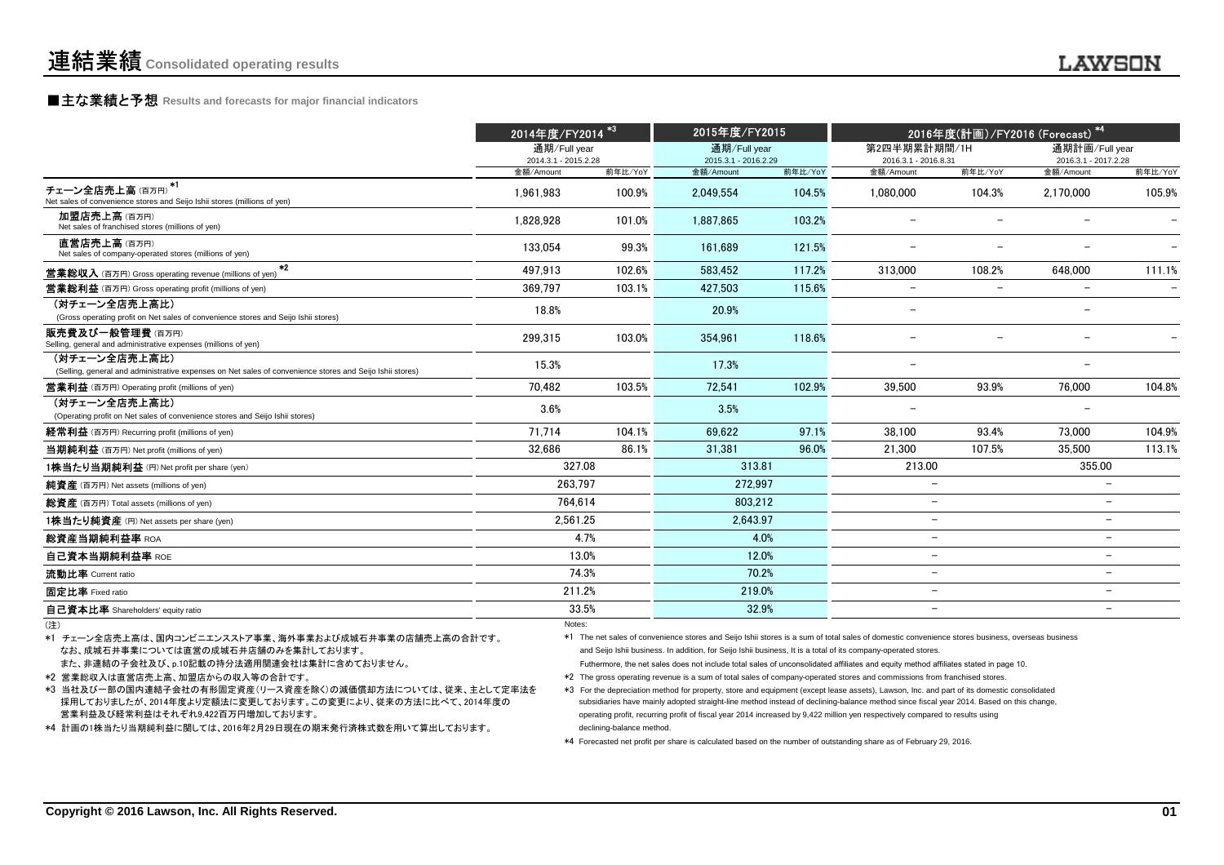### **■主な業績と予想** Results and forecasts for major financial indicators<br>
————————————————————

|                                                                                                                           | 2014年度/FY2014 <sup>*3</sup>          |         | 2015年度/FY2015                        |         | 2016年度(計画)/FY2016 (Forecast) *4      |                          |                                        |         |
|---------------------------------------------------------------------------------------------------------------------------|--------------------------------------|---------|--------------------------------------|---------|--------------------------------------|--------------------------|----------------------------------------|---------|
|                                                                                                                           | 通期/Full vear<br>2014.3.1 - 2015.2.28 |         | 通期/Full year<br>2015.3.1 - 2016.2.29 |         | 第2四半期累計期間/1H<br>2016.3.1 - 2016.8.31 |                          | 通期計画/Full year<br>2016.3.1 - 2017.2.28 |         |
|                                                                                                                           | 金額/Amount                            | 前年比/YoY | 金額/Amount                            | 前年比/YoY | 金額/Amount                            | 前年比/YoY                  | 金額/Amount                              | 前年比/YoY |
| $*1$<br>チェーン全店売上高(百万円)<br>Net sales of convenience stores and Seijo Ishii stores (millions of yen)                        | 1.961.983                            | 100.9%  | 2,049,554                            | 104.5%  | 1,080,000                            | 104.3%                   | 2,170,000                              | 105.9%  |
| 加盟店売上高(百万円)<br>Net sales of franchised stores (millions of yen)                                                           | 1.828.928                            | 101.0%  | 1.887.865                            | 103.2%  |                                      |                          |                                        |         |
| 直営店売上高(百万円)<br>Net sales of company-operated stores (millions of yen)                                                     | 133,054                              | 99.3%   | 161.689                              | 121.5%  |                                      |                          |                                        |         |
| $*2$<br><b>営業総収入</b> (百万円) Gross operating revenue (millions of yen)                                                      | 497.913                              | 102.6%  | 583.452                              | 117.2%  | 313.000                              | 108.2%                   | 648.000                                | 111.1%  |
| <b>営業総利益</b> (百万円) Gross operating profit (millions of yen)                                                               | 369.797                              | 103.1%  | 427.503                              | 115.6%  | $\overline{\phantom{m}}$             | $\overline{\phantom{0}}$ | $\overline{\phantom{a}}$               |         |
| (対チェーン全店売上高比)<br>(Gross operating profit on Net sales of convenience stores and Seijo Ishii stores)                       | 18.8%                                |         | 20.9%                                |         |                                      |                          |                                        |         |
| 販売費及び一般管理費(百万円)<br>Selling, general and administrative expenses (millions of yen)                                         | 299,315                              | 103.0%  | 354,961                              | 118.6%  |                                      |                          |                                        |         |
| (対チェーン全店売上高比)<br>(Selling, general and administrative expenses on Net sales of convenience stores and Seijo Ishii stores) | 15.3%                                |         | 17.3%                                |         |                                      |                          |                                        |         |
| <b>営業利益</b> (百万円) Operating profit (millions of yen)                                                                      | 70.482                               | 103.5%  | 72.541                               | 102.9%  | 39,500                               | 93.9%                    | 76.000                                 | 104.8%  |
| (対チェーン全店売上高比)<br>(Operating profit on Net sales of convenience stores and Seijo Ishii stores)                             | 3.6%                                 |         | 3.5%                                 |         |                                      |                          |                                        |         |
| <b>経常利益</b> (百万円) Recurring profit (millions of yen)                                                                      | 71.714                               | 104.1%  | 69.622                               | 97.1%   | 38,100                               | 93.4%                    | 73.000                                 | 104.9%  |
| 当期純利益 (百万円) Net profit (millions of yen)                                                                                  | 32.686                               | 86.1%   | 31.381                               | 96.0%   | 21.300                               | 107.5%                   | 35.500                                 | 113.1%  |
| 1株当たり当期純利益 (円) Net profit per share (yen)                                                                                 | 327.08                               |         | 313.81                               |         | 213.00                               |                          | 355.00                                 |         |
| 純資産 (百万円) Net assets (millions of yen)                                                                                    | 263.797                              |         | 272.997                              |         | $\overline{\phantom{0}}$             |                          |                                        |         |
| 総資産 (百万円) Total assets (millions of yen)                                                                                  | 764.614                              |         | 803.212                              |         | $\overline{\phantom{0}}$             |                          |                                        |         |
| 1株当たり純資産 (円) Net assets per share (yen)                                                                                   | 2.561.25                             |         | 2.643.97                             |         | $\overline{\phantom{m}}$             |                          | $\overline{\phantom{0}}$               |         |
| 総資産当期純利益率 ROA                                                                                                             |                                      | 4.7%    |                                      | 4.0%    | $\overline{\phantom{0}}$             |                          | $\overline{\phantom{0}}$               |         |
| 自己資本当期純利益率 ROE                                                                                                            |                                      | 13.0%   |                                      | 12.0%   | $\overline{\phantom{0}}$             |                          | $\overline{\phantom{0}}$               |         |
| 流動比率 Current ratio                                                                                                        |                                      | 74.3%   | 70.2%                                |         | $\overline{\phantom{m}}$             |                          | $\overline{\phantom{0}}$               |         |
| 固定比率 Fixed ratio                                                                                                          | 211.2%                               |         | 219.0%                               |         | $\overline{\phantom{0}}$             |                          | $\overline{\phantom{0}}$               |         |
| 自己資本比率 Shareholders' equity ratio                                                                                         |                                      | 33.5%   | 32.9%                                |         | $\overline{\phantom{0}}$             |                          | $\overline{\phantom{0}}$               |         |
|                                                                                                                           | Noton:                               |         |                                      |         |                                      |                          |                                        |         |

(注)

なお、成城石井事業については直営の成城石井店舗のみを集計しております。\*1 チェーン全店売上高は、国内コンビニエンスストア事業、海外事業および成城石井事業の店舗売上高の合計です。

また、非連結の子会社及び、p.10記載の持分法適用関連会社は集計に含めておりません。

\*2 営業総収入は直営店売上高、加盟店からの収入等の合計です。

\*3 当社及び一部の国内連結子会社の有形固定資産(リース資産を除く)の減価償却方法については、従来、主として定率法を 採用しておりましたが、2014年度より定額法に変更しております。この変更により、従来の方法に比べて、2014年度の営業利益及び経常利益はそれぞれ9,422百万円増加しております。

\*4 計画の1株当たり当期純利益に関しては、2016年2月29日現在の期末発行済株式数を用いて算出しております。

Notes: Notes: Notes: Notes: Notes: Notes: Notes: Notes: Notes: Notes: Notes: Notes: Notes: Notes: Notes: Notes: Notes: Notes: Notes: Notes: Notes: Notes: Notes: Notes: Notes: Notes: Notes: Notes: Notes: Notes: Notes: Notes

and Seijo Ishii business. In addition, for Seijo Ishii business, It is a total of its company-operated stores. \*1 The net sales of convenience stores and Seijo Ishii stores is a sum of total sales of domestic convenience stores business, overseas business

Futhermore, the net sales does not include total sales of unconsolidated affiliates and equity method affiliates stated in page 10.

\*2 The gross operating revenue is a sum of total sales of company-operated stores and commissions from franchised stores.

\*3 For the depreciation method for property, store and equipment (except lease assets), Lawson, Inc. and part of its domestic consolidated subsidiaries have mainly adopted straight-line method instead of declining-balance method since fiscal year 2014. Based on this change,operating profit, recurring profit of fiscal year 2014 increased by 9,422 million yen respectively compared to results usingdeclining-balance method.

\*4 Forecasted net profit per share is calculated based on the number of outstanding share as of February 29, 2016.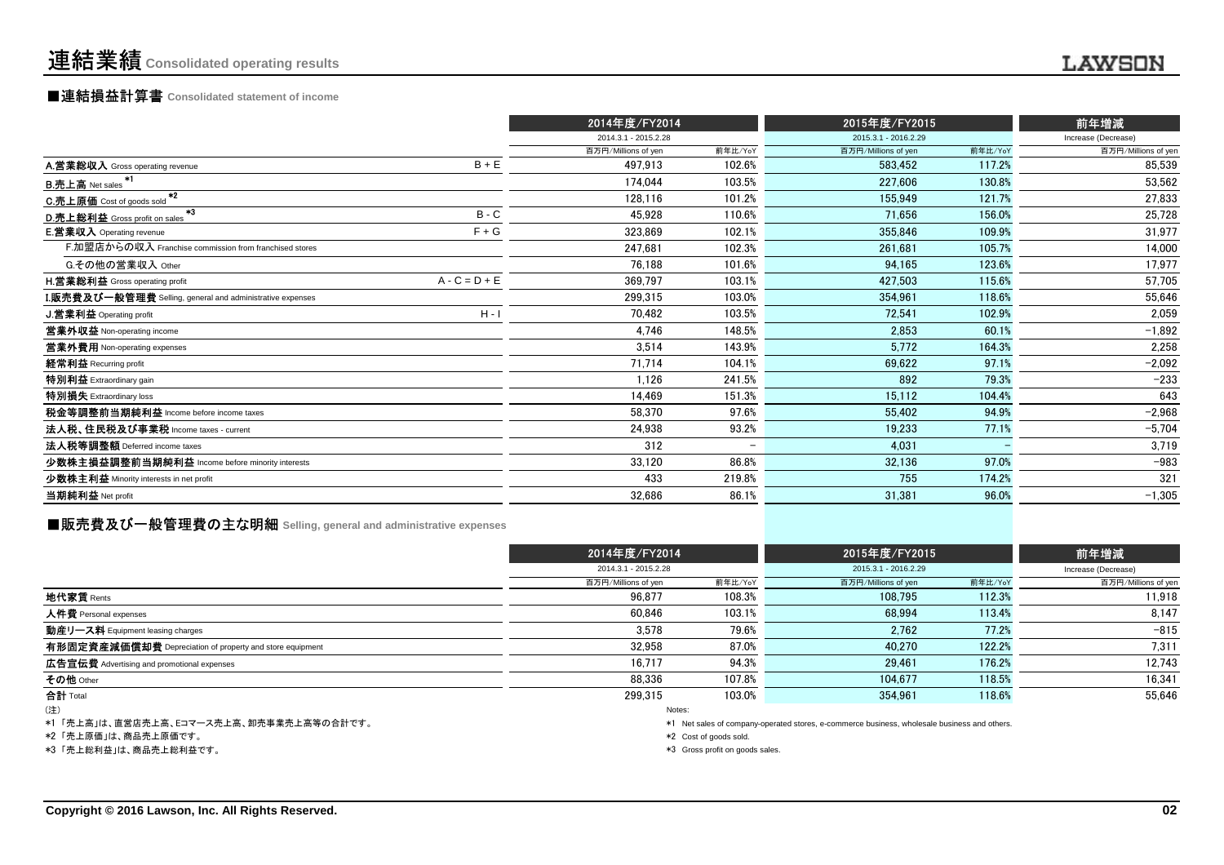### ■連結損益計算書 **Consolidated statement of income**

|                                                                  |                 | 2014年度/FY2014        |                          | 2015年度/FY2015        |         | 前年増減                |  |
|------------------------------------------------------------------|-----------------|----------------------|--------------------------|----------------------|---------|---------------------|--|
|                                                                  |                 | 2014.3.1 - 2015.2.28 |                          | 2015.3.1 - 2016.2.29 |         | Increase (Decrease) |  |
|                                                                  |                 | 百万円/Millions of yen  | 前年比/YoY                  | 百万円/Millions of yen  | 前年比/YoY | 百万円/Millions of yen |  |
| A.営業総収入 Gross operating revenue                                  | $B + E$         | 497,913              | 102.6%                   | 583,452              | 117.2%  | 85,539              |  |
| B.売上高 Net sales *1                                               |                 | 174.044              | 103.5%                   | 227.606              | 130.8%  | 53,562              |  |
| C.売上原価 Cost of goods sold *2                                     |                 | 128,116              | 101.2%                   | 155.949              | 121.7%  | 27,833              |  |
| $*3$<br>D.売上総利益 Gross profit on sales                            | $B - C$         | 45,928               | 110.6%                   | 71,656               | 156.0%  | 25,728              |  |
| <b>E.営業収入</b> Operating revenue                                  | $F + G$         | 323,869              | 102.1%                   | 355,846              | 109.9%  | 31,977              |  |
| F.加盟店からの収入 Franchise commission from franchised stores           |                 | 247,681              | 102.3%                   | 261,681              | 105.7%  | 14,000              |  |
| G.その他の営業収入 Other                                                 |                 | 76.188               | 101.6%                   | 94,165               | 123.6%  | 17,977              |  |
| <b>H.営業総利益</b> Gross operating profit                            | $A - C = D + E$ | 369,797              | 103.1%                   | 427,503              | 115.6%  | 57,705              |  |
| <b>I.販売費及び一般管理費</b> Selling, general and administrative expenses |                 | 299,315              | 103.0%                   | 354.961              | 118.6%  | 55,646              |  |
| J.営業利益 Operating profit                                          | $H - I$         | 70.482               | 103.5%                   | 72,541               | 102.9%  | 2,059               |  |
| 営業外収益 Non-operating income                                       |                 | 4.746                | 148.5%                   | 2.853                | 60.1%   | $-1,892$            |  |
| 営業外費用 Non-operating expenses                                     |                 | 3,514                | 143.9%                   | 5,772                | 164.3%  | 2,258               |  |
| 経常利益 Recurring profit                                            |                 | 71,714               | 104.1%                   | 69,622               | 97.1%   | $-2,092$            |  |
| 特別利益 Extraordinary gain                                          |                 | 1,126                | 241.5%                   | 892                  | 79.3%   | $-233$              |  |
| 特別損失 Extraordinary loss                                          |                 | 14,469               | 151.3%                   | 15,112               | 104.4%  | 643                 |  |
| 税金等調整前当期純利益 Income before income taxes                           |                 | 58.370               | 97.6%                    | 55.402               | 94.9%   | $-2,968$            |  |
| 法人税、住民税及び事業税 Income taxes - current                              |                 | 24,938               | 93.2%                    | 19,233               | 77.1%   | $-5,704$            |  |
| 法人税等調整額 Deferred income taxes                                    |                 | 312                  | $\overline{\phantom{a}}$ | 4.031                |         | 3,719               |  |
| 少数株主損益調整前当期純利益 Income before minority interests                  |                 | 33,120               | 86.8%                    | 32,136               | 97.0%   | $-983$              |  |
| 少数株主利益 Minority interests in net profit                          |                 | 433                  | 219.8%                   | 755                  | 174.2%  | 321                 |  |
| 当期純利益 Net profit                                                 |                 | 32,686               | 86.1%                    | 31,381               | 96.0%   | $-1,305$            |  |
|                                                                  |                 |                      |                          |                      |         |                     |  |

### **■販売費及び一般管理費の主な明細** Selling, general and administrative expenses

|                                                          | 2014年度/FY2014        |         | 2015年度/FY2015        | 前年増減    |                     |
|----------------------------------------------------------|----------------------|---------|----------------------|---------|---------------------|
|                                                          | 2014.3.1 - 2015.2.28 |         | 2015.3.1 - 2016.2.29 |         | Increase (Decrease) |
|                                                          | 百万円/Millions of yen  | 前年比/YoY | 百万円/Millions of yen  | 前年比/YoY | 百万円/Millions of yen |
| 地代家賃 Rents                                               | 96.877               | 108.3%  | 108.795              | 112.3%  | 11.918              |
| 人件費 Personal expenses                                    | 60.846               | 103.1%  | 68.994               | 113.4%  | 8,147               |
| 動産リース料 Equipment leasing charges                         | 3.578                | 79.6%   | 2,762                | 77.2%   | $-815$              |
| 有形固定資産減価償却費 Depreciation of property and store equipment | 32.958               | 87.0%   | 40.270               | 122.2%  | 7.311               |
| 広告宣伝費 Advertising and promotional expenses               | 16.717               | 94.3%   | 29.461               | 176.2%  | 12,743              |
| その他 Other                                                | 88.336               | 107.8%  | 104.677              | 118.5%  | 16,341              |
| 合計 Total                                                 | 299.315              | 103.0%  | 354.961              | 118.6%  | 55.646              |
| (注)                                                      |                      | Notes:  |                      |         |                     |

\*1 「売上高」は、直営店売上高、Eコマース売上高、卸売事業売上高等の合計です。

\*2 「売上原価」は、商品売上原価です。

\*3 「売上総利益」は、商品売上総利益です。

\*1 Net sales of company-operated stores, e-commerce business, wholesale business and others.

\*2 Cost of goods sold.

\*3 Gross profit on goods sales.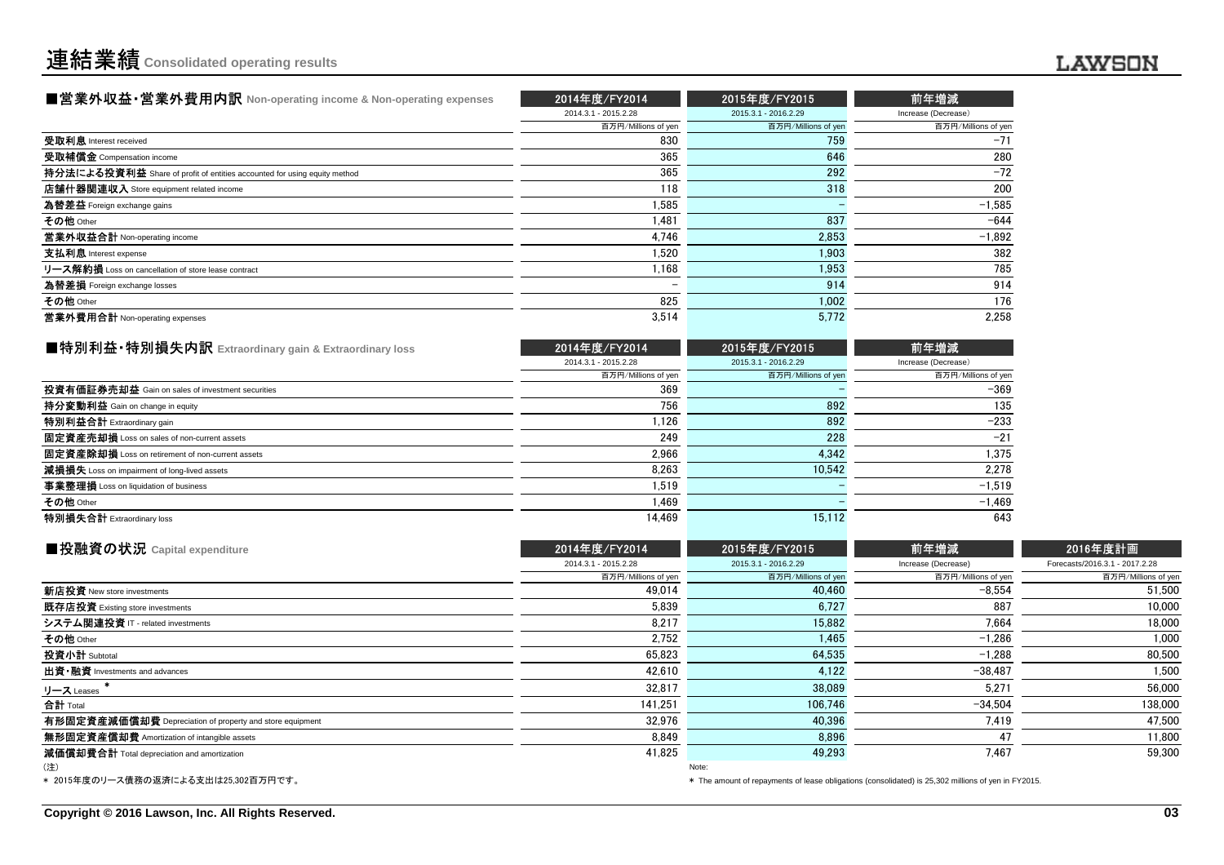| ■営業外収益・営業外費用内訳 Non-operating income & Non-operating expenses             | 2014年度/FY2014            | 2015年度/FY2015        | 前年増減                |
|--------------------------------------------------------------------------|--------------------------|----------------------|---------------------|
|                                                                          | 2014.3.1 - 2015.2.28     | 2015.3.1 - 2016.2.29 | Increase (Decrease) |
|                                                                          | 百万円/Millions of yen      | 百万円/Millions of yen  | 百万円/Millions of yen |
| 受取利息 Interest received                                                   | 830                      | 759                  | $-71$               |
| 受取補償金 Compensation income                                                | 365                      | 646                  | 280                 |
| 持分法による投資利益 Share of profit of entities accounted for using equity method | 365                      | 292                  | $-72$               |
| 店舗什器関連収入 Store equipment related income                                  | 118                      | 318                  | 200                 |
| 為替差益 Foreign exchange gains                                              | 1.585                    |                      | $-1,585$            |
| その他 Other                                                                | 1.481                    | 837                  | $-644$              |
| 営業外収益合計 Non-operating income                                             | 4.746                    | 2.853                | $-1,892$            |
| 支払利息 Interest expense                                                    | 1.520                    | 1.903                | 382                 |
| リース解約損 Loss on cancellation of store lease contract                      | 1.168                    | 1,953                | 785                 |
| 為替差損 Foreign exchange losses                                             | $\overline{\phantom{0}}$ | 914                  | 914                 |
| その他 Other                                                                | 825                      | 1,002                | 176                 |
| 営業外費用合計 Non-operating expenses                                           | 3,514                    | 5.772                | 2.258               |

| ■特別利益・特別損失内訳 Extraordinary gain & Extraordinary loss | 2014年度/FY2014        | 2015年度/FY2015        | 前年増減                |
|------------------------------------------------------|----------------------|----------------------|---------------------|
|                                                      | 2014.3.1 - 2015.2.28 | 2015.3.1 - 2016.2.29 | Increase (Decrease) |
|                                                      | 百万円/Millions of yen  | 百万円/Millions of yen  | 百万円/Millions of yen |
| 投資有価証券売却益 Gain on sales of investment securities     | 369                  |                      | $-369$              |
| <b>持分変動利益</b> Gain on change in equity               | 756                  | 892                  | 135                 |
| 特別利益合計 Extraordinary gain                            | 1.126                | 892                  | $-233$              |
| 固定資産売却損 Loss on sales of non-current assets          | 249                  | 228                  | $-21$               |
| 固定資産除却損 Loss on retirement of non-current assets     | 2.966                | 4.342                | 1.375               |
| 減損損失 Loss on impairment of long-lived assets         | 8.263                | 10.542               | 2.278               |
| 事業整理損 Loss on liquidation of business                | 1.519                |                      | $-1,519$            |
| その他 Other                                            | 1,469                |                      | $-1.469$            |
| 特別損失合計 Extraordinary loss                            | 14.469               | 15.112               | 643                 |

| ■投融資の状況 Capital expenditure                              | 2014年度/FY2014        | 2015年度/FY2015        | 前年増減                | 2016年度計画                       |  |
|----------------------------------------------------------|----------------------|----------------------|---------------------|--------------------------------|--|
|                                                          | 2014.3.1 - 2015.2.28 | 2015.3.1 - 2016.2.29 | Increase (Decrease) | Forecasts/2016.3.1 - 2017.2.28 |  |
|                                                          | 百万円/Millions of yen  | 百万円/Millions of yen  | 百万円/Millions of yen | 百万円/Millions of yen            |  |
| 新店投資 New store investments                               | 49.014               | 40.460               | $-8.554$            | 51,500                         |  |
| 既存店投資 Existing store investments                         | 5,839                | 6,727                | 887                 | 10.000                         |  |
| システム関連投資 IT - related investments                        | 8,217                | 15.882               | 7.664               | 18,000                         |  |
| その他 Other                                                | 2,752                | 1,465                | $-1,286$            | 1,000                          |  |
| 投資小計 Subtotal                                            | 65,823               | 64,535               | $-1.288$            | 80,500                         |  |
| 出資 · 融資 Investments and advances                         | 42,610               | 4,122                | $-38.487$           | 1,500                          |  |
| リース Leases                                               | 32,817               | 38,089               | 5,271               | 56,000                         |  |
| 合計 Total                                                 | 141.251              | 106,746              | $-34.504$           | 138,000                        |  |
| 有形固定資産減価償却費 Depreciation of property and store equipment | 32,976               | 40.396               | 7.419               | 47,500                         |  |
| 無形固定資産償却費 Amortization of intangible assets              | 8.849                | 8,896                | 47                  | 11,800                         |  |
| 減価償却費合計 Total depreciation and amortization              | 41,825               | 49,293               | 7.467               | 59,300                         |  |
| (注)                                                      |                      | Note:                |                     |                                |  |

\* 2015年度のリース債務の返済による支出は25,302百万円です。

\* The amount of repayments of lease obligations (consolidated) is 25,302 millions of yen in FY2015.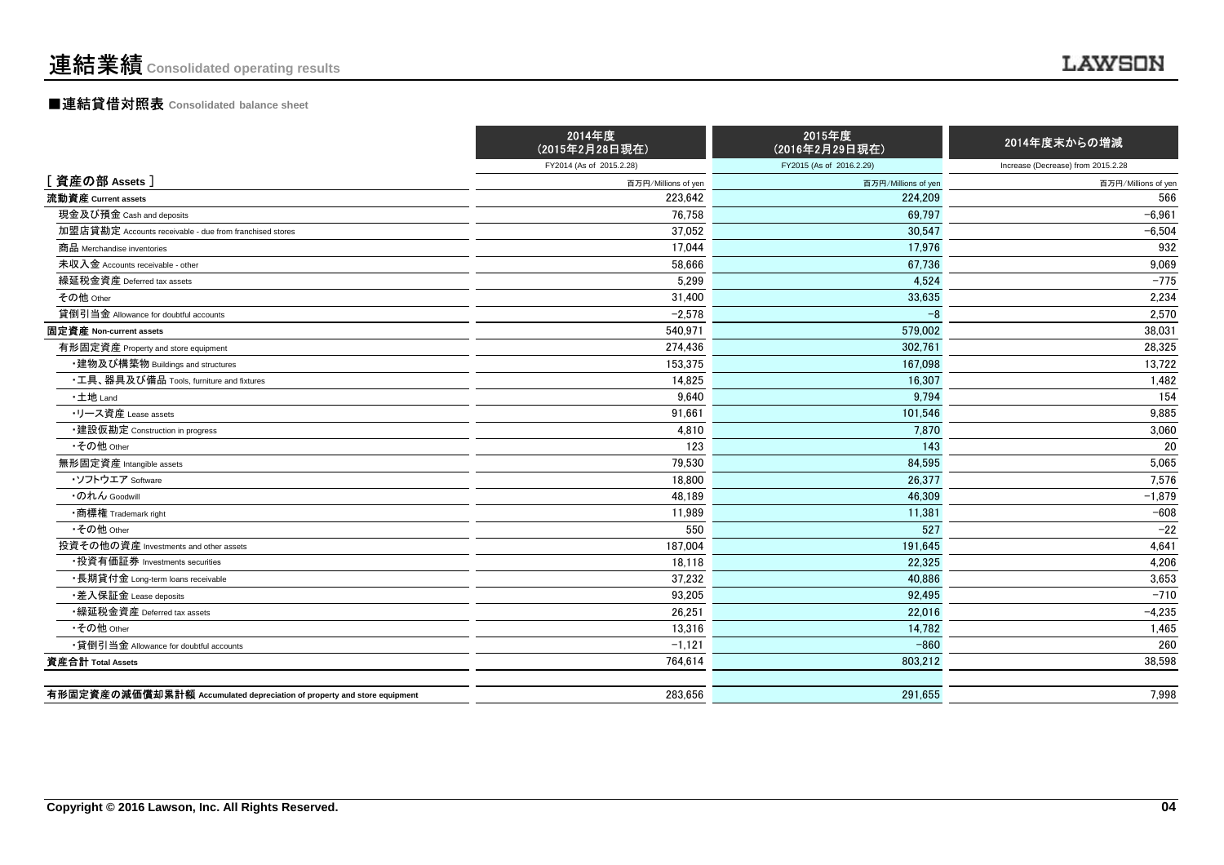#### ■連結貸借対照表 **Consolidated balance sheet**

|                                                                         | 2014年度<br>(2015年2月28日現在) | 2015年度<br>(2016年2月29日現在) | 2014年度末からの増減                       |
|-------------------------------------------------------------------------|--------------------------|--------------------------|------------------------------------|
|                                                                         | FY2014 (As of 2015.2.28) | FY2015 (As of 2016.2.29) | Increase (Decrease) from 2015.2.28 |
| [資産の部 Assets]                                                           | 百万円/Millions of yen      | 百万円/Millions of yen      | 百万円/Millions of yen                |
| 流動資産 Current assets                                                     | 223.642                  | 224.209                  | 566                                |
| 現金及び預金 Cash and deposits                                                | 76.758                   | 69.797                   | $-6,961$                           |
| 加盟店貸勘定 Accounts receivable - due from franchised stores                 | 37,052                   | 30.547                   | $-6,504$                           |
| 商品 Merchandise inventories                                              | 17,044                   | 17.976                   | 932                                |
| 未収入金 Accounts receivable - other                                        | 58,666                   | 67.736                   | 9,069                              |
| 繰延税金資産 Deferred tax assets                                              | 5,299                    | 4,524                    | $-775$                             |
| その他 Other                                                               | 31,400                   | 33,635                   | 2,234                              |
| 貸倒引当金 Allowance for doubtful accounts                                   | $-2,578$                 | $-8$                     | 2,570                              |
| 固定資産 Non-current assets                                                 | 540,971                  | 579,002                  | 38,031                             |
| 有形固定資産 Property and store equipment                                     | 274.436                  | 302.761                  | 28,325                             |
| ・建物及び構築物 Buildings and structures                                       | 153.375                  | 167.098                  | 13.722                             |
| ・工具、器具及び備品 Tools, furniture and fixtures                                | 14,825                   | 16,307                   | 1,482                              |
| ·土地 Land                                                                | 9,640                    | 9,794                    | 154                                |
| ・リース資産 Lease assets                                                     | 91,661                   | 101,546                  | 9,885                              |
| ・建設仮勘定 Construction in progress                                         | 4,810                    | 7.870                    | 3,060                              |
| •その他 Other                                                              | 123                      | 143                      | 20                                 |
| 無形固定資産 Intangible assets                                                | 79,530                   | 84,595                   | 5,065                              |
| ・ソフトウエア Software                                                        | 18.800                   | 26.377                   | 7,576                              |
| ・のれん Goodwill                                                           | 48,189                   | 46,309                   | $-1,879$                           |
| •商標権 Trademark right                                                    | 11,989                   | 11,381                   | $-608$                             |
| •その他 Other                                                              | 550                      | 527                      | $-22$                              |
| 投資その他の資産 Investments and other assets                                   | 187,004                  | 191,645                  | 4,641                              |
| •投資有価証券 Investments securities                                          | 18,118                   | 22,325                   | 4,206                              |
| ・長期貸付金 Long-term loans receivable                                       | 37,232                   | 40.886                   | 3,653                              |
| •差入保証金 Lease deposits                                                   | 93,205                   | 92,495                   | $-710$                             |
| •繰延税金資産 Deferred tax assets                                             | 26,251                   | 22.016                   | $-4,235$                           |
| •その他 Other                                                              | 13,316                   | 14,782                   | 1,465                              |
| •貸倒引当金 Allowance for doubtful accounts                                  | $-1,121$                 | $-860$                   | 260                                |
| 資産合計 Total Assets                                                       | 764,614                  | 803,212                  | 38,598                             |
|                                                                         |                          |                          |                                    |
| 有形固定資産の減価償却累計額 Accumulated depreciation of property and store equipment | 283,656                  | 291.655                  | 7,998                              |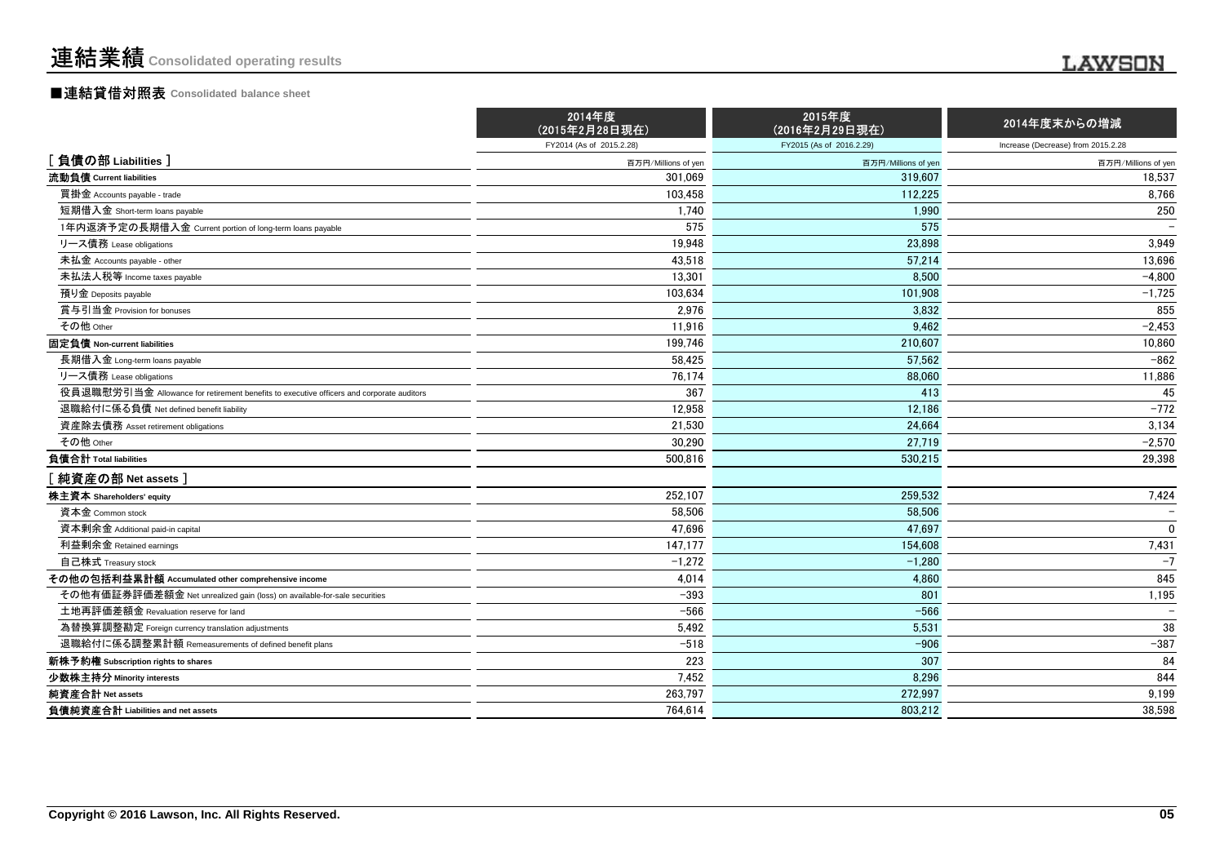#### ■連結貸借対照表 **Consolidated balance sheet**

|                                                                                          | 2014年度<br>(2015年2月28日現在) | 2015年度<br>(2016年2月29日現在) | 2014年度末からの増減                       |
|------------------------------------------------------------------------------------------|--------------------------|--------------------------|------------------------------------|
|                                                                                          | FY2014 (As of 2015.2.28) | FY2015 (As of 2016.2.29) | Increase (Decrease) from 2015.2.28 |
| [ 負債の部 Liabilities ]                                                                     | 百万円/Millions of yen      | 百万円/Millions of yen      | 百万円/Millions of yen                |
| 流動負債 Current liabilities                                                                 | 301.069                  | 319.607                  | 18,537                             |
| 買掛金 Accounts payable - trade                                                             | 103.458                  | 112.225                  | 8,766                              |
| 短期借入金 Short-term loans payable                                                           | 1,740                    | 1,990                    | 250                                |
| 1年内返済予定の長期借入金 Current portion of long-term loans payable                                 | 575                      | 575                      |                                    |
| リース債務 Lease obligations                                                                  | 19.948                   | 23.898                   | 3.949                              |
| 未払金 Accounts payable - other                                                             | 43,518                   | 57,214                   | 13,696                             |
| 未払法人税等 Income taxes payable                                                              | 13.301                   | 8.500                    | $-4.800$                           |
| 預り金 Deposits payable                                                                     | 103,634                  | 101,908                  | $-1,725$                           |
| 賞与引当金 Provision for bonuses                                                              | 2.976                    | 3.832                    | 855                                |
| その他 Other                                                                                | 11,916                   | 9,462                    | $-2,453$                           |
| 固定負債 Non-current liabilities                                                             | 199,746                  | 210.607                  | 10,860                             |
| 長期借入金 Long-term loans payable                                                            | 58.425                   | 57.562                   | $-862$                             |
| リース債務 Lease obligations                                                                  | 76.174                   | 88.060                   | 11,886                             |
| 役員退職慰労引当金 Allowance for retirement benefits to executive officers and corporate auditors | 367                      | 413                      | 45                                 |
| 退職給付に係る負債 Net defined benefit liability                                                  | 12,958                   | 12,186                   | $-772$                             |
| 資産除去債務 Asset retirement obligations                                                      | 21.530                   | 24.664                   | 3,134                              |
| その他 Other                                                                                | 30,290                   | 27.719                   | $-2,570$                           |
| 負債合計 Total liabilities                                                                   | 500.816                  | 530.215                  | 29,398                             |
| [ 純資産の部 Net assets ]                                                                     |                          |                          |                                    |
| 株主資本 Shareholders' equity                                                                | 252,107                  | 259,532                  | 7,424                              |
| 資本金 Common stock                                                                         | 58,506                   | 58,506                   |                                    |
| 資本剰余金 Additional paid-in capital                                                         | 47,696                   | 47,697                   | $\Omega$                           |
| 利益剰余金 Retained earnings                                                                  | 147,177                  | 154,608                  | 7,431                              |
| 自己株式 Treasury stock                                                                      | $-1,272$                 | $-1,280$                 | $-7$                               |
| その他の包括利益累計額 Accumulated other comprehensive income                                       | 4,014                    | 4,860                    | 845                                |
| その他有価証券評価差額金 Net unrealized gain (loss) on available-for-sale securities                 | $-393$                   | 801                      | 1,195                              |
| 土地再評価差額金 Revaluation reserve for land                                                    | $-566$                   | $-566$                   |                                    |
| 為替換算調整勘定 Foreign currency translation adjustments                                        | 5,492                    | 5,531                    | 38                                 |
| 退職給付に係る調整累計額 Remeasurements of defined benefit plans                                     | $-518$                   | $-906$                   | $-387$                             |
|                                                                                          |                          |                          |                                    |

**Minority interests** 7,452 8,296 <sup>844</sup>

s and the contract of the contract of the contract of the contract of the contract of the contract of the contract of the contract of the contract of the contract of the contract of the contract of the contract of the cont

**s** and the contract of the contract of the contract of the contract of the contract of the contract of the contract of the contract of the contract of the contract of the contract of the contract of the contract of the c

**s** and the contract of the contract of the contract of the contract of the contract of the contract of the contract of the contract of the contract of the contract of the contract of the contract of the contract of the c

新株予約権 **Subscription rights to shares**

負債純資産合計 **Liabilities and net assets**

少数株主持分

純資産合計 **Net assets**

 $\frac{3}{2}$   $\frac{307}{4}$  84

272,997 9,199

803,212 38,598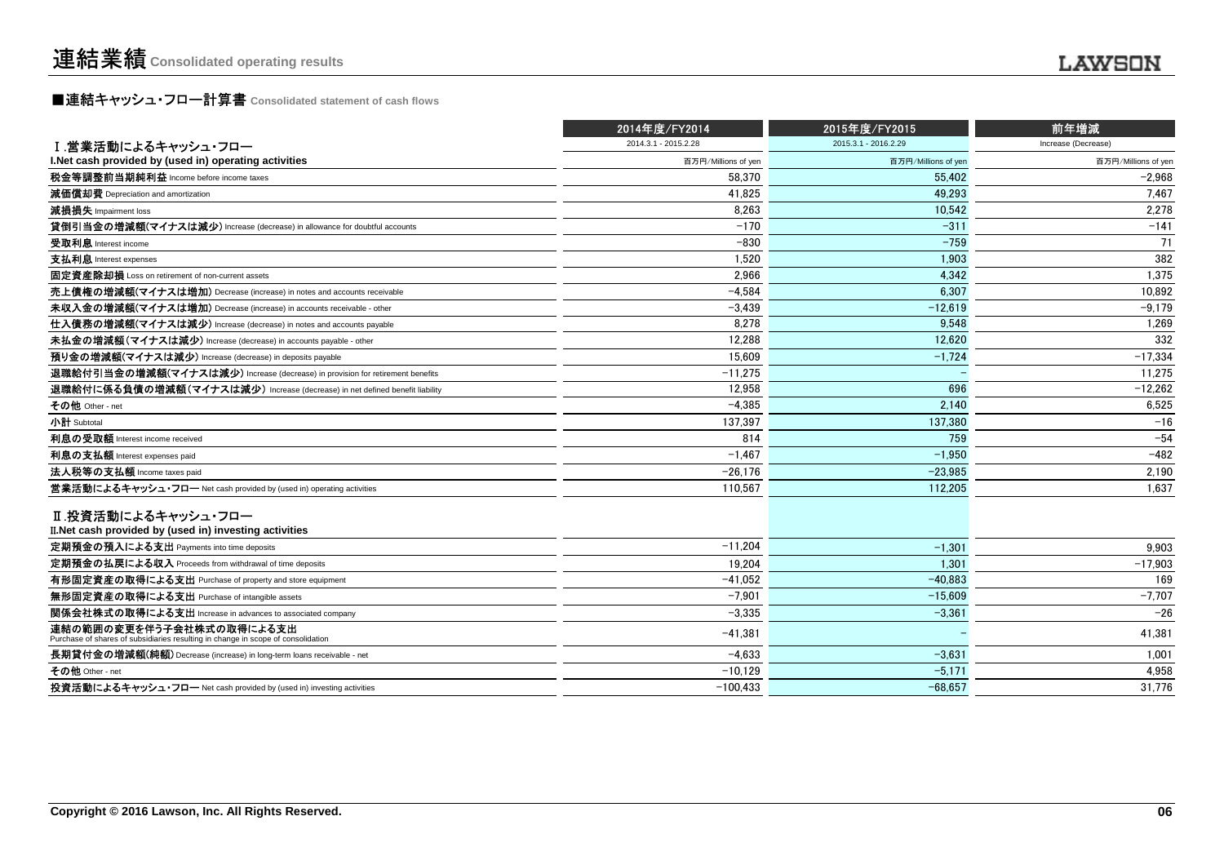# **■連結キャッシュ・フロー計算書** Consolidated statement of cash flows<br>■

|                                                                                                              | 2014年度/FY2014        | 2015年度/FY2015        | 前年増減                |  |
|--------------------------------------------------------------------------------------------------------------|----------------------|----------------------|---------------------|--|
| Ⅰ.営業活動によるキャッシュ・フロー                                                                                           | 2014.3.1 - 2015.2.28 | 2015.3.1 - 2016.2.29 | Increase (Decrease) |  |
| I. Net cash provided by (used in) operating activities                                                       | 百万円/Millions of yen  | 百万円/Millions of yen  | 百万円/Millions of yen |  |
| 税金等調整前当期純利益 Income before income taxes                                                                       | 58.370               | 55.402               | $-2.968$            |  |
| 減価償却費 Depreciation and amortization                                                                          | 41.825               | 49.293               | 7.467               |  |
| 減損損失 Impairment loss                                                                                         | 8.263                | 10.542               | 2.278               |  |
| 貸倒引当金の増減額(マイナスは減少) Increase (decrease) in allowance for doubtful accounts                                    | $-170$               | $-311$               | $-141$              |  |
| 受取利息 Interest income                                                                                         | $-830$               | $-759$               | 71                  |  |
| 支払利息 Interest expenses                                                                                       | 1,520                | 1,903                | 382                 |  |
| 固定資産除却損 Loss on retirement of non-current assets                                                             | 2.966                | 4.342                | 1.375               |  |
| 売上債権の増減額(マイナスは増加) Decrease (increase) in notes and accounts receivable                                       | $-4,584$             | 6.307                | 10,892              |  |
| 未収入金の増減額(マイナスは増加) Decrease (increase) in accounts receivable - other                                         | $-3.439$             | $-12.619$            | $-9.179$            |  |
| 仕入債務の増減額(マイナスは減少) Increase (decrease) in notes and accounts payable                                          | 8,278                | 9,548                | 1,269               |  |
| 未払金の増減額(マイナスは減少) Increase (decrease) in accounts payable - other                                             | 12.288               | 12.620               | 332                 |  |
| 預り金の増減額(マイナスは減少) Increase (decrease) in deposits payable                                                     | 15.609               | $-1.724$             | $-17.334$           |  |
| 退職給付引当金の増減額(マイナスは減少) Increase (decrease) in provision for retirement benefits                                | $-11.275$            |                      | 11.275              |  |
| 退職給付に係る負債の増減額(マイナスは減少) Increase (decrease) in net defined benefit liability                                  | 12.958               | 696                  | $-12.262$           |  |
| その他 Other - net                                                                                              | $-4,385$             | 2,140                | 6,525               |  |
| 小計 Subtotal                                                                                                  | 137.397              | 137.380              | $-16$               |  |
| 利息の受取額 Interest income received                                                                              | 814                  | 759                  | $-54$               |  |
| 利息の支払額 Interest expenses paid                                                                                | $-1,467$             | $-1.950$             | $-482$              |  |
| 法人税等の支払額 Income taxes paid                                                                                   | $-26,176$            | $-23.985$            | 2,190               |  |
| 営業活動によるキャッシュ・フロー Net cash provided by (used in) operating activities                                         | 110,567              | 112,205              | 1,637               |  |
| Ⅱ.投資活動によるキャッシュ・フロー<br>II. Net cash provided by (used in) investing activities                                |                      |                      |                     |  |
| 定期預金の預入による支出 Payments into time deposits                                                                     | $-11.204$            | $-1,301$             | 9,903               |  |
| 定期預金の払戻による収入 Proceeds from withdrawal of time deposits                                                       | 19.204               | 1.301                | $-17,903$           |  |
| 有形固定資産の取得による支出 Purchase of property and store equipment                                                      | $-41,052$            | $-40.883$            | 169                 |  |
| 無形固定資産の取得による支出 Purchase of intangible assets                                                                 | $-7,901$             | $-15.609$            | $-7,707$            |  |
| 関係会社株式の取得による支出 Increase in advances to associated company                                                    | $-3.335$             | $-3.361$             | $-26$               |  |
| 連結の範囲の変更を伴う子会社株式の取得による支出<br>Purchase of shares of subsidiaries resulting in change in scope of consolidation | $-41,381$            |                      | 41,381              |  |
| 長期貸付金の増減額(純額) Decrease (increase) in long-term loans receivable - net                                        | $-4.633$             | $-3.631$             | 1.001               |  |
| その他 Other - net                                                                                              | $-10,129$            | $-5,171$             | 4,958               |  |
| 投資活動によるキャッシュ・フロー Net cash provided by (used in) investing activities                                         | $-100.433$           | $-68.657$            | 31.776              |  |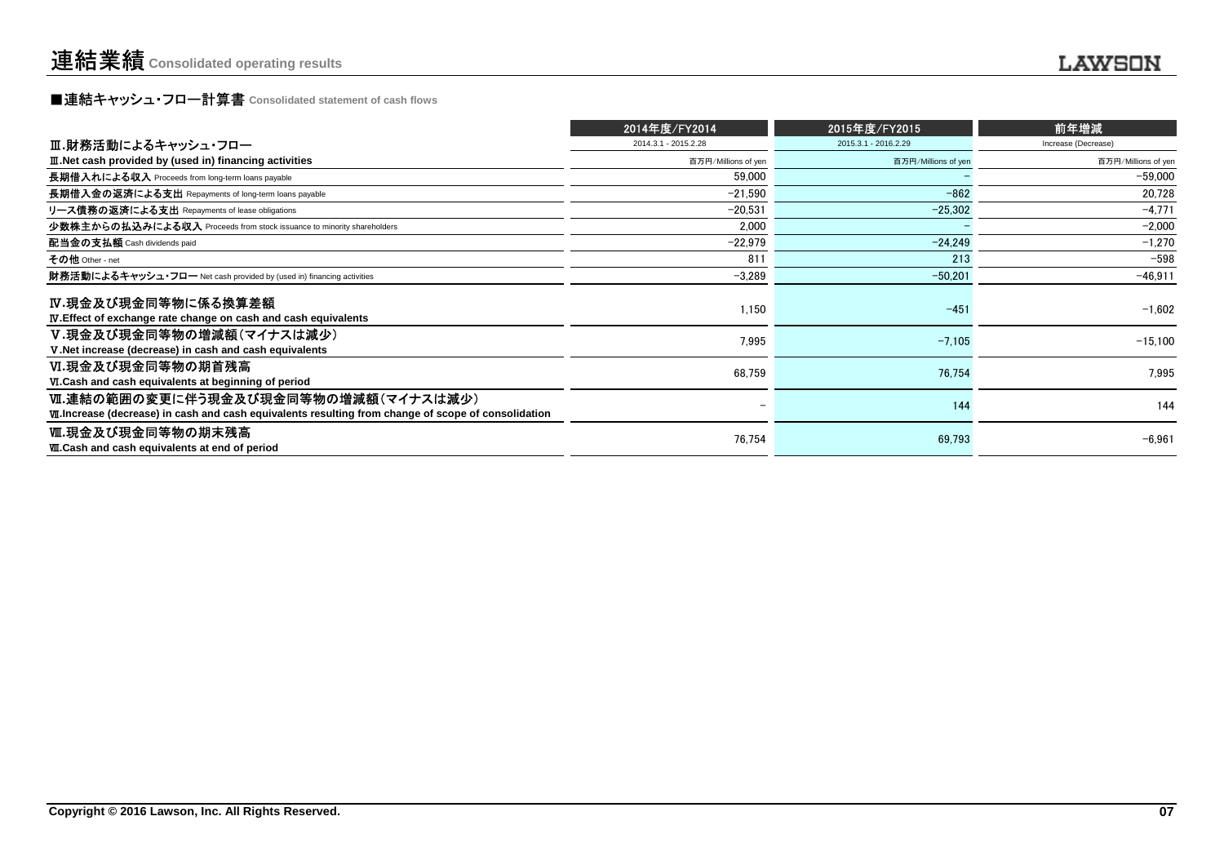# **■連結キャッシュ・フロー計算書** Consolidated statement of cash flows<br>■

|                                                                                                                                              | 2014年度/FY2014        | 2015年度/FY2015        | 前年増減                |
|----------------------------------------------------------------------------------------------------------------------------------------------|----------------------|----------------------|---------------------|
| Ⅲ.財務活動によるキャッシュ・フロー                                                                                                                           | 2014.3.1 - 2015.2.28 | 2015.3.1 - 2016.2.29 | Increase (Decrease) |
| III. Net cash provided by (used in) financing activities                                                                                     | 百万円/Millions of yen  | 百万円/Millions of yen  | 百万円/Millions of yen |
| 長期借入れによる収入 Proceeds from long-term loans payable                                                                                             | 59,000               |                      | $-59,000$           |
| 長期借入金の返済による支出 Repayments of long-term loans payable                                                                                          | $-21.590$            | $-862$               | 20.728              |
| リース債務の返済による支出 Repayments of lease obligations                                                                                                | $-20,531$            | $-25,302$            | $-4,771$            |
| 少数株主からの払込みによる収入 Proceeds from stock issuance to minority shareholders                                                                        | 2.000                |                      | $-2,000$            |
| 配当金の支払額 Cash dividends paid                                                                                                                  | $-22.979$            | $-24.249$            | $-1,270$            |
| その他 Other - net                                                                                                                              | 811                  | 213                  | $-598$              |
| 財務活動によるキャッシュ・フロー Net cash provided by (used in) financing activities                                                                         | $-3,289$             | $-50,201$            | $-46,911$           |
| IV.現金及び現金同等物に係る換算差額                                                                                                                          | 1,150                | $-451$               | $-1,602$            |
| <b>IV.</b> Effect of exchange rate change on cash and cash equivalents                                                                       |                      |                      |                     |
| V.現金及び現金同等物の増減額(マイナスは減少)<br>V. Net increase (decrease) in cash and cash equivalents                                                          | 7,995                | $-7,105$             | $-15.100$           |
| Ⅵ.現金及び現金同等物の期首残高<br>VI.Cash and cash equivalents at beginning of period                                                                      | 68,759               | 76,754               | 7,995               |
| Ⅵ.連結の範囲の変更に伴う現金及び現金同等物の増減額(マイナスは減少)<br>VII. Increase (decrease) in cash and cash equivalents resulting from change of scope of consolidation |                      | 144                  | 144                 |
| Ⅷ.現金及び現金同等物の期末残高<br><b>W.Cash and cash equivalents at end of period</b>                                                                      | 76,754               | 69,793               | $-6,961$            |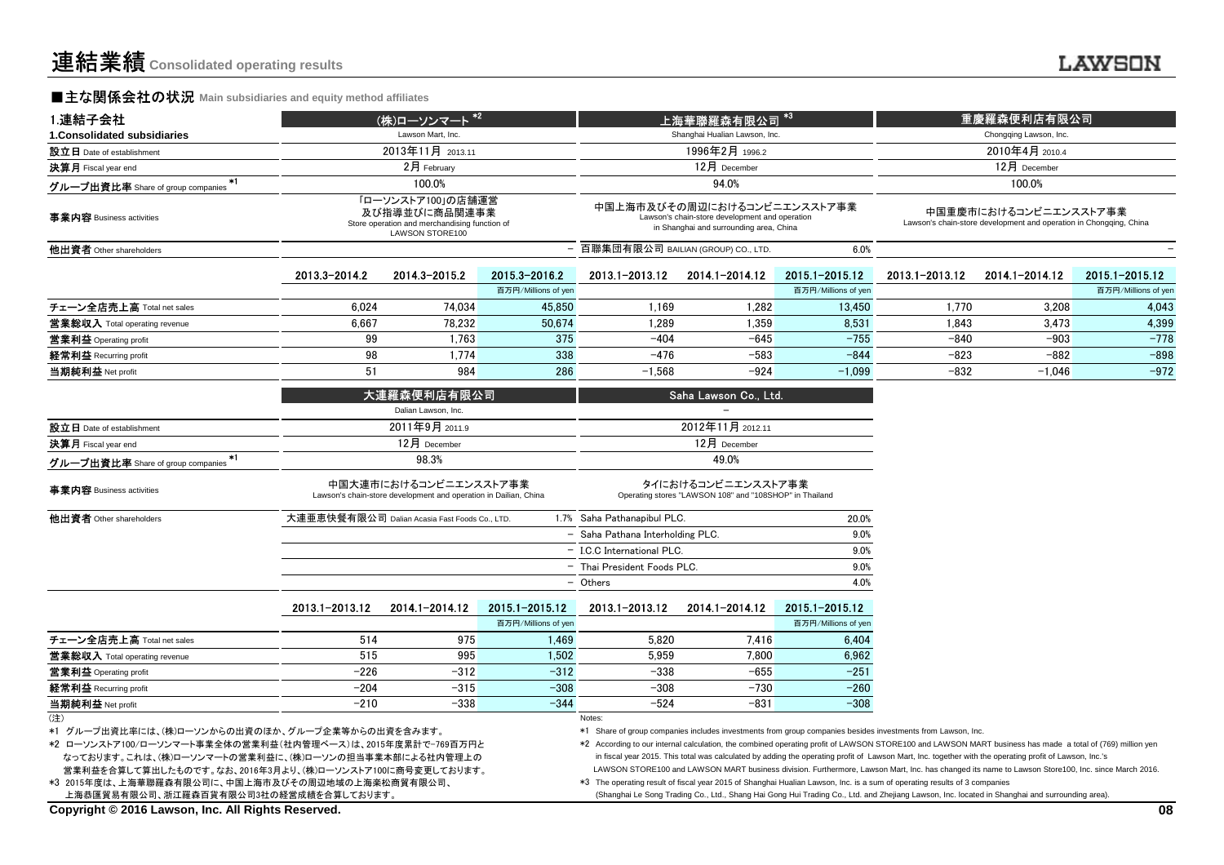#### .......

#### **■主な関係会社の状況** Main subsidiaries and equity method affiliates

| 1.連結子会社                                                                                                                                                                                                                                  |                                                                                                               | (株)ローソンマート *2                                                                             |                     |                                    | 上海華聯羅森有限公司                                                                                                               | $*3$                |                                                                                                                                                                                                                                                                                                                                                                                                                                                                                                                                                                                          | 重慶羅森便利店有限公司                                                                                 |                     |  |
|------------------------------------------------------------------------------------------------------------------------------------------------------------------------------------------------------------------------------------------|---------------------------------------------------------------------------------------------------------------|-------------------------------------------------------------------------------------------|---------------------|------------------------------------|--------------------------------------------------------------------------------------------------------------------------|---------------------|------------------------------------------------------------------------------------------------------------------------------------------------------------------------------------------------------------------------------------------------------------------------------------------------------------------------------------------------------------------------------------------------------------------------------------------------------------------------------------------------------------------------------------------------------------------------------------------|---------------------------------------------------------------------------------------------|---------------------|--|
| 1. Consolidated subsidiaries                                                                                                                                                                                                             |                                                                                                               | Lawson Mart, Inc.                                                                         |                     |                                    | Shanghai Hualian Lawson, Inc.                                                                                            |                     |                                                                                                                                                                                                                                                                                                                                                                                                                                                                                                                                                                                          | Chongqing Lawson, Inc.                                                                      |                     |  |
| 設立日 Date of establishment                                                                                                                                                                                                                |                                                                                                               | 2013年11月 2013.11                                                                          |                     | 1996年2月 1996.2                     |                                                                                                                          |                     |                                                                                                                                                                                                                                                                                                                                                                                                                                                                                                                                                                                          | 2010年4月 2010.4                                                                              |                     |  |
| 決算月 Fiscal year end                                                                                                                                                                                                                      |                                                                                                               | 2月 February                                                                               |                     |                                    | 12月 December                                                                                                             |                     |                                                                                                                                                                                                                                                                                                                                                                                                                                                                                                                                                                                          | 12月 December                                                                                |                     |  |
| *1<br>グループ出資比率 Share of group companies                                                                                                                                                                                                  |                                                                                                               | 100.0%                                                                                    |                     |                                    | 94.0%                                                                                                                    |                     |                                                                                                                                                                                                                                                                                                                                                                                                                                                                                                                                                                                          | 100.0%                                                                                      |                     |  |
| 事業内容 Business activities                                                                                                                                                                                                                 | 「ローソンストア100」の店舗運営<br>及び指導並びに商品関連事業<br>Store operation and merchandising function of<br><b>LAWSON STORE100</b> |                                                                                           |                     |                                    | 中国上海市及びその周辺におけるコンビニエンスストア事業<br>Lawson's chain-store development and operation<br>in Shanghai and surrounding area, China |                     |                                                                                                                                                                                                                                                                                                                                                                                                                                                                                                                                                                                          | 中国重慶市におけるコンビニエンスストア事業<br>Lawson's chain-store development and operation in Chongqing, China |                     |  |
| 他出資者 Other shareholders                                                                                                                                                                                                                  |                                                                                                               |                                                                                           |                     | 百聯集団有限公司 BAILIAN (GROUP) CO., LTD. |                                                                                                                          | 6.0%                |                                                                                                                                                                                                                                                                                                                                                                                                                                                                                                                                                                                          |                                                                                             |                     |  |
|                                                                                                                                                                                                                                          | 2013.3-2014.2                                                                                                 | 2014 3-2015 2                                                                             | 2015.3-2016.2       | 2013.1-2013.12                     | 2014.1-2014.12                                                                                                           | 2015.1-2015.12      | 2013.1-2013.12                                                                                                                                                                                                                                                                                                                                                                                                                                                                                                                                                                           | 2014.1-2014.12                                                                              | 2015.1-2015.12      |  |
|                                                                                                                                                                                                                                          |                                                                                                               |                                                                                           | 百万円/Millions of yer |                                    |                                                                                                                          | 百万円/Millions of yen |                                                                                                                                                                                                                                                                                                                                                                                                                                                                                                                                                                                          |                                                                                             | 百万円/Millions of yen |  |
| チェーン全店売上高 Total net sales                                                                                                                                                                                                                | 6,024                                                                                                         | 74,034                                                                                    | 45.850              | 1,169                              | 1,282                                                                                                                    | 13,450              | 1,770                                                                                                                                                                                                                                                                                                                                                                                                                                                                                                                                                                                    | 3,208                                                                                       | 4.043               |  |
| <b>営業総収入</b> Total operating revenue                                                                                                                                                                                                     | 6,667                                                                                                         | 78,232                                                                                    | 50,674              | 1,289                              | 1,359                                                                                                                    | 8,531               | 1,843                                                                                                                                                                                                                                                                                                                                                                                                                                                                                                                                                                                    | 3,473                                                                                       | 4,399               |  |
| 営業利益 Operating profit                                                                                                                                                                                                                    | 99                                                                                                            | 1.763                                                                                     | 375                 | $-404$                             | $-645$                                                                                                                   | $-755$              | $-840$                                                                                                                                                                                                                                                                                                                                                                                                                                                                                                                                                                                   | $-903$                                                                                      | $-778$              |  |
| 経常利益 Recurring profit                                                                                                                                                                                                                    | 98                                                                                                            | 1,774                                                                                     | 338                 | $-476$                             | $-583$                                                                                                                   | $-844$              | $-823$                                                                                                                                                                                                                                                                                                                                                                                                                                                                                                                                                                                   | $-882$                                                                                      | $-898$              |  |
| 当期純利益 Net profit                                                                                                                                                                                                                         | 51                                                                                                            | 984                                                                                       | 286                 | $-1,568$                           | $-924$                                                                                                                   | $-1.099$            | $-832$                                                                                                                                                                                                                                                                                                                                                                                                                                                                                                                                                                                   | $-1.046$                                                                                    | $-972$              |  |
|                                                                                                                                                                                                                                          |                                                                                                               | 大連羅森便利店有限公司<br>Dalian Lawson, Inc.                                                        |                     |                                    | Saha Lawson Co., Ltd.                                                                                                    |                     |                                                                                                                                                                                                                                                                                                                                                                                                                                                                                                                                                                                          |                                                                                             |                     |  |
| 設立日 Date of establishment                                                                                                                                                                                                                |                                                                                                               | 2011年9月 2011.9                                                                            |                     |                                    | 2012年11月 2012.11                                                                                                         |                     |                                                                                                                                                                                                                                                                                                                                                                                                                                                                                                                                                                                          |                                                                                             |                     |  |
| 決算月 Fiscal year end                                                                                                                                                                                                                      |                                                                                                               | 12月 December                                                                              |                     | 12月 December                       |                                                                                                                          |                     |                                                                                                                                                                                                                                                                                                                                                                                                                                                                                                                                                                                          |                                                                                             |                     |  |
| $*1$<br>グループ出資比率 Share of group companies                                                                                                                                                                                                |                                                                                                               | 98.3%                                                                                     |                     | 49.0%                              |                                                                                                                          |                     |                                                                                                                                                                                                                                                                                                                                                                                                                                                                                                                                                                                          |                                                                                             |                     |  |
| 事業内容 Business activities                                                                                                                                                                                                                 |                                                                                                               | 中国大連市におけるコンビニエンスストア事業<br>Lawson's chain-store development and operation in Dailian, China |                     |                                    | タイにおけるコンビニエンスストア事業<br>Operating stores "LAWSON 108" and "108SHOP" in Thailand                                            |                     |                                                                                                                                                                                                                                                                                                                                                                                                                                                                                                                                                                                          |                                                                                             |                     |  |
| 他出資者 Other shareholders                                                                                                                                                                                                                  |                                                                                                               | 大連亜恵快餐有限公司 Dalian Acasia Fast Foods Co., LTD.                                             |                     | 1.7% Saha Pathanapibul PLC.        |                                                                                                                          | 20.0%               |                                                                                                                                                                                                                                                                                                                                                                                                                                                                                                                                                                                          |                                                                                             |                     |  |
|                                                                                                                                                                                                                                          |                                                                                                               |                                                                                           |                     | - Saha Pathana Interholding PLC.   |                                                                                                                          | 9.0%                |                                                                                                                                                                                                                                                                                                                                                                                                                                                                                                                                                                                          |                                                                                             |                     |  |
|                                                                                                                                                                                                                                          |                                                                                                               |                                                                                           |                     | - I.C.C International PLC.         |                                                                                                                          | 9.0%                |                                                                                                                                                                                                                                                                                                                                                                                                                                                                                                                                                                                          |                                                                                             |                     |  |
|                                                                                                                                                                                                                                          |                                                                                                               |                                                                                           |                     | - Thai President Foods PLC.        |                                                                                                                          | 9.0%                |                                                                                                                                                                                                                                                                                                                                                                                                                                                                                                                                                                                          |                                                                                             |                     |  |
|                                                                                                                                                                                                                                          |                                                                                                               |                                                                                           |                     | - Others                           |                                                                                                                          | 4.0%                |                                                                                                                                                                                                                                                                                                                                                                                                                                                                                                                                                                                          |                                                                                             |                     |  |
|                                                                                                                                                                                                                                          | 2013.1-2013.12                                                                                                | 2014.1-2014.12                                                                            | 2015.1-2015.12      | 2013.1-2013.12                     | 2014.1-2014.12                                                                                                           | $2015.1 - 2015.12$  |                                                                                                                                                                                                                                                                                                                                                                                                                                                                                                                                                                                          |                                                                                             |                     |  |
|                                                                                                                                                                                                                                          |                                                                                                               |                                                                                           | 百万円/Millions of yen |                                    |                                                                                                                          | 百万円/Millions of yen |                                                                                                                                                                                                                                                                                                                                                                                                                                                                                                                                                                                          |                                                                                             |                     |  |
| チェーン全店売上高 Total net sales                                                                                                                                                                                                                | 514                                                                                                           | 975                                                                                       | 1,469               | 5,820                              | 7,416                                                                                                                    | 6,404               |                                                                                                                                                                                                                                                                                                                                                                                                                                                                                                                                                                                          |                                                                                             |                     |  |
| 営業総収入 Total operating revenue                                                                                                                                                                                                            | 515                                                                                                           | 995                                                                                       | 1.502               | 5.959                              | 7.800                                                                                                                    | 6.962               |                                                                                                                                                                                                                                                                                                                                                                                                                                                                                                                                                                                          |                                                                                             |                     |  |
| 営業利益 Operating profit                                                                                                                                                                                                                    | $-226$                                                                                                        | $-312$                                                                                    | $-312$              | $-338$                             | $-655$                                                                                                                   | $-251$              |                                                                                                                                                                                                                                                                                                                                                                                                                                                                                                                                                                                          |                                                                                             |                     |  |
| 経常利益 Recurring profit                                                                                                                                                                                                                    | $-204$                                                                                                        | $-315$                                                                                    | $-308$              | $-308$                             | $-730$                                                                                                                   | $-260$              |                                                                                                                                                                                                                                                                                                                                                                                                                                                                                                                                                                                          |                                                                                             |                     |  |
| 当期純利益 Net profit                                                                                                                                                                                                                         | $-210$                                                                                                        | $-338$                                                                                    | $-344$              | $-524$                             | $-831$                                                                                                                   | $-308$              |                                                                                                                                                                                                                                                                                                                                                                                                                                                                                                                                                                                          |                                                                                             |                     |  |
| (注)<br>*1 グループ出資比率には、(株)ローソンからの出資のほか、グループ企業等からの出資を含みます。<br>*2 ローソンストア100/ローソンマート事業全体の営業利益(社内管理ベース)は、2015年度累計で-769百万円と<br>なっております。これは、(株)ローソンマートの営業利益に、(株)ローソンの担当事業本部による社内管理上の<br>堂業利益を合算して算出したものです。なお、2016年3月より(株)ローソンストア100に商号変更しております。 |                                                                                                               |                                                                                           |                     | Notes:                             |                                                                                                                          |                     | *1 Share of group companies includes investments from group companies besides investments from Lawson, Inc.<br>*2 According to our internal calculation, the combined operating profit of LAWSON STORE100 and LAWSON MART business has made a total of (769) million yen<br>in fiscal year 2015. This total was calculated by adding the operating profit of Lawson Mart, Inc. together with the operating profit of Lawson, Inc.'s<br>LAWSON STORE100 and LAWSON MART business division. Furthermore, Lawson Mart, Inc. has changed its name to Lawson Store100, Inc. since March 2016. |                                                                                             |                     |  |

利益を合算して算出したものです。なお、2016年3月より、(株)ローソンストア100に商号変更しており 上海恭匯貿易有限公司、浙江羅森百貨有限公司3社の経営成績を合算しております。\*3 2015年度は、上海華聯羅森有限公司に、中国上海市及びその周辺地域の上海楽松商貿有限公司、

(Shanghai Le Song Trading Co., Ltd., Shang Hai Gong Hui Trading Co., Ltd. and Zhejiang Lawson, Inc. located in Shanghai and surrounding area).

\*3 The operating result of fiscal year 2015 of Shanghai Hualian Lawson, Inc. is a sum of operating results of 3 companies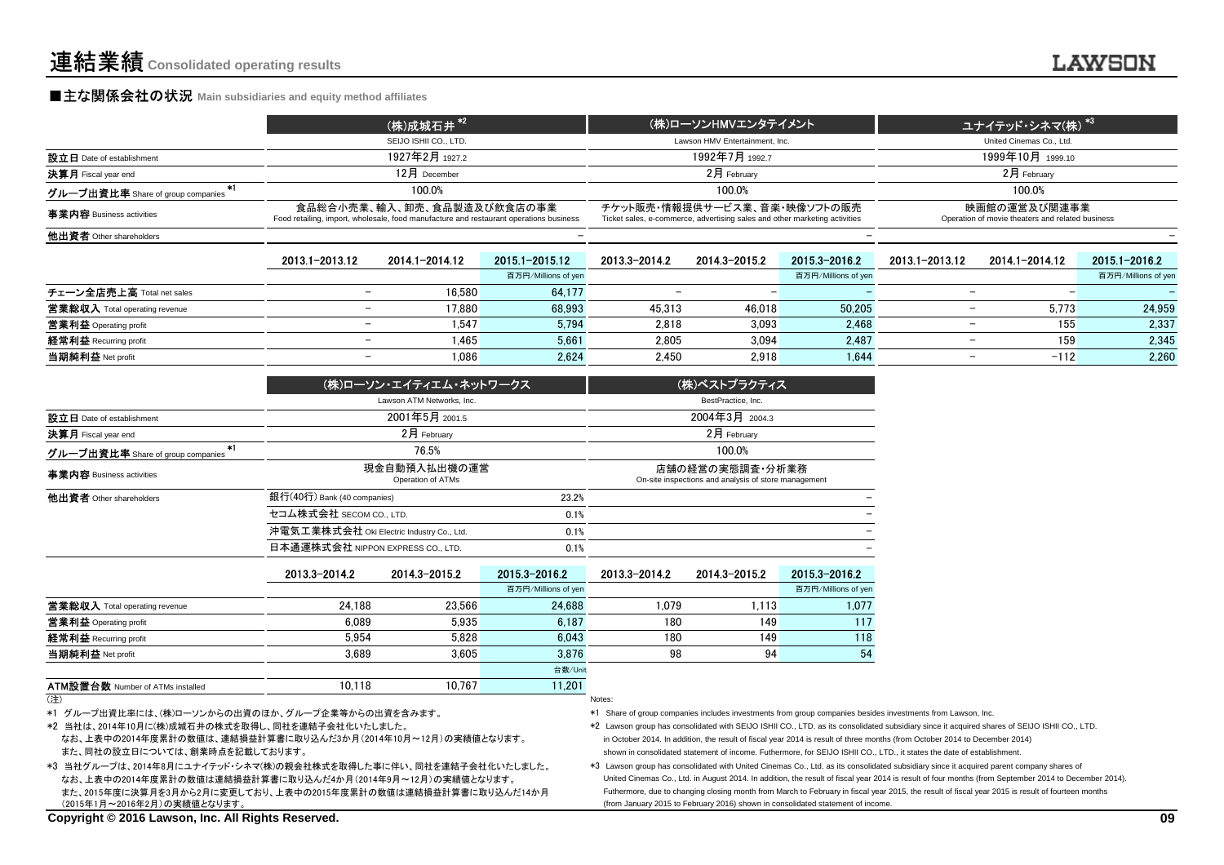#### **■主な関係会社の状況** Main subsidiaries and equity method affiliates

|                                                         | (株)成城石井 *2                                                                                                           | (株)ローソンHMVエンタテイメント                                                                                         | <b>、ユナイテッド・シネマ(株) *3 ↓</b>                                       |
|---------------------------------------------------------|----------------------------------------------------------------------------------------------------------------------|------------------------------------------------------------------------------------------------------------|------------------------------------------------------------------|
|                                                         | SEIJO ISHII CO., LTD.                                                                                                | Lawson HMV Entertainment. Inc.                                                                             | United Cinemas Co., Ltd.                                         |
| 設立日 Date of establishment                               | 1927年2月 1927.2                                                                                                       | 1992年7月 1992.7                                                                                             | 1999年10月 1999.10                                                 |
| 決算月 Fiscal year end                                     | $12$ 月 December                                                                                                      | $2$ 月 Februarv                                                                                             | $2$ 月 Februarv                                                   |
| グループ出資比率 Share of group companies $\tilde{\phantom{a}}$ | 100.0%                                                                                                               | 100.0%                                                                                                     | 100.0%                                                           |
| 事業内容 Business activities                                | 食品総合小売業、輸入、卸売、食品製造及び飲食店の事業<br>Food retailing, import, wholesale, food manufacture and restaurant operations business | チケット販売・情報提供サービス業、音楽・映像ソフトの販売<br>Ticket sales, e-commerce, advertising sales and other marketing activities | 映画館の運営及び関連事業<br>Operation of movie theaters and related business |
| 他出資者 Other shareholders                                 |                                                                                                                      |                                                                                                            |                                                                  |
|                                                         |                                                                                                                      |                                                                                                            |                                                                  |

|                                      | 2013.1-2013.12           | 2014.1-2014.12 | 2015.1-2015.12      | 2013.3-2014.2 | 2014.3-2015.2 | 2015.3-2016.2       | 2013.1-2013.12 | 2014.1-2014.12 | 2015.1-2016.2       |
|--------------------------------------|--------------------------|----------------|---------------------|---------------|---------------|---------------------|----------------|----------------|---------------------|
|                                      |                          |                | 百万円/Millions of yen |               |               | 百万円/Millions of yen |                |                | 百万円/Millions of yen |
| チェーン全店売上高 Total net sales            |                          | 16.580         | 64,177              |               |               |                     |                |                |                     |
| <b>営業総収入</b> Total operating revenue | $\overline{\phantom{0}}$ | 17.880         | 68,993              | 45.313        | 46.018        | 50,205              | -              | 5.773          | 24.959              |
| 営業利益 Operating profit                | $\overline{\phantom{0}}$ | 1.547          | 5,794               | 2.818         | 3.093         | 2.468               |                | 155            | 2,337               |
| 経常利益 Recurring profit                | $\overline{\phantom{0}}$ | 1.465          | 5.661               | 2.805         | 3.094         | 2.487               |                | 159            | 2.345               |
| 当期純利益 Net profit                     | $\overline{\phantom{0}}$ | 1.086          | 2,624               | 2.450         | 2.918         | 1,644               |                | $-112$         | 2,260               |
|                                      |                          |                |                     |               |               |                     |                |                |                     |

|                                           |                                           | (株)ローソン・エイティエム・ネットワークス                    |                     | (株)ベストプラクティス                                                            |                    |                     |
|-------------------------------------------|-------------------------------------------|-------------------------------------------|---------------------|-------------------------------------------------------------------------|--------------------|---------------------|
|                                           |                                           | Lawson ATM Networks, Inc.                 |                     |                                                                         | BestPractice, Inc. |                     |
| 設立日 Date of establishment                 |                                           | 2001年5月 2001.5                            |                     |                                                                         | 2004年3月 2004.3     |                     |
| 決算月 Fiscal year end                       |                                           | 2月 February                               |                     |                                                                         | 2月 February        |                     |
| $*1$<br>グループ出資比率 Share of group companies |                                           | 76.5%                                     |                     | 100.0%                                                                  |                    |                     |
| 事業内容 Business activities                  |                                           | 現金自動預入払出機の運営<br>Operation of ATMs         |                     | 店舗の経営の実態調査・分析業務<br>On-site inspections and analysis of store management |                    |                     |
| 他出資者 Other shareholders                   | 銀行(40行) Bank (40 companies)               |                                           | 23.2%               |                                                                         |                    |                     |
|                                           | セコム株式会社 SECOM CO., LTD.<br>0.1%           |                                           |                     |                                                                         |                    |                     |
|                                           | 沖電気工業株式会社 Oki Electric Industry Co., Ltd. |                                           | 0.1%                |                                                                         |                    |                     |
|                                           |                                           | 日本通運株式会社 NIPPON EXPRESS CO., LTD.<br>0.1% |                     |                                                                         |                    |                     |
|                                           | 2013 3-2014.2                             | 2014.3-2015.2                             | 2015.3-2016.2       | 2013.3-2014.2                                                           | 2014.3-2015.2      | 2015.3-2016.2       |
|                                           |                                           |                                           | 百万円/Millions of yen |                                                                         |                    | 百万円/Millions of yen |
| 営業総収入 Total operating revenue             | 24.188                                    | 23.566                                    | 24,688              | 1.079                                                                   | 1,113              | 1,077               |
| 営業利益 Operating profit                     | 6.089                                     | 5.935                                     | 6,187               | 149<br>180                                                              |                    | 117                 |
| 経常利益 Recurring profit                     | 5.954                                     | 5.828<br>6.043                            |                     | 180                                                                     | 149                | 118                 |
| 当期純利益 Net profit                          | 3.689                                     | 3.605                                     | 3.876               | 98                                                                      | 94                 | 54                  |
|                                           |                                           |                                           | 台数/Unit             |                                                                         |                    |                     |
| <b>ATM設置台数 Number of ATMs installed</b>   | 10.118                                    | 10.767                                    | 11.201              |                                                                         |                    |                     |

(注)) and the contract of the contract of the contract of the contract of the contract of the contract of the contract of the contract of the contract of the contract of the contract of the contract of the contract of the cont

\*1 グループ出資比率には、(株)ローソンからの出資のほか、グループ企業等からの出資を含みます。

\*2 当社は、2014年10月に(株)成城石井の株式を取得し、同社を連結子会社化いたしました。

 なお、上表中の2014年度累計の数値は、連結損益計算書に取り込んだ3か月(2014年10月~12月)の実績値となります。また、同社の設立日については、創業時点を記載しております。

\*3 当社グループは、2014年8月にユナイテッド・シネマ(株)の親会社株式を取得した事に伴い、同社を連結子会社化いたしました。 なお、上表中の2014年度累計の数値は連結損益計算書に取り込んだ4か月(2014年9月~12月)の実績値となります。また、2015年度に決算月を3月から2月に変更しており、上表中の2015年度累計の数値は連結損益計算書に取り込んだ14か月(2015年1月~2016年2月)の実績値となります。

数 Number of ATMs installed 10.118 10,767 11,201

\*1 Share of group companies includes investments from group companies besides investments from Lawson, Inc.

\*2 Lawson group has consolidated with SEIJO ISHII CO., LTD. as its consolidated subsidiary since it acquired shares of SEIJO ISHII CO., LTD.in October 2014. In addition, the result of fiscal year 2014 is result of three months (from October 2014 to December 2014)shown in consolidated statement of income. Futhermore, for SEIJO ISHII CO., LTD., it states the date of establishment.

 \*3 Lawson group has consolidated with United Cinemas Co., Ltd. as its consolidated subsidiary since it acquired parent company shares of United Cinemas Co., Ltd. in August 2014. In addition, the result of fiscal year 2014 is result of four months (from September 2014 to December 2014). Futhermore, due to changing closing month from March to February in fiscal year 2015, the result of fiscal year 2015 is result of fourteen months (from January 2015 to February 2016) shown in consolidated statement of income.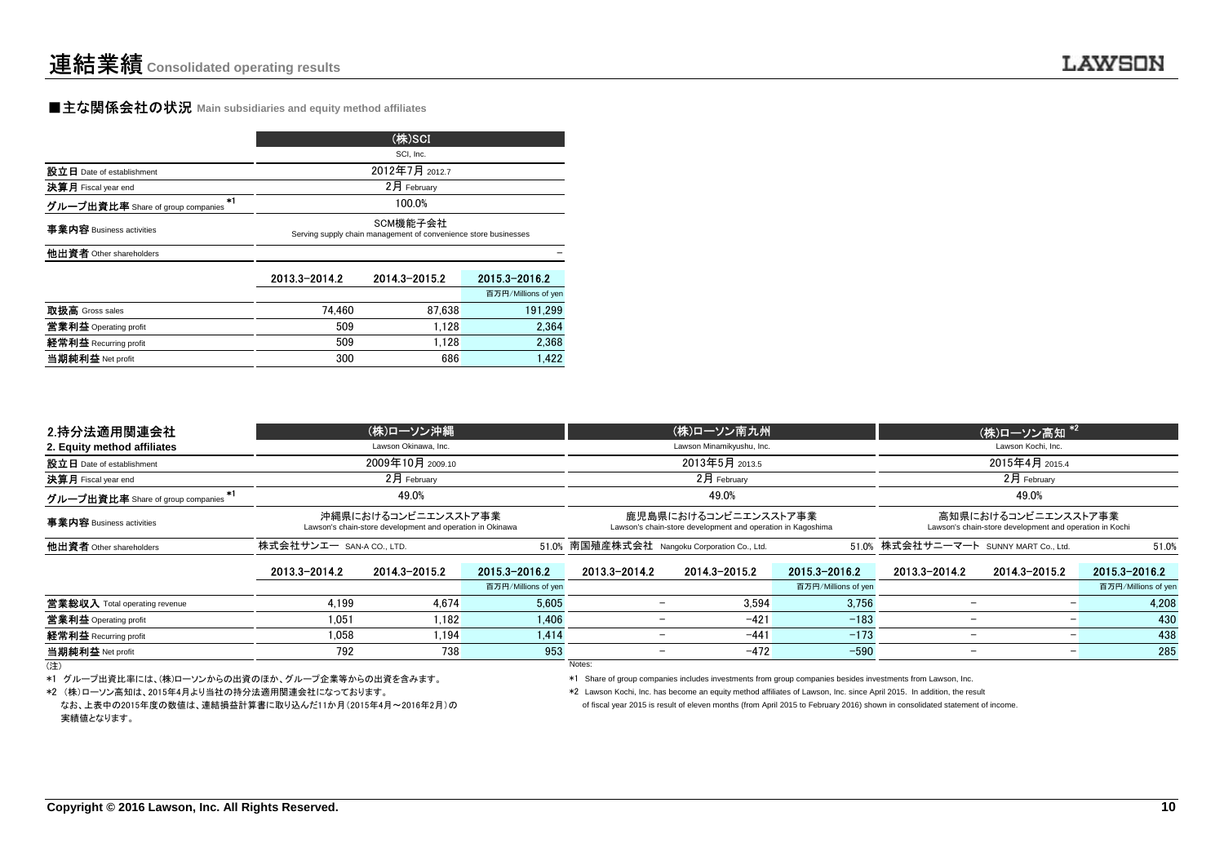#### **■主な関係会社の状況 Main subsidiaries and equity method affiliates**

|                                           | (株)SCI                                                                      |                |                     |  |  |  |  |
|-------------------------------------------|-----------------------------------------------------------------------------|----------------|---------------------|--|--|--|--|
|                                           |                                                                             | SCI, Inc.      |                     |  |  |  |  |
| 設立日 Date of establishment                 |                                                                             | 2012年7月 2012.7 |                     |  |  |  |  |
| 決算月 Fiscal year end                       |                                                                             | 2月 February    |                     |  |  |  |  |
| $+1$<br>グループ出資比率 Share of group companies | 100.0%                                                                      |                |                     |  |  |  |  |
| 事業内容 Business activities                  | SCM機能子会社<br>Serving supply chain management of convenience store businesses |                |                     |  |  |  |  |
| 他出資者 Other shareholders                   |                                                                             |                |                     |  |  |  |  |
|                                           | 2013.3-2014.2                                                               | 2014.3-2015.2  | 2015.3-2016.2       |  |  |  |  |
|                                           |                                                                             |                | 百万円/Millions of yen |  |  |  |  |
| 取扱高 Gross sales                           | 74.460                                                                      | 87.638         | 191.299             |  |  |  |  |
| 営業利益 Operating profit                     | 509                                                                         | 1.128          | 2.364               |  |  |  |  |
| 経常利益 Recurring profit                     | 509                                                                         | 1.128          | 2.368               |  |  |  |  |
| 当期純利益 Net profit                          | 300                                                                         | 686            | 1.422               |  |  |  |  |

 $\frac{1}{300}$  686 1,422

| 2.持分法適用関連会社                       |               | (株)ローソン沖縄                                                                                                                                                               |                     |                                              | (株)ローソン南九州     |                                                                                |                          | (株)ローソン高知 <sup>*2</sup>  |                     |
|-----------------------------------|---------------|-------------------------------------------------------------------------------------------------------------------------------------------------------------------------|---------------------|----------------------------------------------|----------------|--------------------------------------------------------------------------------|--------------------------|--------------------------|---------------------|
| 2. Equity method affiliates       |               | Lawson Okinawa, Inc.                                                                                                                                                    |                     | Lawson Minamikyushu, Inc.                    |                |                                                                                | Lawson Kochi, Inc.       |                          |                     |
| 設立日 Date of establishment         |               | 2009年10月 2009.10                                                                                                                                                        |                     |                                              | 2013年5月 2013.5 |                                                                                |                          | 2015年4月 2015.4           |                     |
| 決算月 Fiscal year end               |               | $2$ 月 February                                                                                                                                                          |                     |                                              | $2月$ February  |                                                                                |                          | $2月$ February            |                     |
| グループ出資比率 Share of group companies |               | 49.0%                                                                                                                                                                   |                     |                                              | 49.0%          |                                                                                |                          | 49.0%                    |                     |
| 事業内容 Business activities          |               | 沖縄県におけるコンビニエンスストア事業<br>鹿児島県におけるコンビニエンスストア事業<br>Lawson's chain-store development and operation in Okinawa<br>Lawson's chain-store development and operation in Kagoshima |                     |                                              |                | 高知県におけるコンビニエンスストア事業<br>Lawson's chain-store development and operation in Kochi |                          |                          |                     |
| 他出資者 Other shareholders           |               | 株式会社サンエー san-a coLTD.                                                                                                                                                   |                     | 51.0% 南国殖産株式会社 Nangoku Corporation Co., Ltd. |                | 51.0% 株式会社サニーマート SUNNY MART Co., Ltd.                                          |                          | 51.0%                    |                     |
|                                   | 2013.3-2014.2 | 2014.3-2015.2                                                                                                                                                           | 2015.3-2016.2       | 2013.3-2014.2                                | 2014.3-2015.2  | 2015.3-2016.2                                                                  | 2013.3-2014.2            | 2014.3-2015.2            | 2015.3-2016.2       |
|                                   |               |                                                                                                                                                                         | 百万円/Millions of yen |                                              |                | 百万円/Millions of yen                                                            |                          |                          | 百万円/Millions of yen |
| 営業総収入 Total operating revenue     | 4.199         | 4.674                                                                                                                                                                   | 5.605               |                                              | 3.594          | 3.756                                                                          |                          |                          | 4.208               |
| 営業利益 Operating profit             | 1.051         | 1.182                                                                                                                                                                   | 1.406               |                                              | $-421$         | $-183$                                                                         |                          |                          | 430                 |
| 経常利益 Recurring profit             | 1.058         | 1.194                                                                                                                                                                   | 1.414               |                                              | $-441$         | $-173$                                                                         | $\qquad \qquad$          |                          | 438                 |
| 当期純利益 Net profit                  | 792           | 738                                                                                                                                                                     | 953                 | $\overline{\phantom{0}}$                     | $-472$         | $-590$                                                                         | $\overline{\phantom{m}}$ | $\overline{\phantom{0}}$ | 285                 |
| (注)                               |               |                                                                                                                                                                         |                     | Notes:                                       |                |                                                                                |                          |                          |                     |

実績値となります。

\*1 グループ出資比率には、(株)ローソンからの出資のほか、グループ企業等からの出資を含みます。

なお、上表中の2015年度の数値は、連結損益計算書に取り込んだ11か月(2015年4月~2016年2月)の\*2 (株)ローソン高知は、2015年4月より当社の持分法適用関連会社になっております。

\*1 Share of group companies includes investments from group companies besides investments from Lawson, Inc.

\*2 Lawson Kochi, Inc. has become an equity method affiliates of Lawson, Inc. since April 2015. In addition, the result

of fiscal year 2015 is result of eleven months (from April 2015 to February 2016) shown in consolidated statement of income.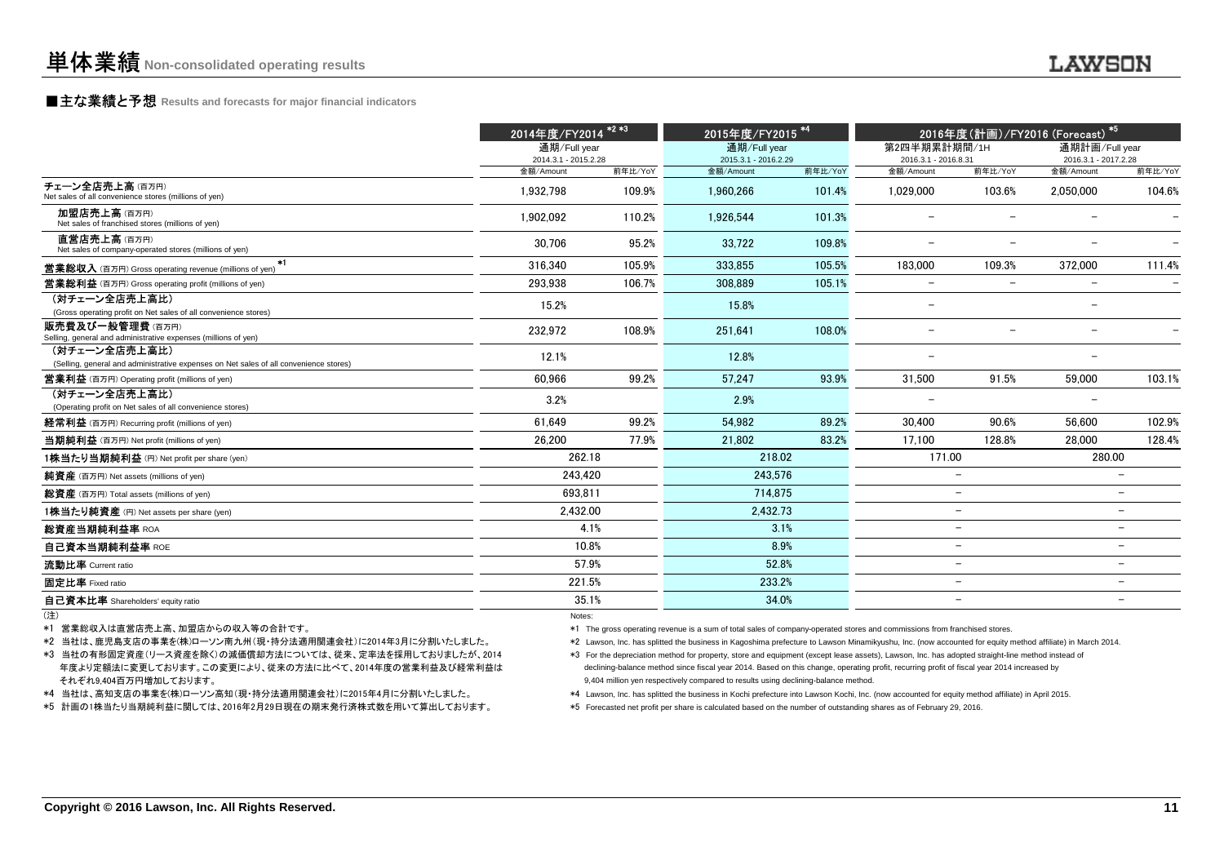### **■主な業績と予想** Results and forecasts for major financial indicators<br>
————————————————————

|                                                                                                                                                                                                                                                                                                                                                                           | 2014年度/FY2014 <sup>*2*3</sup>                                                                                                                                                                                                                                                                                                                                                                                                                                                                                                                                                                                                                                                                                                                                                                                                                                                                                                                                       |                   |                        | 2015年度/FY2015 <sup>*4</sup> |                          | 2016年度(計画)/FY2016 (Forecast) *5                      |                          |                          |  |
|---------------------------------------------------------------------------------------------------------------------------------------------------------------------------------------------------------------------------------------------------------------------------------------------------------------------------------------------------------------------------|---------------------------------------------------------------------------------------------------------------------------------------------------------------------------------------------------------------------------------------------------------------------------------------------------------------------------------------------------------------------------------------------------------------------------------------------------------------------------------------------------------------------------------------------------------------------------------------------------------------------------------------------------------------------------------------------------------------------------------------------------------------------------------------------------------------------------------------------------------------------------------------------------------------------------------------------------------------------|-------------------|------------------------|-----------------------------|--------------------------|------------------------------------------------------|--------------------------|--------------------------|--|
|                                                                                                                                                                                                                                                                                                                                                                           | 通期/Full year                                                                                                                                                                                                                                                                                                                                                                                                                                                                                                                                                                                                                                                                                                                                                                                                                                                                                                                                                        |                   | 通期/Full year           |                             | 第2四半期累計期間/1H             |                                                      | 通期計画/Full vear           |                          |  |
|                                                                                                                                                                                                                                                                                                                                                                           | 2014.3.1 - 2015.2.28                                                                                                                                                                                                                                                                                                                                                                                                                                                                                                                                                                                                                                                                                                                                                                                                                                                                                                                                                |                   | 2015.3.1 - 2016.2.29   |                             | 2016.3.1 - 2016.8.31     |                                                      | 2016.3.1 - 2017.2.28     |                          |  |
| チェーン全店売上高(百万円)<br>Net sales of all convenience stores (millions of yen)                                                                                                                                                                                                                                                                                                   | 金額/Amount<br>1.932.798                                                                                                                                                                                                                                                                                                                                                                                                                                                                                                                                                                                                                                                                                                                                                                                                                                                                                                                                              | 前年比/YoY<br>109.9% | 金額/Amount<br>1,960,266 | 前年比/YoY<br>101.4%           | 金額/Amount<br>1.029.000   | 前年比/YoY<br>103.6%                                    | 金額/Amount<br>2.050.000   | 前年比/YoY<br>104.6%        |  |
| 加盟店売上高(百万円)<br>Net sales of franchised stores (millions of yen)                                                                                                                                                                                                                                                                                                           | 1.902.092                                                                                                                                                                                                                                                                                                                                                                                                                                                                                                                                                                                                                                                                                                                                                                                                                                                                                                                                                           | 110.2%            | 1.926.544              | 101.3%                      | $\overline{a}$           |                                                      |                          |                          |  |
| 直営店売上高(百万円)<br>Net sales of company-operated stores (millions of yen)                                                                                                                                                                                                                                                                                                     | 30.706                                                                                                                                                                                                                                                                                                                                                                                                                                                                                                                                                                                                                                                                                                                                                                                                                                                                                                                                                              | 95.2%             | 33.722                 | 109.8%                      | $\overline{\phantom{0}}$ | $\overline{\phantom{0}}$                             | $\overline{\phantom{0}}$ |                          |  |
| <b>営業総収入</b> (百万円) Gross operating revenue (millions of yen) *1                                                                                                                                                                                                                                                                                                           | 316,340                                                                                                                                                                                                                                                                                                                                                                                                                                                                                                                                                                                                                                                                                                                                                                                                                                                                                                                                                             | 105.9%            | 333.855                | 105.5%                      | 183,000                  | 109.3%                                               | 372,000                  | 111.4%                   |  |
| <b>営業総利益</b> (百万円) Gross operating profit (millions of yen)                                                                                                                                                                                                                                                                                                               | 293.938                                                                                                                                                                                                                                                                                                                                                                                                                                                                                                                                                                                                                                                                                                                                                                                                                                                                                                                                                             | 106.7%            | 308.889                | 105.1%                      |                          |                                                      | $\overline{\phantom{a}}$ |                          |  |
| (対チェーン全店売上高比)<br>(Gross operating profit on Net sales of all convenience stores)                                                                                                                                                                                                                                                                                          | 15.2%                                                                                                                                                                                                                                                                                                                                                                                                                                                                                                                                                                                                                                                                                                                                                                                                                                                                                                                                                               |                   | 15.8%                  |                             | $\overline{\phantom{m}}$ |                                                      | $\overline{\phantom{0}}$ |                          |  |
| <b>販売費及び一般管理費</b> (百万円)<br>Selling, general and administrative expenses (millions of yen)                                                                                                                                                                                                                                                                                 | 232,972                                                                                                                                                                                                                                                                                                                                                                                                                                                                                                                                                                                                                                                                                                                                                                                                                                                                                                                                                             | 108.9%            | 251,641                | 108.0%                      | $\overline{\phantom{m}}$ | $\overline{\phantom{a}}$                             | $\overline{\phantom{0}}$ |                          |  |
| (対チェーン全店売上高比)<br>(Selling, general and administrative expenses on Net sales of all convenience stores)                                                                                                                                                                                                                                                                    | 12.1%                                                                                                                                                                                                                                                                                                                                                                                                                                                                                                                                                                                                                                                                                                                                                                                                                                                                                                                                                               |                   | 12.8%                  |                             | $\overline{\phantom{0}}$ |                                                      | $\overline{\phantom{0}}$ |                          |  |
| <b>営業利益</b> (百万円) Operating profit (millions of yen)                                                                                                                                                                                                                                                                                                                      | 60.966                                                                                                                                                                                                                                                                                                                                                                                                                                                                                                                                                                                                                                                                                                                                                                                                                                                                                                                                                              | 99.2%             | 57.247                 | 93.9%                       | 31.500                   | 91.5%                                                | 59.000                   | 103.1%                   |  |
| (対チェーン全店売上高比)<br>(Operating profit on Net sales of all convenience stores)                                                                                                                                                                                                                                                                                                | 3.2%                                                                                                                                                                                                                                                                                                                                                                                                                                                                                                                                                                                                                                                                                                                                                                                                                                                                                                                                                                |                   | 2.9%                   |                             |                          |                                                      | $\overline{\phantom{0}}$ |                          |  |
| 経常利益 (百万円) Recurring profit (millions of yen)                                                                                                                                                                                                                                                                                                                             | 61.649                                                                                                                                                                                                                                                                                                                                                                                                                                                                                                                                                                                                                                                                                                                                                                                                                                                                                                                                                              | 99.2%             | 54.982                 | 89.2%                       | 30.400                   | 90.6%                                                | 56.600                   | 102.9%                   |  |
| 当期純利益 (百万円) Net profit (millions of yen)                                                                                                                                                                                                                                                                                                                                  | 26,200                                                                                                                                                                                                                                                                                                                                                                                                                                                                                                                                                                                                                                                                                                                                                                                                                                                                                                                                                              | 77.9%             | 21,802                 | 83.2%                       | 17.100                   | 128.8%                                               | 28.000                   | 128.4%                   |  |
| 1株当たり当期純利益 (円) Net profit per share (yen)                                                                                                                                                                                                                                                                                                                                 | 262.18                                                                                                                                                                                                                                                                                                                                                                                                                                                                                                                                                                                                                                                                                                                                                                                                                                                                                                                                                              |                   | 218.02                 |                             | 171.00                   |                                                      | 280.00                   |                          |  |
| <b>純資産</b> (百万円) Net assets (millions of yen)                                                                                                                                                                                                                                                                                                                             | 243,420                                                                                                                                                                                                                                                                                                                                                                                                                                                                                                                                                                                                                                                                                                                                                                                                                                                                                                                                                             |                   | 243,576                |                             |                          | $\overline{\phantom{0}}$                             |                          | $\overline{\phantom{0}}$ |  |
| 総資産 (百万円) Total assets (millions of yen)                                                                                                                                                                                                                                                                                                                                  | 693,811                                                                                                                                                                                                                                                                                                                                                                                                                                                                                                                                                                                                                                                                                                                                                                                                                                                                                                                                                             |                   | 714.875                |                             |                          | $\overline{\phantom{0}}$                             |                          | $\equiv$                 |  |
| 1株当たり純資産 (円) Net assets per share (yen)                                                                                                                                                                                                                                                                                                                                   | 2,432.00                                                                                                                                                                                                                                                                                                                                                                                                                                                                                                                                                                                                                                                                                                                                                                                                                                                                                                                                                            |                   | 2,432.73               |                             |                          | $\overline{a}$                                       |                          | $\overline{\phantom{a}}$ |  |
| 総資産当期純利益率 ROA                                                                                                                                                                                                                                                                                                                                                             |                                                                                                                                                                                                                                                                                                                                                                                                                                                                                                                                                                                                                                                                                                                                                                                                                                                                                                                                                                     | 4.1%              |                        | 3.1%                        |                          | $\overline{\phantom{a}}$                             |                          | $\overline{\phantom{0}}$ |  |
| 自己資本当期純利益率 ROE                                                                                                                                                                                                                                                                                                                                                            | 10.8%                                                                                                                                                                                                                                                                                                                                                                                                                                                                                                                                                                                                                                                                                                                                                                                                                                                                                                                                                               |                   |                        | 8.9%                        |                          | $\overline{\phantom{a}}$                             |                          | $\overline{\phantom{0}}$ |  |
| 流動比率 Current ratio                                                                                                                                                                                                                                                                                                                                                        | 57.9%                                                                                                                                                                                                                                                                                                                                                                                                                                                                                                                                                                                                                                                                                                                                                                                                                                                                                                                                                               |                   | 52.8%                  |                             | $\overline{\phantom{a}}$ |                                                      |                          |                          |  |
| 固定比率 Fixed ratio                                                                                                                                                                                                                                                                                                                                                          | 221.5%                                                                                                                                                                                                                                                                                                                                                                                                                                                                                                                                                                                                                                                                                                                                                                                                                                                                                                                                                              |                   | 233.2%                 |                             |                          | $\overline{\phantom{a}}$<br>$\overline{\phantom{0}}$ |                          |                          |  |
| 自己資本比率 Shareholders' equity ratio                                                                                                                                                                                                                                                                                                                                         | 35.1%                                                                                                                                                                                                                                                                                                                                                                                                                                                                                                                                                                                                                                                                                                                                                                                                                                                                                                                                                               |                   | 34.0%                  |                             |                          | $\overline{\phantom{0}}$                             |                          |                          |  |
| (注)<br>*1 営業総収入は直営店売上高、加盟店からの収入等の合計です。<br>*2 当社は、鹿児島支店の事業を(株)ローソン南九州(現・持分法適用関連会社)に2014年3月に分割いたしました。<br>*3 当社の有形固定資産(リース資産を除く)の減価償却方法については、従来、定率法を採用しておりましたが、2014<br>年度より定額法に変更しております。この変更により、従来の方法に比べて、2014年度の営業利益及び経常利益は<br>それぞれ9,404百万円増加しております。<br>*4 当社は、高知支店の事業を(株)ローソン高知(現・持分法適用関連会社)に2015年4月に分割いたしました。<br>*5 計画の1株当たり当期純利益に関しては、2016年2月29日現在の期末発行済株式数を用いて算出しております。 | Notes:<br>*1 The gross operating revenue is a sum of total sales of company-operated stores and commissions from franchised stores.<br>*2 Lawson, Inc. has splitted the business in Kagoshima prefecture to Lawson Minamikyushu, Inc. (now accounted for equity method affiliate) in March 2014.<br>*3 For the depreciation method for property, store and equipment (except lease assets), Lawson, Inc. has adopted straight-line method instead of<br>declining-balance method since fiscal year 2014. Based on this change, operating profit, recurring profit of fiscal year 2014 increased by<br>9,404 million yen respectively compared to results using declining-balance method.<br>*4 Lawson, Inc. has splitted the business in Kochi prefecture into Lawson Kochi, Inc. (now accounted for equity method affiliate) in April 2015.<br>*5 Forecasted net profit per share is calculated based on the number of outstanding shares as of February 29, 2016. |                   |                        |                             |                          |                                                      |                          |                          |  |
| Copyright © 2016 Lawson, Inc. All Rights Reserved.                                                                                                                                                                                                                                                                                                                        |                                                                                                                                                                                                                                                                                                                                                                                                                                                                                                                                                                                                                                                                                                                                                                                                                                                                                                                                                                     |                   |                        |                             |                          |                                                      |                          | 11                       |  |

(注)

- 
- 
- 
-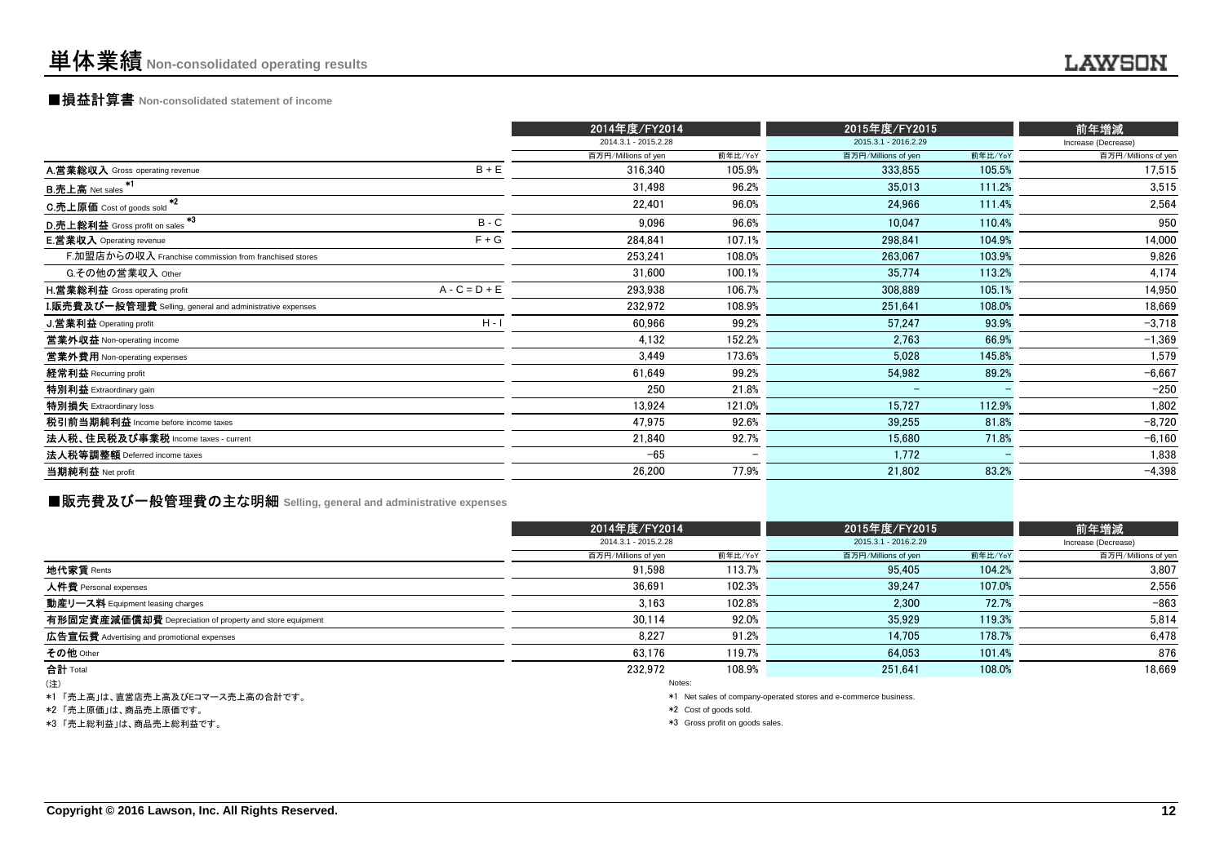### ■損益計算書 **Non-consolidated statement of income**

|                                                           |                 | 2014年度/FY2014        |         | 2015年度/FY2015        |         | 前年増減                |
|-----------------------------------------------------------|-----------------|----------------------|---------|----------------------|---------|---------------------|
|                                                           |                 | 2014.3.1 - 2015.2.28 |         | 2015.3.1 - 2016.2.29 |         | Increase (Decrease) |
|                                                           |                 | 百万円/Millions of yen  | 前年比/YoY | 百万円/Millions of yen  | 前年比/YoY | 百万円/Millions of yen |
| A.営業総収入 Gross operating revenue                           | $B + E$         | 316,340              | 105.9%  | 333,855              | 105.5%  | 17,515              |
| B.売上高 Net sales <sup>*1</sup>                             |                 | 31,498               | 96.2%   | 35,013               | 111.2%  | 3.515               |
| $*2$<br>C.売上原価 Cost of goods sold                         |                 | 22,401               | 96.0%   | 24,966               | 111.4%  | 2,564               |
| *3<br>D.売上総利益 Gross profit on sales                       | $B - C$         | 9,096                | 96.6%   | 10,047               | 110.4%  | 950                 |
| <b>E.営業収入</b> Operating revenue                           | $F + G$         | 284.841              | 107.1%  | 298,841              | 104.9%  | 14,000              |
| F.加盟店からの収入 Franchise commission from franchised stores    |                 | 253.241              | 108.0%  | 263.067              | 103.9%  | 9.826               |
| G.その他の営業収入 Other                                          |                 | 31,600               | 100.1%  | 35,774               | 113.2%  | 4,174               |
| <b>H.営業総利益</b> Gross operating profit                     | $A - C = D + E$ | 293,938              | 106.7%  | 308,889              | 105.1%  | 14,950              |
| I.販売費及び一般管理費 Selling, general and administrative expenses |                 | 232,972              | 108.9%  | 251,641              | 108.0%  | 18,669              |
| J.営業利益 Operating profit                                   | $H - I$         | 60,966               | 99.2%   | 57,247               | 93.9%   | $-3,718$            |
| 営業外収益 Non-operating income                                |                 | 4,132                | 152.2%  | 2,763                | 66.9%   | $-1,369$            |
| 営業外費用 Non-operating expenses                              |                 | 3,449                | 173.6%  | 5,028                | 145.8%  | 1,579               |
| 経常利益 Recurring profit                                     |                 | 61,649               | 99.2%   | 54,982               | 89.2%   | $-6.667$            |
| 特別利益 Extraordinary gain                                   |                 | 250                  | 21.8%   | -                    |         | $-250$              |
| 特別損失 Extraordinary loss                                   |                 | 13,924               | 121.0%  | 15,727               | 112.9%  | 1,802               |
| 税引前当期純利益 Income before income taxes                       |                 | 47,975               | 92.6%   | 39,255               | 81.8%   | $-8,720$            |
| 法人税、住民税及び事業税 Income taxes - current                       |                 | 21,840               | 92.7%   | 15,680               | 71.8%   | $-6,160$            |
| 法人税等調整額 Deferred income taxes                             |                 | $-65$                |         | 1,772                |         | 1,838               |
| 当期純利益 Net profit                                          |                 | 26,200               | 77.9%   | 21,802               | 83.2%   | $-4,398$            |
|                                                           |                 |                      |         |                      |         |                     |

### **■販売費及び一般管理費の主な明細** Selling, general and administrative expenses

|                                                          |                      | 2014年度/FY2014 |                                                                 | 2015年度/FY2015 |                             |  |
|----------------------------------------------------------|----------------------|---------------|-----------------------------------------------------------------|---------------|-----------------------------|--|
|                                                          | 2014.3.1 - 2015.2.28 |               | 2015.3.1 - 2016.2.29                                            |               | 前年増減<br>Increase (Decrease) |  |
|                                                          | 百万円/Millions of yen  | 前年比/YoY       | 百万円/Millions of yen                                             | 前年比/YoY       | 百万円/Millions of yen         |  |
| 地代家賃 Rents                                               | 91.598               | 113.7%        | 95,405                                                          | 104.2%        | 3.807                       |  |
| 人件費 Personal expenses                                    | 36.691               | 102.3%        | 39.247                                                          | 107.0%        | 2,556                       |  |
| 動産リース料 Equipment leasing charges                         | 3.163                | 102.8%        | 2.300                                                           | 72.7%         | $-863$                      |  |
| 有形固定資産減価償却費 Depreciation of property and store equipment | 30.114               | 92.0%         | 35.929                                                          | 119.3%        | 5,814                       |  |
| <b>広告宣伝費</b> Advertising and promotional expenses        | 8.227                | 91.2%         | 14.705                                                          | 178.7%        | 6.478                       |  |
| その他 Other                                                | 63,176               | 119.7%        | 64.053                                                          | 101.4%        | 876                         |  |
| 合計 Total                                                 | 232.972              | 108.9%        | 251.641                                                         | 108.0%        | 18,669                      |  |
| (注)                                                      |                      | Notes:        |                                                                 |               |                             |  |
| *1「売上高」は、直覚店売上高及びドコマース売上高の会計です。                          |                      |               | *1 Net sales of company-operated stores and e-commerce business |               |                             |  |

「売上高」は、直宮店売上高及ひEコマース売上高の合計です。<br>-

\*2 「売上原価」は、商品売上原価です。

\*3 「売上総利益」は、商品売上総利益です。

\*1 Net sales of company-operated stores and e-commerce business.

\*2 Cost of goods sold.

\*3 Gross profit on goods sales.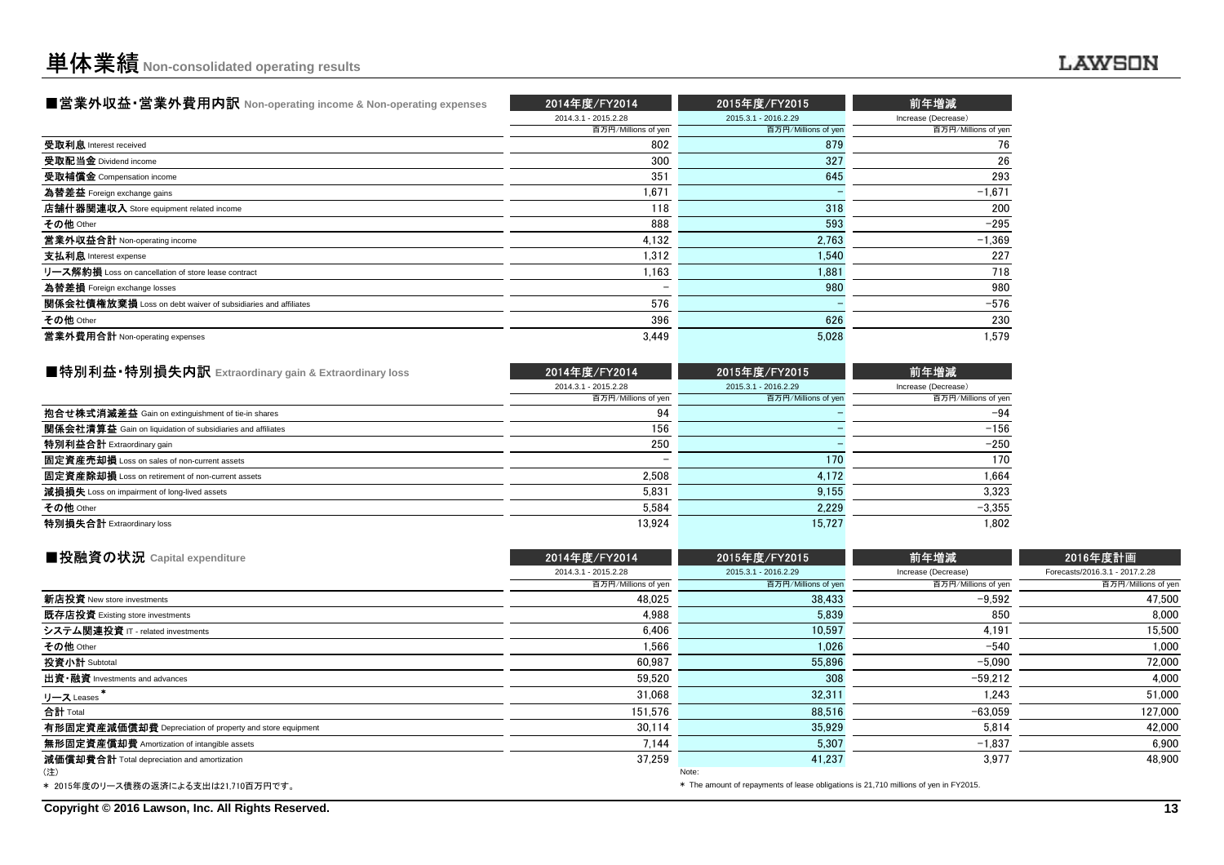| ■営業外収益・営業外費用内訳 Non-operating income & Non-operating expenses | 2014年度/FY2014        | 2015年度/FY2015        | 前年増減                |
|--------------------------------------------------------------|----------------------|----------------------|---------------------|
|                                                              | 2014.3.1 - 2015.2.28 | 2015.3.1 - 2016.2.29 | Increase (Decrease) |
|                                                              | 百万円/Millions of yen  | 百万円/Millions of yen  | 百万円/Millions of yen |
| 受取利息 Interest received                                       | 802                  | 879                  | 76                  |
| 受取配当金 Dividend income                                        | 300                  | 327                  | 26                  |
| 受取補償金 Compensation income                                    | 351                  | 645                  | 293                 |
| 為替差益 Foreign exchange gains                                  | 1,671                |                      | $-1,671$            |
| 店舗什器関連収入 Store equipment related income                      | 118                  | 318                  | 200                 |
| その他 Other                                                    | 888                  | 593                  | $-295$              |
| 営業外収益合計 Non-operating income                                 | 4.132                | 2.763                | $-1,369$            |
| 支払利息 Interest expense                                        | 1.312                | 1.540                | 227                 |
| リース解約損 Loss on cancellation of store lease contract          | 1.163                | 1.881                | 718                 |
| 為替差損 Foreign exchange losses                                 |                      | 980                  | 980                 |
| 関係会社債権放棄損 Loss on debt waiver of subsidiaries and affiliates | 576                  |                      | $-576$              |
| その他 Other                                                    | 396                  | 626                  | 230                 |
| 営業外費用合計 Non-operating expenses                               | 3,449                | 5.028                | 1.579               |

| ■特別利益•特別損失内訳 Extraordinary gain & Extraordinary loss              | 2014年度/FY2014        | 2015年度/FY2015        | 前年増減                |
|-------------------------------------------------------------------|----------------------|----------------------|---------------------|
|                                                                   | 2014.3.1 - 2015.2.28 | 2015.3.1 - 2016.2.29 | Increase (Decrease) |
|                                                                   | 百万円/Millions of yen  | 百万円/Millions of yen  | 百万円/Millions of yen |
| 抱合せ株式消滅差益 Gain on extinguishment of tie-in shares                 | 94                   |                      | $-94$               |
| <b>関係会社清算益</b> Gain on liquidation of subsidiaries and affiliates | 156                  |                      | $-156$              |
| 特別利益合計 Extraordinary gain                                         | 250                  |                      | $-250$              |
| 固定資産売却損 Loss on sales of non-current assets                       |                      | 170                  | 170                 |
| 固定資産除却損 Loss on retirement of non-current assets                  | 2.508                | 4.172                | .664                |
| 減損損失 Loss on impairment of long-lived assets                      | 5.831                | 9.155                | 3.323               |
| その他 Other                                                         | 5.584                | 2.229                | $-3,355$            |
| 特別損失合計 Extraordinary loss                                         | 13.924               | 15.727               | 1.802               |
|                                                                   |                      |                      |                     |

| ■投融資の状況 Capital expenditure                              | 2014年度/FY2014                                                                        | 2015年度/FY2015        | 前年増減                | 2016年度計画                       |  |  |
|----------------------------------------------------------|--------------------------------------------------------------------------------------|----------------------|---------------------|--------------------------------|--|--|
|                                                          | 2014.3.1 - 2015.2.28                                                                 | 2015.3.1 - 2016.2.29 | Increase (Decrease) | Forecasts/2016.3.1 - 2017.2.28 |  |  |
|                                                          | 百万円/Millions of yen                                                                  | 百万円/Millions of yen  | 百万円/Millions of yen | 百万円/Millions of yen            |  |  |
| 新店投資 New store investments                               | 48.025                                                                               | 38,433               | $-9,592$            | 47,500                         |  |  |
| 既存店投資 Existing store investments                         | 4.988                                                                                | 5.839                | 850                 | 8,000                          |  |  |
| システム関連投資 IT - related investments                        | 6,406                                                                                | 10,597               | 4,191               | 15,500                         |  |  |
| その他 Other                                                | 1,566                                                                                | 1,026                | $-540$              | 1,000                          |  |  |
| 投資小計 Subtotal                                            | 60.987                                                                               | 55,896               | $-5.090$            | 72,000                         |  |  |
| 出資·融資 Investments and advances                           | 59.520                                                                               | 308                  | $-59.212$           | 4.000                          |  |  |
| リース Leases                                               | 31,068                                                                               | 32,311               | 1,243               | 51,000                         |  |  |
| 合計 Total                                                 | 151.576                                                                              | 88,516               | $-63.059$           | 127,000                        |  |  |
| 有形固定資産減価償却費 Depreciation of property and store equipment | 30.114                                                                               | 35.929               | 5.814               | 42,000                         |  |  |
| 無形固定資産償却費 Amortization of intangible assets              | 7.144                                                                                | 5,307                | $-1,837$            | 6,900                          |  |  |
| 減価償却費合計 Total depreciation and amortization              | 37.259                                                                               | 41,237               | 3.977               | 48.900                         |  |  |
| (注)                                                      |                                                                                      | Note:                |                     |                                |  |  |
| * 2015年度のリース債務の返済による支出は21,710百万円です。                      | * The amount of repayments of lease obligations is 21,710 millions of yen in FY2015. |                      |                     |                                |  |  |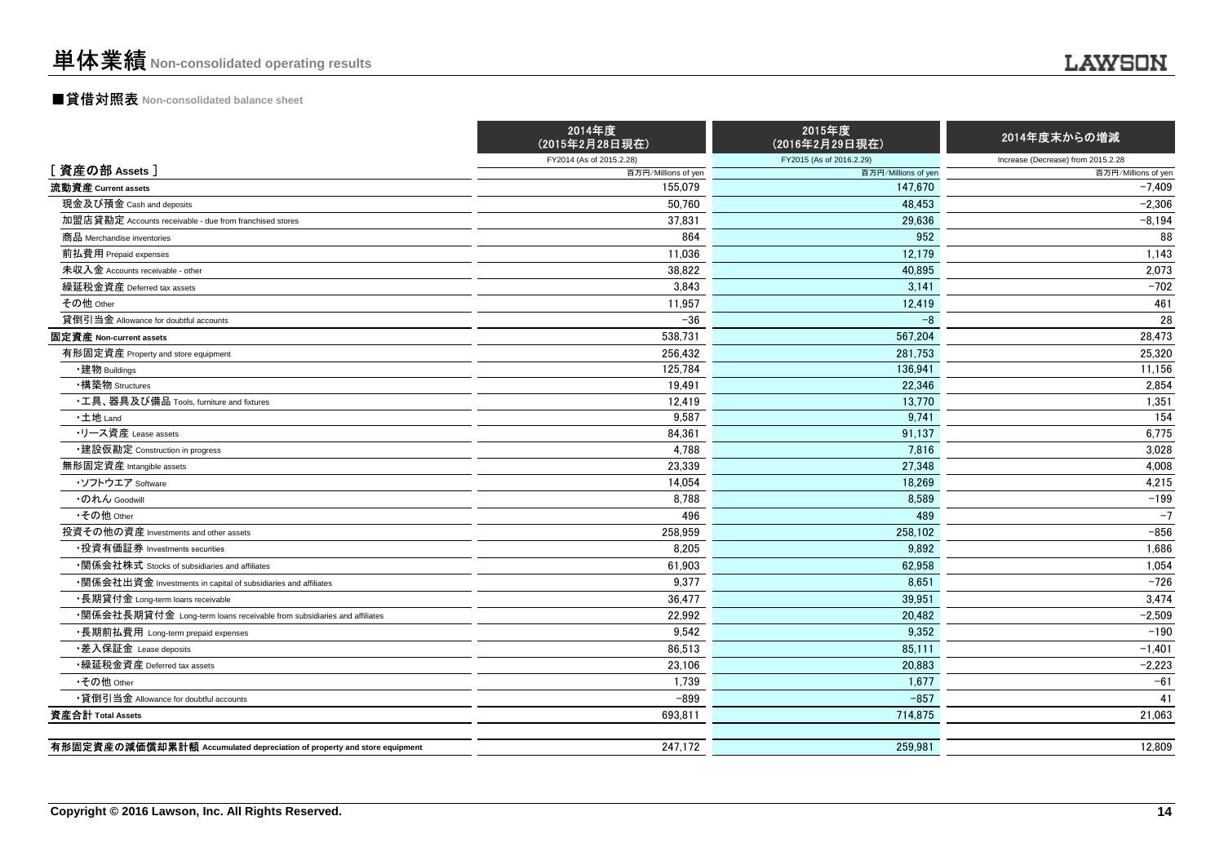### ■貸借対照表 **Non-consolidated balance sheet**

|                                                                         | 2014年度<br>(2015年2月28日現在) | 2015年度<br>(2016年2月29日現在) | 2014年度末からの増減                       |
|-------------------------------------------------------------------------|--------------------------|--------------------------|------------------------------------|
|                                                                         | FY2014 (As of 2015.2.28) | FY2015 (As of 2016.2.29) | Increase (Decrease) from 2015.2.28 |
| [資産の部 Assets]                                                           | 百万円/Millions of yen      | 百万円/Millions of yen      | 百万円/Millions of yen                |
| 流動資産 Current assets                                                     | 155,079                  | 147,670                  | $-7,409$                           |
| 現金及び預金 Cash and deposits                                                | 50.760                   | 48.453                   | $-2,306$                           |
| 加盟店貸勘定 Accounts receivable - due from franchised stores                 | 37.831                   | 29.636                   | $-8,194$                           |
| 商品 Merchandise inventories                                              | 864                      | 952                      | 88                                 |
| 前払費用 Prepaid expenses                                                   | 11,036                   | 12.179                   | 1,143                              |
| 未収入金 Accounts receivable - other                                        | 38,822                   | 40,895                   | 2,073                              |
| 繰延税金資産 Deferred tax assets                                              | 3.843                    | 3.141                    | $-702$                             |
| その他 Other                                                               | 11,957                   | 12,419                   | 461                                |
| 貸倒引当金 Allowance for doubtful accounts                                   | $-36$                    | $-8$                     | 28                                 |
| 固定資産 Non-current assets                                                 | 538,731                  | 567.204                  | 28,473                             |
| 有形固定資産 Property and store equipment                                     | 256,432                  | 281,753                  | 25,320                             |
| ・建物 Buildings                                                           | 125,784                  | 136,941                  | 11,156                             |
| ・構築物 Structures                                                         | 19,491                   | 22,346                   | 2,854                              |
| ・工具、器具及び備品 Tools, furniture and fixtures                                | 12,419                   | 13,770                   | 1,351                              |
| ·土地 Land                                                                | 9,587                    | 9.741                    | 154                                |
| ・リース資産 Lease assets                                                     | 84,361                   | 91,137                   | 6,775                              |
| ・建設仮勘定 Construction in progress                                         | 4.788                    | 7.816                    | 3,028                              |
| 無形固定資産 Intangible assets                                                | 23.339                   | 27.348                   | 4.008                              |
| ・ソフトウエア Software                                                        | 14.054                   | 18.269                   | 4.215                              |
| ・のれん Goodwill                                                           | 8,788                    | 8.589                    | $-199$                             |
| •その他 Other                                                              | 496                      | 489                      | $-7$                               |
| 投資その他の資産 Investments and other assets                                   | 258,959                  | 258,102                  | $-856$                             |
| ・投資有価証券 Investments securities                                          | 8,205                    | 9.892                    | 1,686                              |
| ・関係会社株式 Stocks of subsidiaries and affiliates                           | 61,903                   | 62,958                   | 1,054                              |
| •関係会社出資金 Investments in capital of subsidiaries and affiliates          | 9,377                    | 8,651                    | $-726$                             |
| ・長期貸付金 Long-term loans receivable                                       | 36,477                   | 39,951                   | 3,474                              |
| •関係会社長期貸付金 Long-term loans receivable from subsidiaries and affiliates  | 22,992                   | 20,482                   | $-2,509$                           |
| ・長期前払費用 Long-term prepaid expenses                                      | 9,542                    | 9,352                    | $-190$                             |
| •差入保証金 Lease deposits                                                   | 86,513                   | 85,111                   | $-1,401$                           |
| •繰延税金資産 Deferred tax assets                                             | 23.106                   | 20.883                   | $-2,223$                           |
| •その他 Other                                                              | 1,739                    | 1,677                    | $-61$                              |
| •貸倒引当金 Allowance for doubtful accounts                                  | $-899$                   | $-857$                   | 41                                 |
| 資産合計 Total Assets                                                       | 693,811                  | 714,875                  | 21,063                             |
|                                                                         |                          |                          |                                    |
| 有形固定資産の減価償却累計額 Accumulated depreciation of property and store equipment | 247,172                  | 259,981                  | 12,809                             |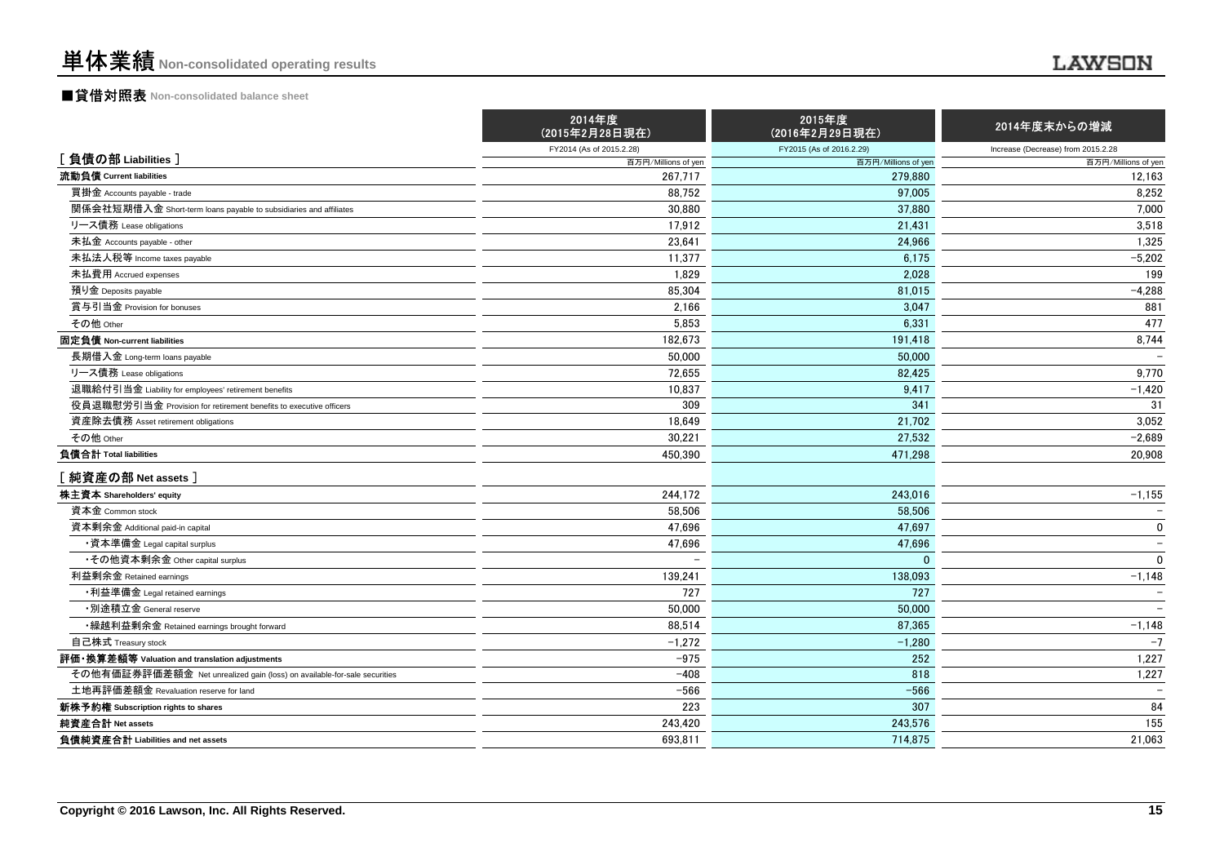### ■貸借対照表 **Non-consolidated balance sheet**

|                                                                          | 2014年度<br>(2015年2月28日現在) | 2015年度<br>(2016年2月29日現在) | 2014年度末からの増減                       |
|--------------------------------------------------------------------------|--------------------------|--------------------------|------------------------------------|
|                                                                          | FY2014 (As of 2015.2.28) | FY2015 (As of 2016.2.29) | Increase (Decrease) from 2015.2.28 |
| [負債の部 Liabilities]                                                       | 百万円/Millions of yen      | 百万円/Millions of yen      | 百万円/Millions of yen                |
| 流動負債 Current liabilities                                                 | 267.717                  | 279.880                  | 12,163                             |
| 買掛金 Accounts payable - trade                                             | 88,752                   | 97.005                   | 8,252                              |
| 関係会社短期借入金 Short-term loans payable to subsidiaries and affiliates        | 30,880                   | 37,880                   | 7,000                              |
| リース債務 Lease obligations                                                  | 17,912                   | 21,431                   | 3,518                              |
| 未払金 Accounts payable - other                                             | 23,641                   | 24.966                   | 1,325                              |
| 未払法人税等 Income taxes payable                                              | 11,377                   | 6.175                    | $-5,202$                           |
| 未払費用 Accrued expenses                                                    | 1,829                    | 2.028                    | 199                                |
| 預り金 Deposits payable                                                     | 85,304                   | 81,015                   | $-4,288$                           |
| 賞与引当金 Provision for bonuses                                              | 2,166                    | 3,047                    | 881                                |
| その他 Other                                                                | 5,853                    | 6.331                    | 477                                |
| 固定負債 Non-current liabilities                                             | 182,673                  | 191,418                  | 8,744                              |
| 長期借入金 Long-term loans payable                                            | 50,000                   | 50,000                   |                                    |
| リース債務 Lease obligations                                                  | 72,655                   | 82.425                   | 9,770                              |
| 退職給付引当金 Liability for employees' retirement benefits                     | 10,837                   | 9,417                    | $-1,420$                           |
| 役員退職慰労引当金 Provision for retirement benefits to executive officers        | 309                      | 341                      | 31                                 |
| 資産除去債務 Asset retirement obligations                                      | 18.649                   | 21.702                   | 3,052                              |
| その他 Other                                                                | 30,221                   | 27,532                   | $-2,689$                           |
| 負債合計 Total liabilities                                                   | 450,390                  | 471,298                  | 20,908                             |
| [純資産の部 Net assets]                                                       |                          |                          |                                    |
| 株主資本 Shareholders' equity                                                | 244,172                  | 243,016                  | $-1,155$                           |
| 資本金 Common stock                                                         | 58,506                   | 58,506                   |                                    |
| 資本剰余金 Additional paid-in capital                                         | 47,696                   | 47,697                   | $\mathbf 0$                        |
| ・資本準備金 Legal capital surplus                                             | 47,696                   | 47.696                   | $\overline{\phantom{a}}$           |
| •その他資本剰余金 Other capital surplus                                          | $\overline{\phantom{a}}$ | $\Omega$                 | $\mathbf 0$                        |
| 利益剰余金 Retained earnings                                                  | 139,241                  | 138,093                  | $-1,148$                           |
| •利益準備金 Legal retained earnings                                           | 727                      | 727                      |                                    |
| ・別途積立金 General reserve                                                   | 50,000                   | 50,000                   |                                    |
| ・繰越利益剰余金 Retained earnings brought forward                               | 88,514                   | 87,365                   | $-1,148$                           |
| 自己株式 Treasury stock                                                      | $-1,272$                 | $-1,280$                 | $-7$                               |
| 評価・換算差額等 Valuation and translation adjustments                           | $-975$                   | 252                      | 1,227                              |
| その他有価証券評価差額金 Net unrealized gain (loss) on available-for-sale securities | $-408$                   | 818                      | 1,227                              |
| 土地再評価差額金 Revaluation reserve for land                                    | $-566$                   | $-566$                   |                                    |
| 新株予約権 Subscription rights to shares                                      | 223                      | 307                      | 84                                 |
| 純資産合計 Net assets                                                         | 243,420                  | 243,576                  | 155                                |
| 負債純資産合計 Liabilities and net assets                                       | 693,811                  | 714,875                  | 21,063                             |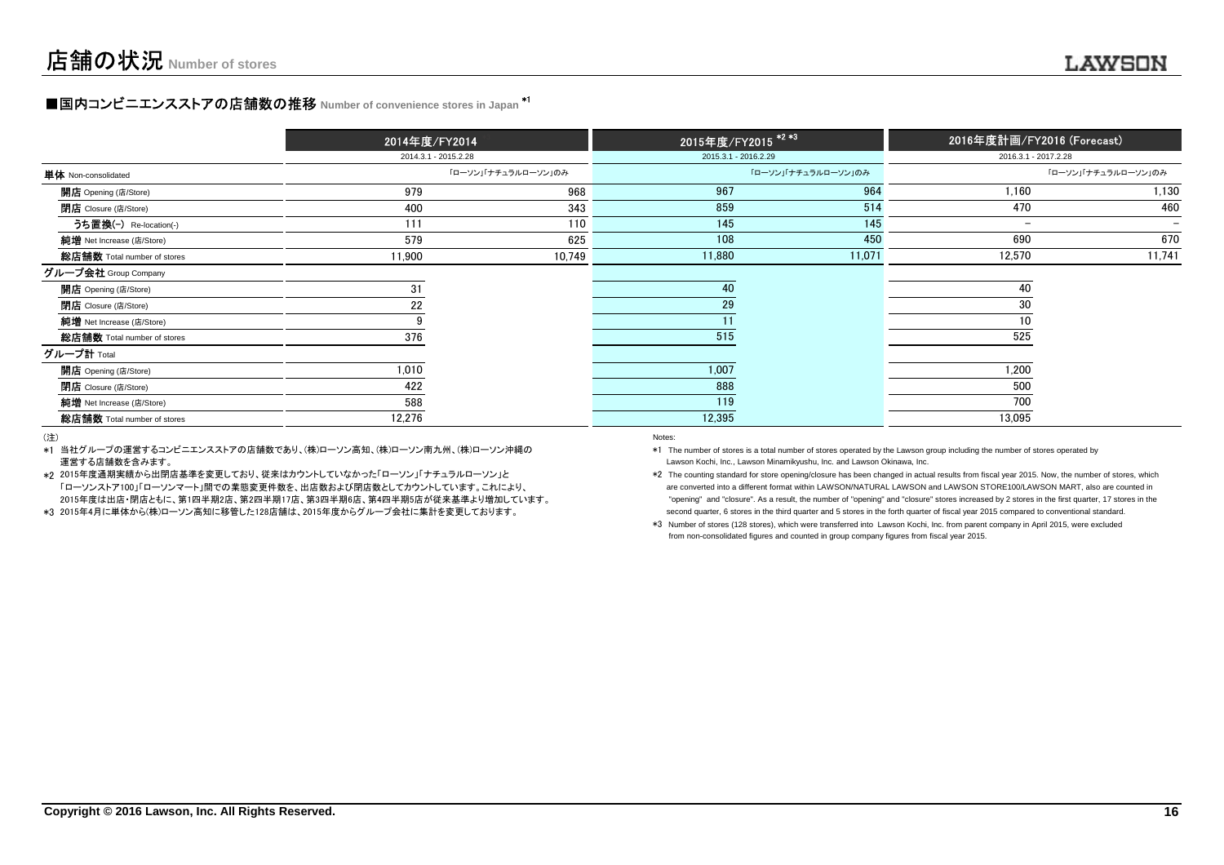### **■国内コンビニエンスストアの店舗数の推移 Number of convenience stores in Japan \*<sup>1</sup>**

|                             | 2014年度/FY2014<br>2014.3.1 - 2015.2.28 |                     | 2015年度/FY2015 <sup>*2*3</sup> |                     | 2016年度計画/FY2016 (Forecast) |                          |
|-----------------------------|---------------------------------------|---------------------|-------------------------------|---------------------|----------------------------|--------------------------|
|                             |                                       |                     | 2015.3.1 - 2016.2.29          |                     | 2016.3.1 - 2017.2.28       |                          |
| 単体 Non-consolidated         |                                       | 「ローソン」「ナチュラルローソン」のみ |                               | 「ローソン」「ナチュラルローソン」のみ |                            | 「ローソン」「ナチュラルローソン」のみ      |
| <b>開店</b> Opening (店/Store) | 979                                   | 968                 | 967                           | 964                 | 1,160                      | 1,130                    |
| <b>閉店</b> Closure (店/Store) | 400                                   | 343                 | 859                           | 514                 | 470                        | 460                      |
| うち置換(-) Re-location(-)      | 111                                   | 110                 | 145                           | 145                 | $\overline{\phantom{m}}$   | $\overline{\phantom{a}}$ |
| 純增 Net Increase (店/Store)   | 579                                   | 625                 | 108                           | 450                 | 690                        | 670                      |
| 総店舗数 Total number of stores | 11,900                                | 10,749              | 11,880                        | 11,071              | 12,570                     | 11,741                   |
| グループ会社 Group Company        |                                       |                     |                               |                     |                            |                          |
| 開店 Opening (店/Store)        | 31                                    |                     | 40                            |                     | 40                         |                          |
| <b>閉店</b> Closure (店/Store) | 22                                    |                     | 29                            |                     | 30                         |                          |
| 純增 Net Increase (店/Store)   |                                       |                     |                               |                     |                            |                          |
| 総店舗数 Total number of stores | 376                                   |                     | 515                           |                     | 525                        |                          |
| グループ計 Total                 |                                       |                     |                               |                     |                            |                          |
| 開店 Opening (店/Store)        | 1,010                                 |                     | 1,007                         |                     | 1,200                      |                          |
| <b>閉店</b> Closure (店/Store) | 422                                   |                     | 888                           |                     | 500                        |                          |
| 純增 Net Increase (店/Store)   | 588                                   |                     | 119                           |                     | 700                        |                          |
| 総店舗数 Total number of stores | 12,276                                |                     | 12,395                        |                     | 13,095                     |                          |

(注)

\*1当社グループの運営するコンビニエンスストアの店舗数であり、(株)ローソン高知、(株)ローソン南九州、(株)ローソン沖縄の運営する店舗数を含みます。entropy of the control of the control of the control of the control of the control of the control of the control of the control of the control of the control of the control of the control of the control of the control of t

\*2 2015年度通期実績から出閉店基準を変更しており、従来はカウントしていなかった「ローソン」「ナチュラルローソン」と「ローソンストア100」「ローソンマート」間での業態変更件数を、出店数および閉店数としてカウントしています。これにより、 2015年度は出店・閉店ともに、第1四半期2店、第2四半期17店、第3四半期6店、第4四半期5店が従来基準より増加しています。

\*32015年4月に単体から(株)ローソン高知に移管した128店舗は、2015年度からグループ会社に集計を変更しております。

\*1 The number of stores is a total number of stores operated by the Lawson group including the number of stores operated byLawson Kochi, Inc., Lawson Minamikyushu, Inc. and Lawson Okinawa, Inc.

\*2 The counting standard for store opening/closure has been changed in actual results from fiscal year 2015. Now, the number of stores, which are converted into a different format within LAWSON/NATURAL LAWSON and LAWSON STORE100/LAWSON MART, also are counted in "opening" and "closure". As a result, the number of "opening" and "closure" stores increased by 2 stores in the first quarter, 17 stores in thesecond quarter, 6 stores in the third quarter and 5 stores in the forth quarter of fiscal year 2015 compared to conventional standard.

\*3 Number of stores (128 stores), which were transferred into Lawson Kochi, Inc. from parent company in April 2015, were excludedfrom non-consolidated figures and counted in group company figures from fiscal year 2015.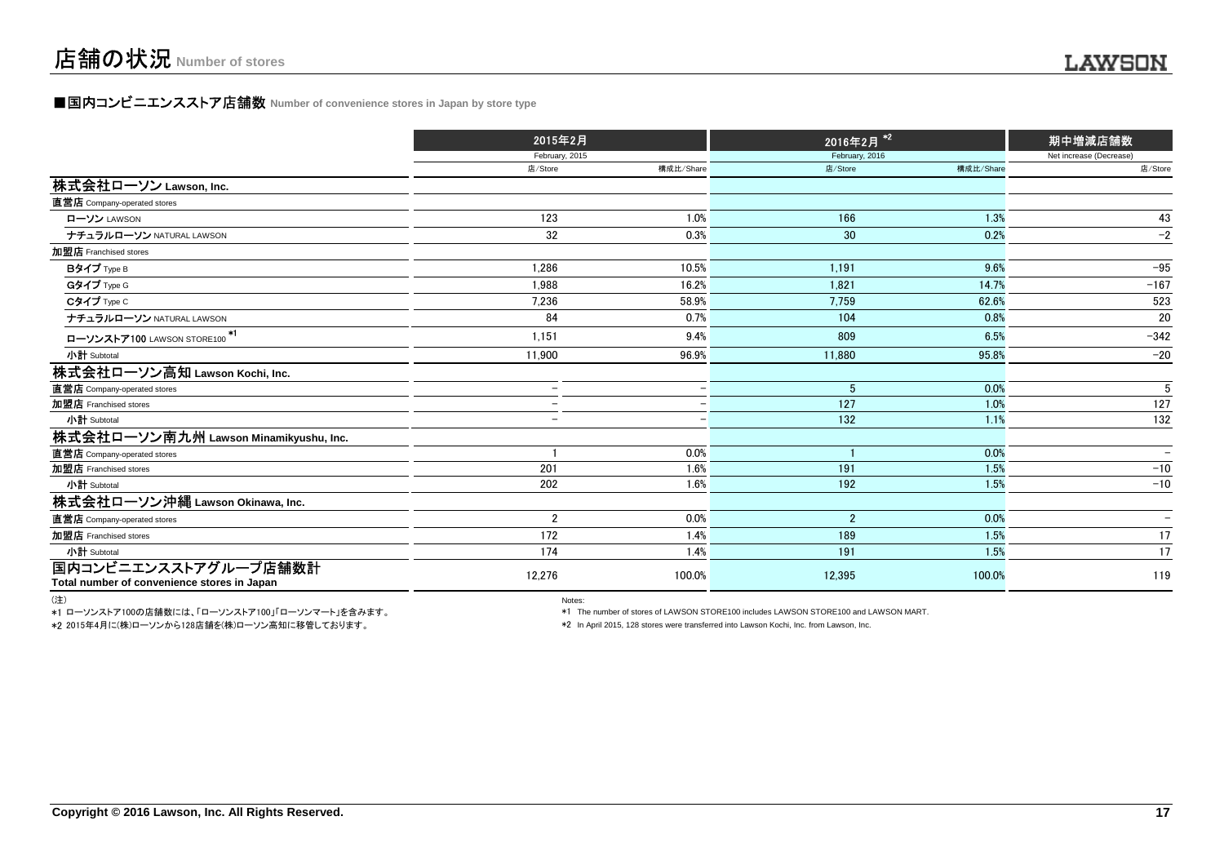### **■国内コンビニエンスストア店舗数 Number of convenience stores in Japan by store type**

|                                             | 2015年2月                  |                          | 2016年2月 <sup>*2</sup> |           | 期中増減店舗数                  |  |
|---------------------------------------------|--------------------------|--------------------------|-----------------------|-----------|--------------------------|--|
|                                             | February, 2015           |                          | February, 2016        |           | Net increase (Decrease)  |  |
|                                             | 店/Store                  | 構成比/Share                | 店/Store               | 構成比/Share | 店/Store                  |  |
| 株式会社ローソン Lawson, Inc.                       |                          |                          |                       |           |                          |  |
| 直営店 Company-operated stores                 |                          |                          |                       |           |                          |  |
| ローソン LAWSON                                 | 123                      | 1.0%                     | 166                   | 1.3%      | 43                       |  |
| ナチュラルローソン NATURAL LAWSON                    | 32                       | 0.3%                     | 30                    | 0.2%      | $-2$                     |  |
| 加盟店 Franchised stores                       |                          |                          |                       |           |                          |  |
| Bタイプ Type B                                 | 1.286                    | 10.5%                    | 1.191                 | 9.6%      | $-95$                    |  |
| Gタイプ Type G                                 | 1.988                    | 16.2%                    | 1,821                 | 14.7%     | $-167$                   |  |
| Cタイプ Type C                                 | 7,236                    | 58.9%                    | 7,759                 | 62.6%     | 523                      |  |
| ナチュラルローソン NATURAL LAWSON                    | 84                       | 0.7%                     | 104                   | 0.8%      | 20                       |  |
| ローソンストア100 LAWSON STORE100 <sup>*1</sup>    | 1,151                    | 9.4%                     | 809                   | 6.5%      | $-342$                   |  |
| 小計 Subtotal                                 | 11,900                   | 96.9%                    | 11,880                | 95.8%     | $-20$                    |  |
| 株式会社ローソン高知 Lawson Kochi, Inc.               |                          |                          |                       |           |                          |  |
| 直営店 Company-operated stores                 |                          |                          | 5                     | 0.0%      | 5                        |  |
| 加盟店 Franchised stores                       | $\overline{\phantom{0}}$ | $\overline{\phantom{0}}$ | 127                   | 1.0%      | 127                      |  |
| 小計 Subtotal                                 | $\equiv$                 |                          | 132                   | 1.1%      | 132                      |  |
| 株式会社ローソン南九州 Lawson Minamikyushu, Inc.       |                          |                          |                       |           |                          |  |
| 直営店 Company-operated stores                 |                          | 0.0%                     |                       | 0.0%      |                          |  |
| 加盟店 Franchised stores                       | 201                      | 1.6%                     | 191                   | 1.5%      | $-10$                    |  |
| 小計 Subtotal                                 | 202                      | 1.6%                     | 192                   | 1.5%      | $-10$                    |  |
| 株式会社ローソン沖縄 Lawson Okinawa, Inc.             |                          |                          |                       |           |                          |  |
| 直営店 Company-operated stores                 | $\overline{2}$           | 0.0%                     | $\overline{2}$        | 0.0%      | $\overline{\phantom{a}}$ |  |
| 加盟店 Franchised stores                       | 172                      | 1.4%                     | 189                   | 1.5%      | 17                       |  |
| 小計 Subtotal                                 | 174                      | 1.4%                     | 191                   | 1.5%      | 17                       |  |
| 国内コンビニエンスストアグループ店舗数計                        | 12,276                   | 100.0%                   | 12,395                | 100.0%    | 119                      |  |
| Total number of convenience stores in Japan |                          |                          |                       |           |                          |  |

(注)

\*1 ローソンストア100の店舗数には、「ローソンストア100」「ローソンマート」を含みます。\*2 2015年4月に(株)ローソンから128店舗を(株)ローソン高知に移管しております。

) and the contract of the contract of the contract of the contract of the contract of the contract of the contract of the contract of the contract of the contract of the contract of the contract of the contract of the cont

\*1 The number of stores of LAWSON STORE100 includes LAWSON STORE100 and LAWSON MART.

\*2 In April 2015, 128 stores were transferred into Lawson Kochi, Inc. from Lawson, Inc.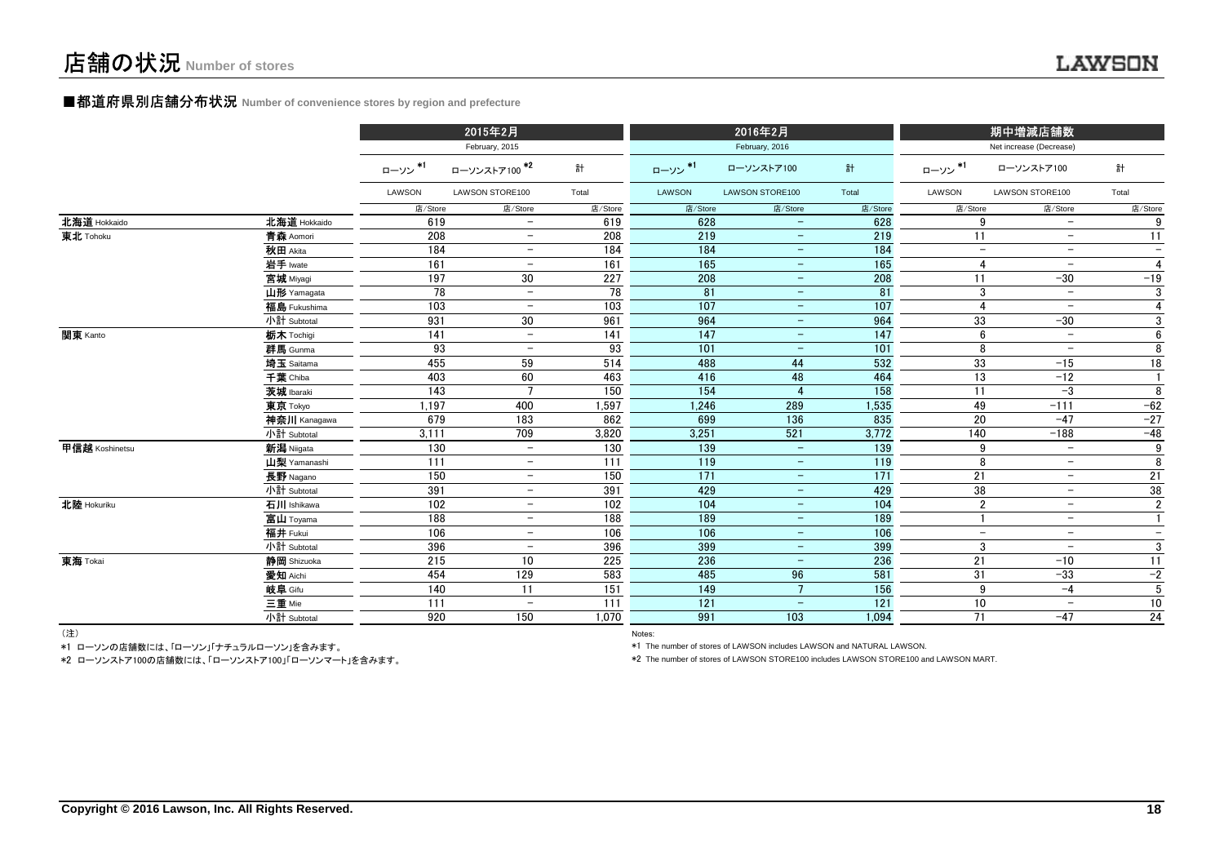#### **■都道府県別店舗分布状況** Number of convenience stores by region and prefecture

|                |              |         | 2015年2月                  |         |                   | 2016年2月                  |         |                          | 期中増減店舗数                  |                          |
|----------------|--------------|---------|--------------------------|---------|-------------------|--------------------------|---------|--------------------------|--------------------------|--------------------------|
|                |              |         | February, 2015           |         |                   | February, 2016           |         |                          | Net increase (Decrease)  |                          |
|                |              | ローソン*1  | ローソンストア100 <sup>*2</sup> | 計       | ローソン*1            | ローソンストア100               | 計       | ローソン*1                   | ローソンストア100               | 計                        |
|                |              | LAWSON  | LAWSON STORE100          | Total   | LAWSON            | LAWSON STORE100          | Total   | LAWSON                   | LAWSON STORE100          | Total                    |
|                |              | 店/Store | 店/Store                  | 店/Store | 店/Store           | 店/Store                  | 店/Store | 店/Store                  | 店/Store                  | 店/Store                  |
| 北海道 Hokkaido   | 北海道 Hokkaido | 619     | $\overline{\phantom{0}}$ | 619     | 628               | $\overline{\phantom{0}}$ | 628     | 9                        | $\overline{\phantom{a}}$ | 9                        |
| 東北 Tohoku      | 青森 Aomori    | 208     | $\overline{\phantom{0}}$ | 208     | 219               | $\overline{\phantom{m}}$ | 219     | 11                       | $\overline{\phantom{m}}$ | 11                       |
|                | 秋田 Akita     | 184     | $\overline{\phantom{m}}$ | 184     | 184               | $\qquad \qquad =$        | 184     | $-$                      | $\overline{\phantom{m}}$ | $\overline{\phantom{a}}$ |
|                | 岩手 Iwate     | 161     | $\overline{\phantom{0}}$ | 161     | 165               | $\overline{\phantom{m}}$ | 165     | 4                        | $\overline{\phantom{m}}$ | 4                        |
|                | 宮城 Miyagi    | 197     | 30                       | 227     | 208               | $-$                      | 208     | 11                       | $-30$                    | $-19$                    |
|                | 山形 Yamagata  | 78      | $\overline{\phantom{m}}$ | 78      | 81                | $\overline{\phantom{a}}$ | 81      | 3                        | $\overline{\phantom{m}}$ | 3                        |
|                | 福島 Fukushima | 103     | $\overline{\phantom{m}}$ | 103     | 107               | $\equiv$                 | 107     | $\overline{4}$           | $\overline{\phantom{m}}$ | 4                        |
|                | 小計 Subtotal  | 931     | 30                       | 961     | 964               | $\equiv$                 | 964     | 33                       | $-30$                    | 3                        |
| 関東 Kanto       | 栃木 Tochigi   | 141     | $\overline{\phantom{a}}$ | 141     | 147               | $-$                      | 147     | 6                        | $\overline{\phantom{0}}$ | 6                        |
|                | 群馬 Gunma     | 93      | $\overline{\phantom{m}}$ | 93      | 101               | $\overline{\phantom{a}}$ | 101     | 8                        | $\overline{\phantom{m}}$ | 8                        |
|                | 埼玉 Saitama   | 455     | 59                       | 514     | 488               | 44                       | 532     | 33                       | $-15$                    | 18                       |
|                | 千葉 Chiba     | 403     | 60                       | 463     | 416               | 48                       | 464     | 13                       | $-12$                    | $\mathbf{1}$             |
|                | 茨城 Ibaraki   | 143     |                          | 150     | 154               |                          | 158     | 11                       | $-3$                     | 8                        |
|                | 東京 Tokyo     | 1.197   | 400                      | 1,597   | 1,246             | 289                      | 1,535   | 49                       | $-111$                   | $-62$                    |
|                | 神奈川 Kanagawa | 679     | 183                      | 862     | 699               | 136                      | 835     | 20                       | $-47$                    | $-27$                    |
|                | 小計 Subtotal  | 3,111   | 709                      | 3,820   | 3,251             | 521                      | 3,772   | 140                      | $-188$                   | $-48$                    |
| 甲信越 Koshinetsu | 新潟 Niigata   | 130     | $\overline{\phantom{0}}$ | 130     | 139               | $\overline{\phantom{m}}$ | 139     | 9                        | $\overline{\phantom{m}}$ | 9                        |
|                | 山梨 Yamanashi | 111     | $\overline{\phantom{0}}$ | 111     | $\frac{119}{119}$ | $\overline{\phantom{m}}$ | 119     | 8                        | $\overline{\phantom{m}}$ | 8                        |
|                | 長野 Nagano    | 150     | $\overline{\phantom{m}}$ | 150     | 171               | $\overline{\phantom{a}}$ | 171     | 21                       | $\overline{\phantom{m}}$ | 21                       |
|                | 小計 Subtotal  | 391     | $\overline{\phantom{m}}$ | 391     | 429               | $\overline{\phantom{m}}$ | 429     | 38                       | $\overline{\phantom{m}}$ | 38                       |
| 北陸 Hokuriku    | 石川 Ishikawa  | 102     | $\overline{\phantom{a}}$ | 102     | 104               | $\overline{\phantom{m}}$ | 104     | $\overline{2}$           | $-$                      | $\overline{2}$           |
|                | 富山 Toyama    | 188     | $\overline{\phantom{m}}$ | 188     | 189               | $\overline{\phantom{m}}$ | 189     |                          | $\overline{\phantom{m}}$ | $\mathbf{1}$             |
|                | 福井 Fukui     | 106     | $-$                      | 106     | 106               | $\overline{\phantom{m}}$ | 106     | $\overline{\phantom{a}}$ | $\overline{\phantom{a}}$ | $\qquad \qquad -$        |
|                | 小計 Subtotal  | 396     | $\overline{\phantom{m}}$ | 396     | 399               | $\equiv$                 | 399     | 3                        | $\overline{\phantom{m}}$ | 3                        |
| 東海 Tokai       | 静岡 Shizuoka  | 215     | 10                       | 225     | 236               | $\overline{\phantom{m}}$ | 236     | 21                       | $-10$                    | $\overline{11}$          |
|                | 愛知 Aichi     | 454     | 129                      | 583     | 485               | 96                       | 581     | 31                       | $-33$                    | $-2$                     |
|                | 岐阜 Gifu      | 140     | 11                       | 151     | 149               | $7^{\circ}$              | 156     | 9                        | $-4$                     | 5                        |
|                | 三重 Mie       | 111     | $\qquad \qquad -$        | 111     | 121               | $\equiv$                 | 121     | 10                       | $\overline{\phantom{0}}$ | 10                       |
|                | 小計 Subtotal  | 920     | 150                      | 1.070   | 991               | 103                      | 1,094   | 71                       | $-47$                    | $24\,$                   |
| $(3+1)$        |              |         |                          |         |                   |                          |         |                          |                          |                          |

(注)

Notes: Notes: Notes: Notes: Notes: Notes: Notes: Notes: Notes: Notes: Notes: Notes: Notes: Notes: Notes: Notes: Notes: Notes: Notes: Notes: Notes: Notes: Notes: Notes: Notes: Notes: Notes: Notes: Notes: Notes: Notes: Notes \*1 ローソンの店舗数には、「ローソン」「ナチュラルローソン」を含みます。

\*2 ローソンストア100の店舗数には、「ローソンストア100」「ローソンマート」を含みます。

\*1 The number of stores of LAWSON includes LAWSON and NATURAL LAWSON.

\*2 The number of stores of LAWSON STORE100 includes LAWSON STORE100 and LAWSON MART.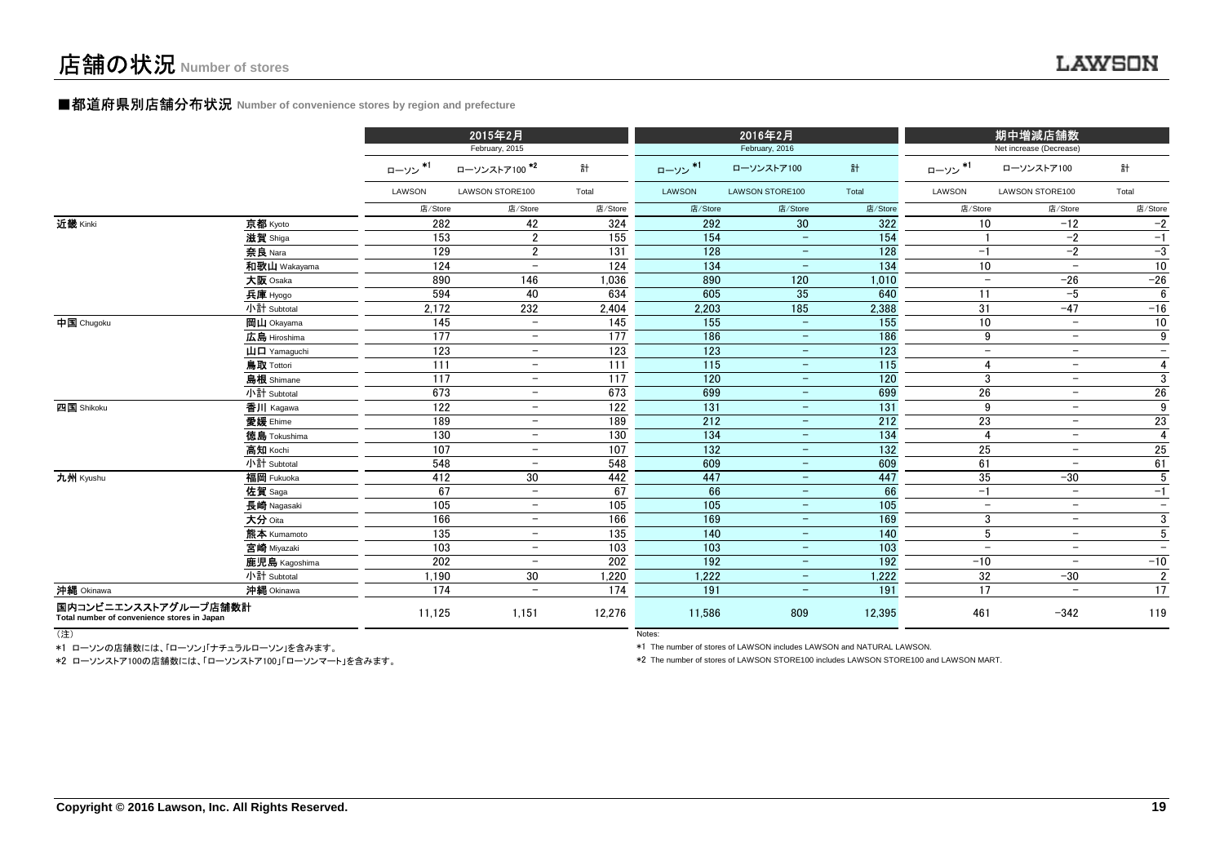#### ■都道府県別店舗分布状況 **Number of convenience stores by region and prefecture**

|                                                                     |                                       | 2015年2月<br>February, 2015 |                          |                 |         | 2016年2月<br>February, 2016 |                  |                          | 期中増減店舗数<br>Net increase (Decrease) |                          |  |
|---------------------------------------------------------------------|---------------------------------------|---------------------------|--------------------------|-----------------|---------|---------------------------|------------------|--------------------------|------------------------------------|--------------------------|--|
|                                                                     |                                       | ローソン*1                    | ローソンストア100 <sup>*2</sup> | 計               | ローソン*1  | ローソンストア100                | 計                | ローソン*1                   | ローソンストア100                         | 計                        |  |
|                                                                     |                                       | LAWSON                    | LAWSON STORE100          | Total           | LAWSON  | LAWSON STORE100           | Total            | LAWSON                   | <b>LAWSON STORE100</b>             | Total                    |  |
|                                                                     |                                       | 店/Store                   | 店/Store                  | 店/Store         | 店/Store | 店/Store                   | 店/Store          | 店/Store                  | 店/Store                            | 店/Store                  |  |
| 近畿 Kinki                                                            | 京都 Kyoto                              | 282                       | 42                       | 324             | 292     | 30                        | 322              | 10                       | $-12$                              | $-2$                     |  |
|                                                                     | 滋賀 Shiga                              | 153                       | $\overline{2}$           | 155             | 154     | $\overline{\phantom{m}}$  | 154              |                          | $-2$                               | $-1$                     |  |
|                                                                     | 奈良 Nara                               | 129                       | $\overline{2}$           | 131             | 128     | $\overline{\phantom{a}}$  | 128              | $-1$                     | $-2$                               | $-3$                     |  |
|                                                                     | 和歌山 Wakayama                          | 124                       | $\equiv$                 | 124             | 134     | $\qquad \qquad -$         | 134              | 10                       | $\overline{\phantom{a}}$           | 10                       |  |
|                                                                     | 大阪 Osaka                              | 890                       | 146                      | 1,036           | 890     | 120                       | 1,010            | $\qquad \qquad -$        | $-26$                              | $-26$                    |  |
|                                                                     | 兵庫 Hyogo                              | 594                       | 40                       | 634             | 605     | 35                        | 640              | 11                       | $-5$                               | 6                        |  |
|                                                                     | 小計 Subtotal                           | 2,172                     | 232                      | 2,404           | 2,203   | 185                       | 2,388            | 31                       | $-47$                              | $-16$                    |  |
| 中国 Chugoku                                                          | 岡山 Okayama                            | 145                       | $\equiv$                 | $\frac{145}{2}$ | 155     | $\equiv$                  | 155              | 10                       | $\overline{a}$                     | $10\,$                   |  |
|                                                                     | 広島 Hiroshima                          | 177                       | $ \,$                    | 177             | 186     | $\overline{\phantom{a}}$  | 186              | 9                        | $\overline{\phantom{m}}$           | 9                        |  |
|                                                                     | $\mathbf{H}$ $\mathbf{\Pi}$ Yamaquchi | 123                       | $\equiv$                 | 123             | 123     | $\overline{\phantom{a}}$  | 123              | $\qquad \qquad -$        | $-$                                | $\overline{\phantom{0}}$ |  |
|                                                                     | 鳥取 Tottori                            | 111                       | $\overline{\phantom{a}}$ | 111             | 115     | $\overline{\phantom{a}}$  | 115              | 4                        | $\overline{\phantom{m}}$           | 4                        |  |
|                                                                     | 島根 Shimane                            | 117                       | $-$                      | 117             | 120     | $\overline{\phantom{m}}$  | 120              | 3                        | $\overline{\phantom{m}}$           | 3                        |  |
|                                                                     | 小計 Subtotal                           | 673                       | $\equiv$                 | 673             | 699     | $\overline{\phantom{m}}$  | 699              | 26                       | $\overline{\phantom{a}}$           | $\overline{26}$          |  |
| 四国 Shikoku                                                          | 香川 Kagawa                             | 122                       | $\overline{\phantom{a}}$ | 122             | 131     | $\overline{\phantom{m}}$  | $\overline{131}$ | 9                        | $\overline{\phantom{m}}$           | $\overline{9}$           |  |
|                                                                     | 愛媛 Ehime                              | 189                       | $-$                      | 189             | 212     | $\equiv$                  | 212              | 23                       | $\equiv$                           | 23                       |  |
|                                                                     | <b>徳島</b> Tokushima                   | 130                       | $\equiv$                 | 130             | 134     | $\equiv$                  | 134              | $\overline{4}$           | $\equiv$                           | $\overline{4}$           |  |
|                                                                     | 高知 Kochi                              | 107                       | $-$                      | 107             | 132     | $\overline{\phantom{m}}$  | 132              | 25                       | $\overline{\phantom{m}}$           | 25                       |  |
|                                                                     | 小計 Subtotal                           | 548                       | $\equiv$                 | 548             | 609     | $\overline{\phantom{m}}$  | 609              | 61                       | $\overline{\phantom{m}}$           | 61                       |  |
| 九州 Kyushu                                                           | 福岡 Fukuoka                            | 412                       | 30                       | 442             | 447     | $\equiv$                  | 447              | 35                       | $-30$                              | 5                        |  |
|                                                                     | 佐賀 Saga                               | 67                        | $\equiv$                 | 67              | 66      | $\equiv$                  | 66               | $-1$                     | $\equiv$                           | $-1$                     |  |
|                                                                     | 長崎 Nagasaki                           | 105                       | $\equiv$                 | 105             | 105     | $\qquad \qquad -$         | 105              | $\overline{\phantom{0}}$ | $\overline{\phantom{m}}$           | $\equiv$                 |  |
|                                                                     | 大分 Oita                               | 166                       | $-$                      | 166             | 169     | $\overline{\phantom{a}}$  | 169              | 3                        | $\overline{\phantom{a}}$           | 3                        |  |
|                                                                     | 熊本 Kumamoto                           | 135                       | $-$                      | 135             | 140     | $\overline{\phantom{a}}$  | 140              | 5                        | $-$                                | 5                        |  |
|                                                                     | 宮崎 Miyazaki                           | 103                       | $ \,$                    | 103             | 103     | $\qquad \qquad -$         | 103              | $\overline{\phantom{0}}$ | $\overline{\phantom{a}}$           | $\overline{\phantom{0}}$ |  |
|                                                                     | 鹿児島 Kagoshima                         | 202                       | $\overline{\phantom{a}}$ | 202             | 192     | $\overline{\phantom{a}}$  | 192              | $-10$                    | $\overline{\phantom{a}}$           | $-10$                    |  |
|                                                                     | 小計 Subtotal                           | 1,190                     | $30\,$                   | 1,220           | 1,222   | $\overline{\phantom{a}}$  | 1,222            | 32                       | $-30$                              | $\overline{2}$           |  |
| 沖縄 Okinawa                                                          | 沖縄 Okinawa                            | 174                       | $\equiv$                 | 174             | 191     | $\equiv$                  | 191              | $\overline{17}$          | $\overline{\phantom{0}}$           | $\overline{17}$          |  |
| 国内コンビニエンスストアグループ店舗数計<br>Total number of convenience stores in Japan |                                       | 11,125                    | 1,151                    | 12,276          | 11,586  | 809                       | 12,395           | 461                      | $-342$                             | 119                      |  |

(注)

Notes: and the contract of the contract of the contract of the contract of the contract of the contract of the contract of the contract of the contract of the contract of the contract of the contract of the contract of the \*1 ローソンの店舗数には、「ローソン」「ナチュラルローソン」を含みます。

\*2 ローソンストア100の店舗数には、「ローソンストア100」「ローソンマート」を含みます。

\*1 The number of stores of LAWSON includes LAWSON and NATURAL LAWSON.

\*2 The number of stores of LAWSON STORE100 includes LAWSON STORE100 and LAWSON MART.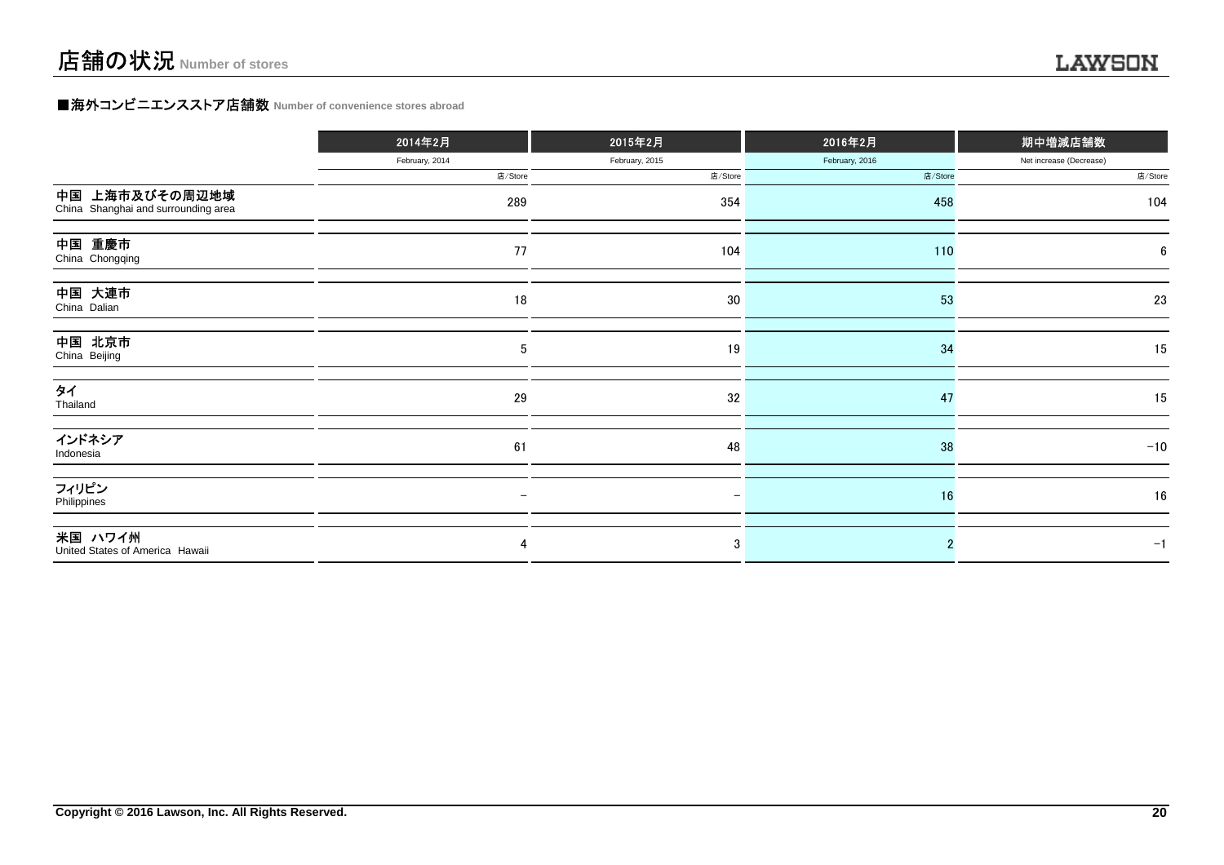### **■海外コンビニエンスストア店舗数 Number of convenience stores abroad**

|                                                       | 2014年2月        | 2015年2月        | 2016年2月        | 期中増減店舗数                 |  |
|-------------------------------------------------------|----------------|----------------|----------------|-------------------------|--|
|                                                       | February, 2014 | February, 2015 | February, 2016 | Net increase (Decrease) |  |
|                                                       | 店/Store        | 店/Store        | 店/Store        | 店/Store                 |  |
| 中国 上海市及びその周辺地域<br>China Shanghai and surrounding area | 289            | 354            | 458            | 104                     |  |
| 中国 重慶市<br>China Chongqing                             | 77             | 104            | 110            | 6                       |  |
| 中国 大連市<br>China Dalian                                | $18\,$         | 30             | 53             | 23                      |  |
| 中国 北京市<br>China Beijing                               | 5              | 19             | 34             | 15                      |  |
| タイ<br>Thailand                                        | 29             | 32             | 47             | 15                      |  |
| インドネシア<br>Indonesia                                   | 61             | 48             | 38             | $-10$                   |  |
| フィリピン<br>Philippines                                  |                |                | 16             | 16                      |  |
| 米国 ハワイ州<br>United States of America Hawaii            | 4              | 3              |                | $-1$                    |  |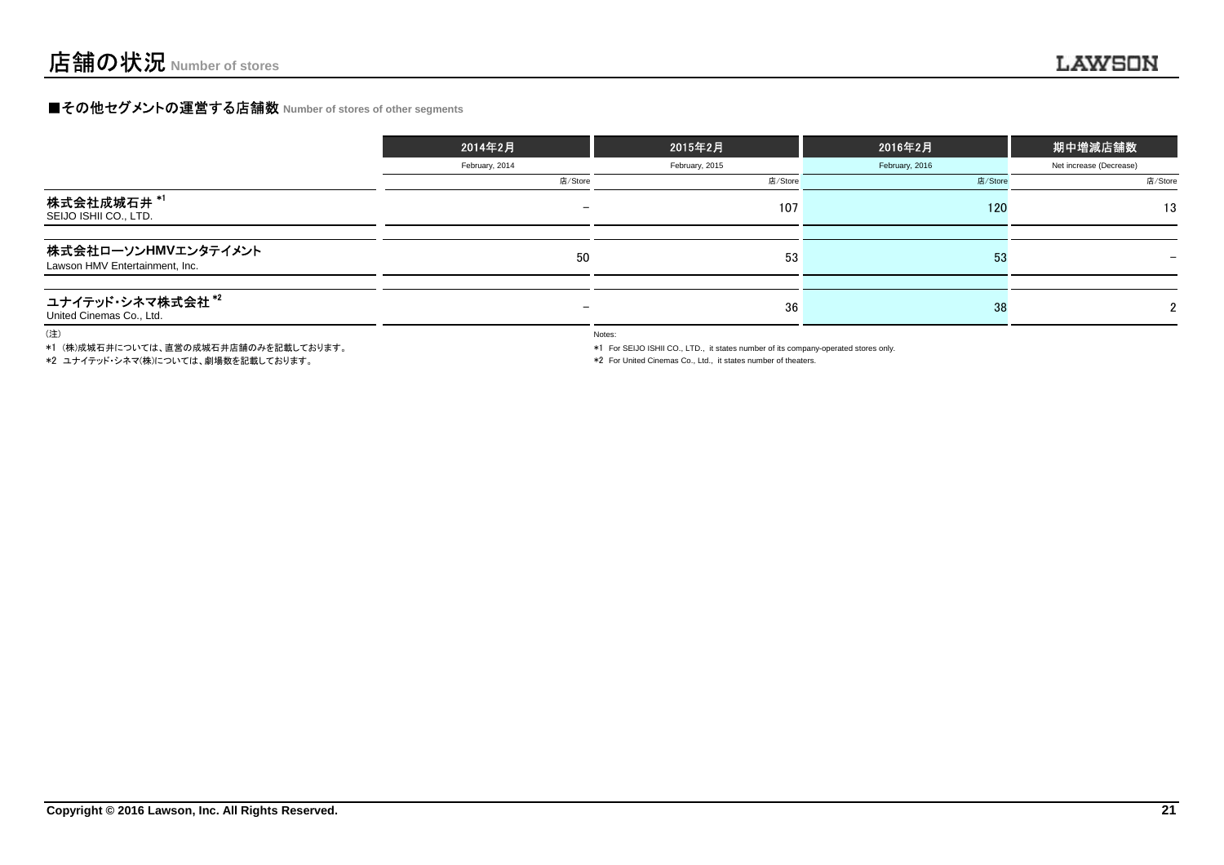### **■その他セグメントの運営する店舗数 Number of stores of other segments**

|                                                       | 2014年2月                  | 2015年2月        | 2016年2月        | 期中増減店舗数                  |
|-------------------------------------------------------|--------------------------|----------------|----------------|--------------------------|
|                                                       | February, 2014           | February, 2015 | February, 2016 | Net increase (Decrease)  |
|                                                       | 店/Store                  | 店/Store        | 店/Store        | 店/Store                  |
| 株式会社成城石井 *'<br>SEIJO ISHII CO., LTD.                  | $\overline{\phantom{0}}$ | 107            | 120            | 13                       |
| 株式会社ローソンHMVエンタテイメント<br>Lawson HMV Entertainment, Inc. | 50                       | 53             | 53             | $\overline{\phantom{0}}$ |
| ユナイテッド・シネマ株式会社*2<br>United Cinemas Co., Ltd.          | $\overline{\phantom{0}}$ | 36             | 38             | $\mathcal{D}$            |

(注)

\*1 (株)成城石井については、直営の成城石井店舗のみを記載しております。

\*2 ユナイテッド・シネマ(株)については、劇場数を記載しております。

Notes:

\*1 For SEIJO ISHII CO., LTD., it states number of its company-operated stores only.

\*2 For United Cinemas Co., Ltd., it states number of theaters.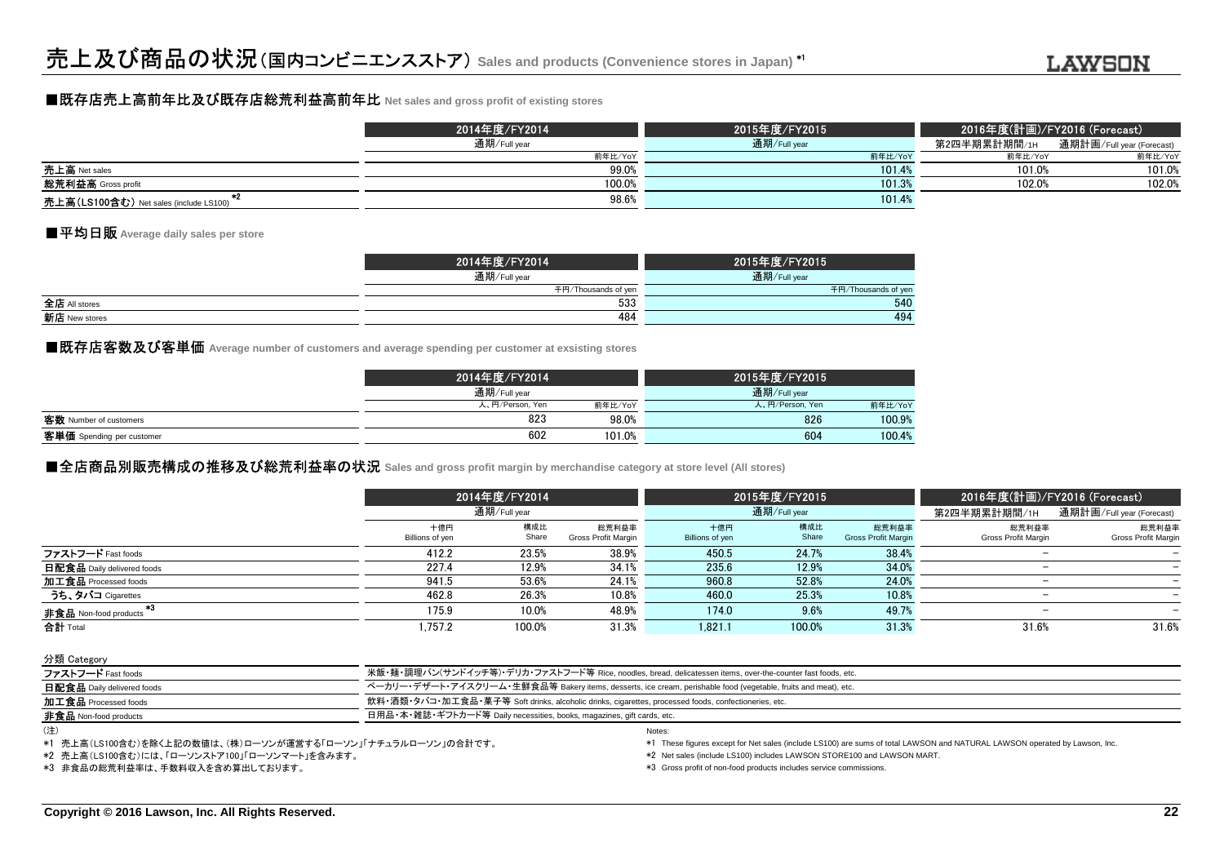### ■既存店売上高前年比及び既存店総荒利益高前年比 **Net sales and gross profit of existing stores**

|                                               | 2014年度/FY2014 | 2015年度/FY2015 | 2016年度(計画)/FY2016 (Forecast) |                           |
|-----------------------------------------------|---------------|---------------|------------------------------|---------------------------|
|                                               | 通期/Full year  | 通期/Full year  | 第2四半期累計期間/1н                 | 通期計画/Full year (Forecast) |
|                                               | 前年比/YoY       | 前年比/YoY       | 前年比/YoY                      | 前年比/YoY                   |
| 売上高 Net sales                                 | 99.0%         | 101.4%        | 101.0%                       | 101.0%                    |
| <b>総荒利益高</b> Gross profit                     | 100.0%        | 101.3%        | 102.0%                       | 102.0%                    |
| <b>売上高(LS100含む)</b> Net sales (include LS100) | 98.6%         | 101.4%        |                              |                           |

### ■平均日販 **Average daily sales per store**

|               | 2014年度/FY2014       | 2015年度/FY2015       |
|---------------|---------------------|---------------------|
|               | 通期/Full year        | 通期/Full year        |
|               | 千円/Thousands of yen | 千円/Thousands of yen |
| 全店 All stores | 533                 | 540                 |
| 新店 New stores | 484                 | 494                 |
|               |                     |                     |

■既存店客数及び客単価 Average number of customers and average spending per customer at exsisting stores<br>│

|                           | 2014年度/FY2014   |         | 2015年度/FY2015   |         |
|---------------------------|-----------------|---------|-----------------|---------|
|                           | 通期/Full year    |         | 通期/Full year    |         |
|                           | 人、円/Person, Yen | 前年比/YoY | 人、円/Person, Yen | 前年比/YoY |
| 客数 Number of customers    | 823             | 98.0%   | 826             | 100.9%  |
| 客単価 Spending per customer | 602             | 101.0%  | 604             | 100.4%  |
|                           |                 |         |                 |         |

### **■全店商品別販売構成の推移及び総荒利益率の状況** Sales and gross profit margin by merchandise category at store level (All stores)<br>→

|                            |                        | 2014年度/FY2014<br>通期/Full year |                              |                        | 2015年度/FY2015 |                                     |                              | 2016年度(計画)/FY2016 (Forecast) |  |  |
|----------------------------|------------------------|-------------------------------|------------------------------|------------------------|---------------|-------------------------------------|------------------------------|------------------------------|--|--|
|                            |                        |                               |                              |                        | 通期/Full year  |                                     | 第2四半期累計期間/1H                 | 通期計画/Full year (Forecast)    |  |  |
|                            | 十億円<br>Billions of yen | 構成比<br>Share                  | 総荒利益率<br>Gross Profit Margin | 十億円<br>Billions of yen | 構成比<br>Share  | 総荒利益率<br><b>Gross Profit Margin</b> | 総荒利益率<br>Gross Profit Margin | 総荒利益率<br>Gross Profit Margin |  |  |
| ファストフード Fast foods         | 412.2                  | 23.5%                         | 38.9%                        | 450.5                  | 24.7%         | 38.4%                               |                              |                              |  |  |
| 日配食品 Daily delivered foods | 227.4                  | 12.9%                         | 34.1%                        | 235.6                  | 12.9%         | 34.0%                               |                              |                              |  |  |
| 加工食品 Processed foods       | 941.5                  | 53.6%                         | 24.1%                        | 960.8                  | 52.8%         | 24.0%                               |                              |                              |  |  |
| うち、タバコ Cigarettes          | 462.8                  | 26.3%                         | 10.8%                        | 460.0                  | 25.3%         | 10.8%                               | $\overline{\phantom{m}}$     |                              |  |  |
| 非食品 Non-food products      | 175.9                  | 10.0%                         | 48.9%                        | 174.0                  | 9.6%          | 49.7%                               |                              |                              |  |  |
| 合計 Total                   | .757.2                 | 100.0%                        | 31.3%                        | 1,821.1                | 100.0%        | 31.3%                               | 31.6%                        | 31.6%                        |  |  |

分類 Category

| ファストフード Fast foods           | 米飯・麺・調理パン(サンドイッチ等)・デリカ・ファストフード等 Rice, noodles, bread, delicatessen items, over-the-counter fast foods, etc.    |
|------------------------------|----------------------------------------------------------------------------------------------------------------|
| 日配食品 Daily delivered foods   | ベーカリー・デザート・アイスクリーム・生鮮食品等 Bakery items, desserts, ice cream, perishable food (vegetable, fruits and meat), etc. |
| 加工食品 Processed foods         | 飲料・酒類・タバコ・加工食品・菓子等 Soft drinks, alcoholic drinks, cigarettes, processed foods, confectioneries, etc.           |
| <b>非食品</b> Non-food products | 日用品・本・雑誌・ギフトカード等 Daily necessities, books, magazines, gift cards, etc.                                         |
| (注)                          |                                                                                                                |

<sup>(</sup>注)

\*1 売上高(LS100含む)を除く上記の数値は、(株)ローソンが運営する「ローソン」「ナチュラルローソン」の合計です。

\*2 売上高(LS100含む)には、「ローソンストア100」「ローソンマート」を含みます。

\*3 非食品の総荒利益率は、手数料収入を含め算出しております。

\*1 These figures except for Net sales (include LS100) are sums of total LAWSON and NATURAL LAWSON operated by Lawson, Inc.

\*2 Net sales (include LS100) includes LAWSON STORE100 and LAWSON MART.

\*3 Gross profit of non-food products includes service commissions.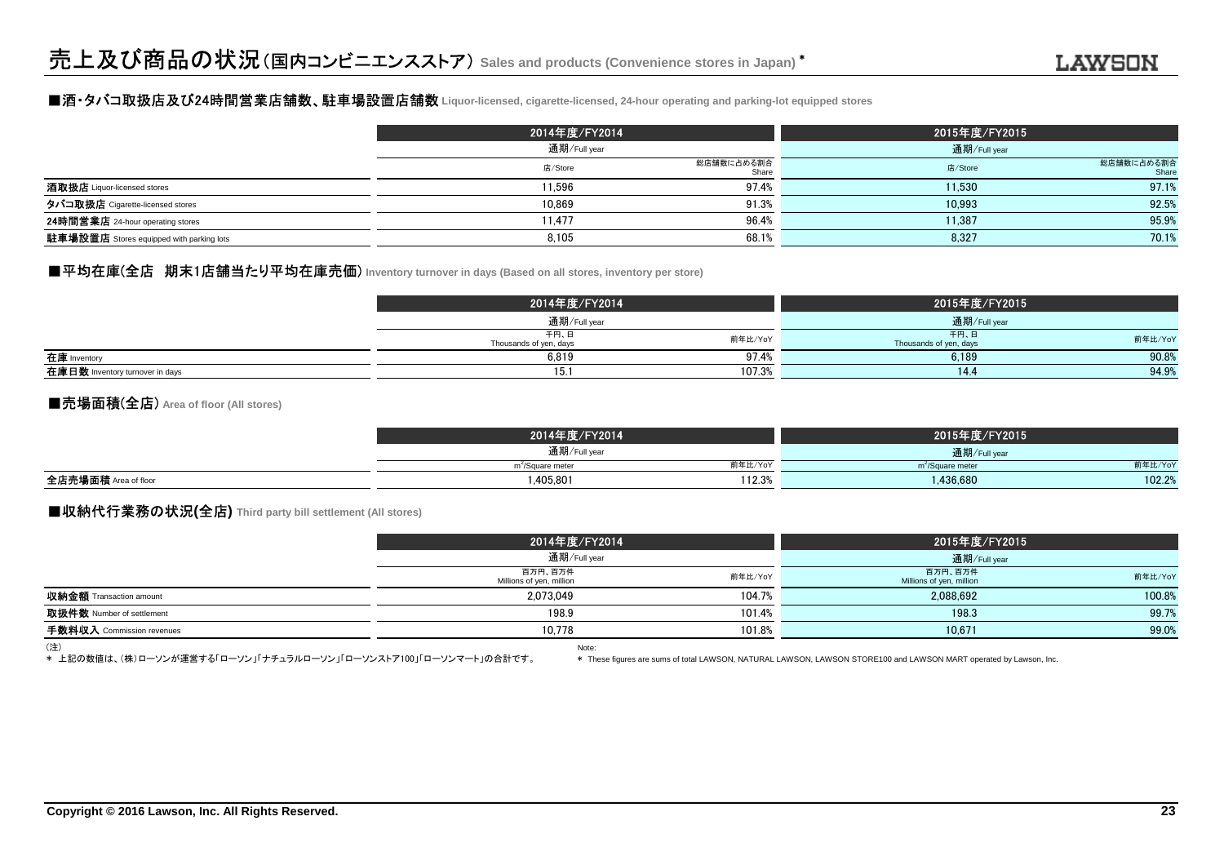#### ■酒・タバコ取扱店及び24時間営業店舗数、駐車場設置店舗数 **Liquor-licensed, cigarette-licensed, 24-hour operating and parking-lot equipped stores**

|                                                 | 2014年度/FY2014<br>通期/Full year |                     | 2015年度/FY2015<br>通期/Full year |                     |
|-------------------------------------------------|-------------------------------|---------------------|-------------------------------|---------------------|
|                                                 |                               |                     |                               |                     |
|                                                 | 店/Store                       | 総店舗数に占める割合<br>Share | 店/Store                       | 総店舗数に占める割合<br>Share |
| 酒取扱店 Liquor-licensed stores                     | 11.596                        | 97.4%               | 11.530                        | 97.1%               |
| タバコ取扱店 Cigarette-licensed stores                | 10.869                        | 91.3%               | 10.993                        | 92.5%               |
| 24時間営業店 24-hour operating stores                | 11.477                        | 96.4%               | 11.387                        | 95.9%               |
| <b>駐車場設置店</b> Stores equipped with parking lots | 8.105                         | 68.1%               | 8,327                         | 70.1%               |

#### ■平均在庫(全店 期末1店舗当たり平均在庫売価) Inventory turnover in days (Based on all stores, inventory per store)

|                                 | 2014年度/FY2014                  |         | 2015年度/FY2015                  |              |  |
|---------------------------------|--------------------------------|---------|--------------------------------|--------------|--|
|                                 | 通期/Full year                   |         |                                | 通期/Full year |  |
|                                 | 千円、日<br>Thousands of yen, days | 前年比/YoY | 千円、日<br>Thousands of yen, days | 前年比/YoY      |  |
| 在庫 Inventory                    | 6,819                          | 97.4%   | 6,189                          | 90.8%        |  |
| 在庫日数 Inventory turnover in days | 15.1                           | 107.3%  | 14.4                           | 94.9%        |  |

#### ■売場面積(全店) **Area of floor (All stores)**

|                      | 2014年度/FY2014                           | 2015年度/FY2015                           |  |
|----------------------|-----------------------------------------|-----------------------------------------|--|
|                      | 通期/Full year                            | 通期/Full year                            |  |
|                      | 前年比/YoY<br>m <sup>2</sup> /Square meter | 前年比/YoY<br>m <sup>2</sup> /Square meter |  |
| 全店売場面積 Area of floor | 112.3%<br>1.405.801                     | 102.2%<br>1,436,680                     |  |
|                      |                                         |                                         |  |

#### ■収納代行業務の状況**(**全店**) Third party bill settlement (All stores)**

|                                | 2014年度/FY2014                       | 通期/Full year |                                     | 2015年度/FY2015<br>通期/Full year |  |
|--------------------------------|-------------------------------------|--------------|-------------------------------------|-------------------------------|--|
|                                |                                     |              |                                     |                               |  |
|                                | 百万円、百万件<br>Millions of yen, million | 前年比/YoY      | 百万円、百万件<br>Millions of yen, million | 前年比/YoY                       |  |
| <b>収納金額</b> Transaction amount | 2.073.049                           | 104.7%       | 2.088.692                           | 100.8%                        |  |
| 取扱件数 Number of settlement      | 198.9                               | 101.4%       | 198.3                               | 99.7%                         |  |
| 手数料収入 Commission revenues      | 10.778                              | 101.8%       | 10,671                              | 99.0%                         |  |
| (注)                            | Note:                               |              |                                     |                               |  |

Note: \* 上記の数値は、(株)ローソンが運営する「ローソン」「ナチュラルローソン」「ローソンストア100」「ローソンマート」の合計です。

\* These figures are sums of total LAWSON, NATURAL LAWSON, LAWSON STORE100 and LAWSON MART operated by Lawson, Inc.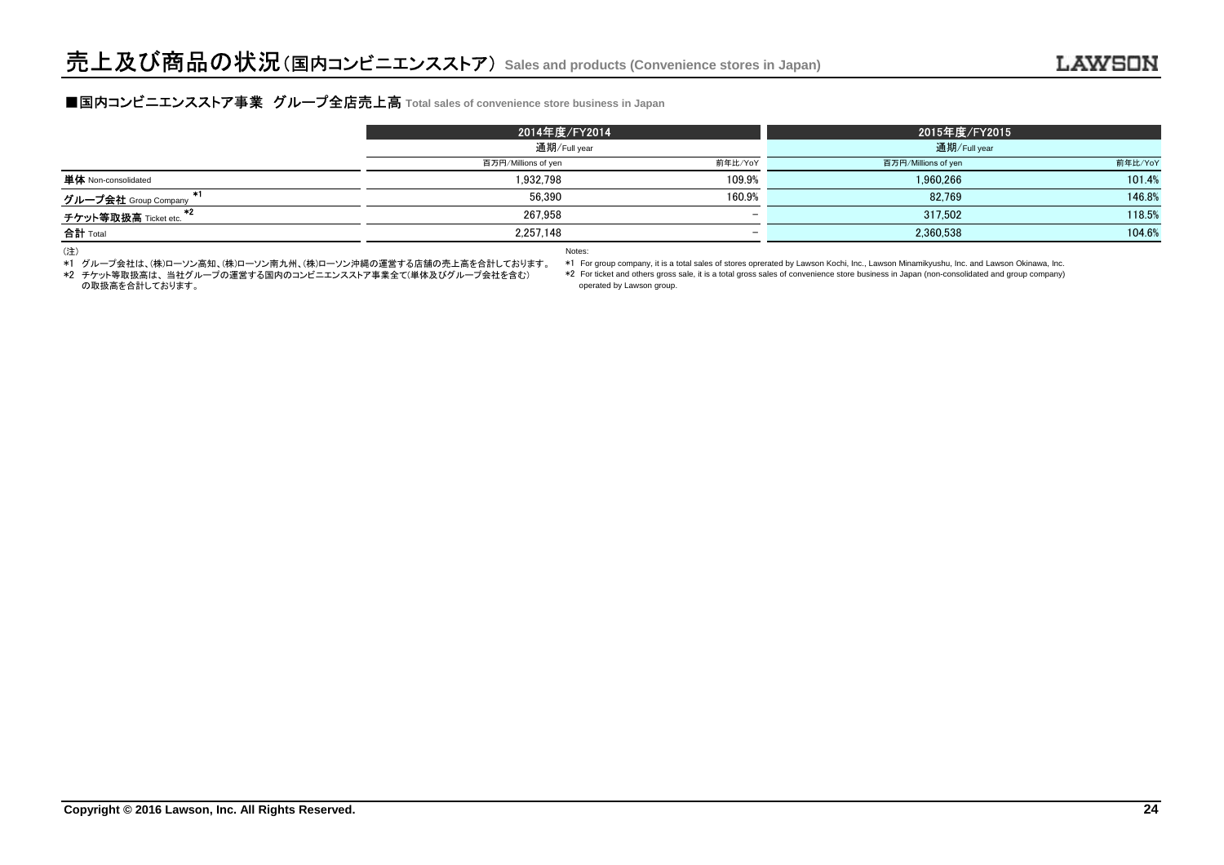### **■国内コンビニエンスストア事業 グループ全店売上高** Total sales of convenience store business in Japan<br>■

|                                     | 2014年度/FY2014       |                          | 2015年度/FY2015       |         |
|-------------------------------------|---------------------|--------------------------|---------------------|---------|
|                                     | 通期/Full year        |                          | 通期/Full year        |         |
|                                     | 百万円/Millions of yen | 前年比/YoY                  | 百万円/Millions of yen | 前年比/YoY |
| <b>単体</b> Non-consolidated          | 1.932.798           | 109.9%                   | 1.960.266           | 101.4%  |
| グループ会社 Group Company                | 56.390              | 160.9%                   | 82.769              | 146.8%  |
| $^{*2}$<br>チケット等取扱高 Ticket etc.     | 267.958             | $\overline{\phantom{0}}$ | 317.502             | 118.5%  |
| 合計 Total                            | 2.257.148           | $\overline{\phantom{0}}$ | 2,360,538           | 104.6%  |
| the contract of the contract of the |                     |                          |                     |         |

(注)

\*1 グループ会社は、(株)ローソン高知、(株)ローソン南九州、(株)ローソン沖縄の運営する店舗の売上高を合計しております。

Notes:

 \*1 For group company, it is a total sales of stores oprerated by Lawson Kochi, Inc., Lawson Minamikyushu, Inc. and Lawson Okinawa, Inc.\*2 For ticket and others gross sale, it is a total gross sales of convenience store business in Japan (non-consolidated and group company)

\*2 チケット等取扱高は、 当社グループの運営する国内のコンビニエンスストア事業全て(単体及びグループ会社を含む)の取扱高を合計しております。

operated by Lawson group.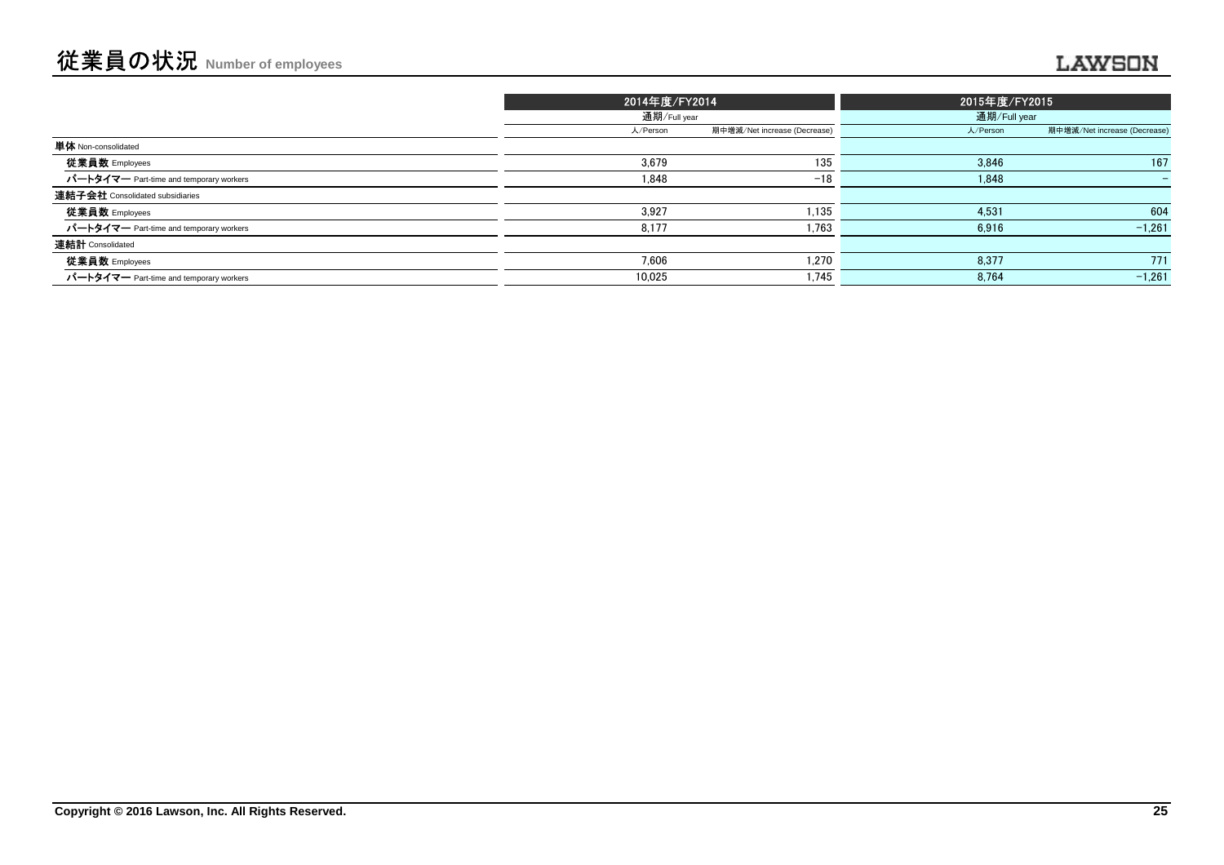|                                         | 2014年度/FY2014<br>通期/Full year |                              | 2015年度/FY2015 |                              |
|-----------------------------------------|-------------------------------|------------------------------|---------------|------------------------------|
|                                         |                               |                              |               | 通期/Full year                 |
|                                         | 人/Person                      | 期中増減/Net increase (Decrease) | 人/Person      | 期中増減/Net increase (Decrease) |
| 単体 Non-consolidated                     |                               |                              |               |                              |
| 従業員数 Employees                          | 3,679                         | 135                          | 3,846         | 167                          |
| パートタイマー Part-time and temporary workers | 1,848                         | $-18$                        | 1,848         |                              |
| 連結子会社 Consolidated subsidiaries         |                               |                              |               |                              |
| 従業員数 Employees                          | 3.927                         | 1,135                        | 4,531         | 604                          |
| パートタイマー Part-time and temporary workers | 8,177                         | 1,763                        | 6,916         | $-1,261$                     |
| 連結計 Consolidated                        |                               |                              |               |                              |
| 従業員数 Employees                          | 7.606                         | 1,270                        | 8,377         | 771                          |
| パートタイマー Part-time and temporary workers | 10.025                        | 1,745                        | 8,764         | $-1,261$                     |
|                                         |                               |                              |               |                              |